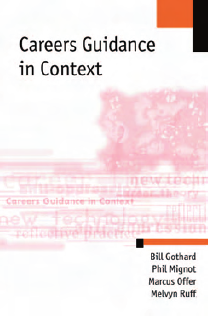# **Careers Guidance** in Context

**Bill Gothard Phil Mignot Marcus Offer** Melvyn Ruff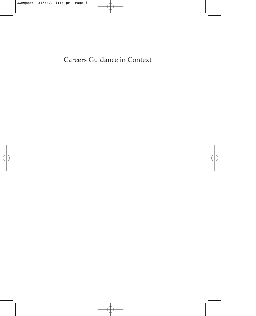# Careers Guidance in Context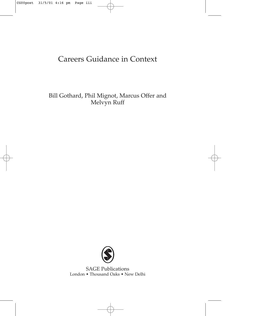# Careers Guidance in Context

Bill Gothard, Phil Mignot, Marcus Offer and Melvyn Ruff



SAGE Publications London • Thousand Oaks • New Delhi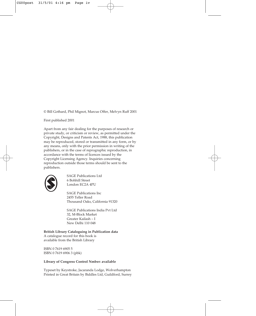© Bill Gothard, Phil Mignot, Marcus Offer, Melvyn Ruff 2001

First published 2001

Apart from any fair dealing for the purposes of research or private study, or criticism or review, as permitted under the Copyright, Designs and Patents Act, 1988, this publication may be reproduced, stored or transmitted in any form, or by any means, only with the prior permission in writing of the publishers, or in the case of reprographic reproduction, in accordance with the terms of licences issued by the Copyright Licensing Agency. Inquiries concerning reproduction outside those terms should be sent to the publishers.



SAGE Publications Ltd 6 Bohhill Street London EC2A 4PU

SAGE Publications Inc 2455 Teller Road Thousand Oaks, California 91320

SAGE Publications India Pvt Ltd 32, M-Block Market Greater Kailash – I New Delhi 110 048

#### **British Library Cataloguing in Publication data**

A catalogue record for this book is available from the British Library

ISBN 0 7619 6905 5 ISBN 0 7619 6906 3 (pbk)

#### **Library of Congress Control Nmber: available**

Typeset by Keystroke, Jacaranda Lodge, Wolverhampton Printed in Great Britain by Biddles Ltd, Guildford, Surrey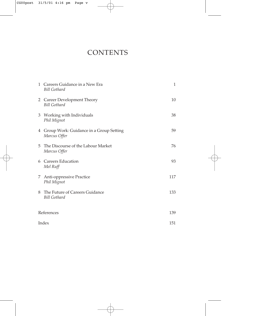# **CONTENTS**

|            | 1 Careers Guidance in a New Era<br><b>Bill Gothard</b>    | $\mathbf{1}$ |
|------------|-----------------------------------------------------------|--------------|
|            | 2 Career Development Theory<br><b>Bill Gothard</b>        | 10           |
|            | 3 Working with Individuals<br>Phil Mignot                 | 38           |
|            | 4 Group Work: Guidance in a Group Setting<br>Marcus Offer | 59           |
|            | 5 The Discourse of the Labour Market<br>Marcus Offer      | 76           |
|            | 6 Careers Education<br>Mel Ruff                           | 93           |
|            | 7 Anti-oppressive Practice<br>Phil Mignot                 | 117          |
|            | 8 The Future of Careers Guidance<br><b>Bill Gothard</b>   | 133          |
| References |                                                           | 139          |
| Index      |                                                           | 151          |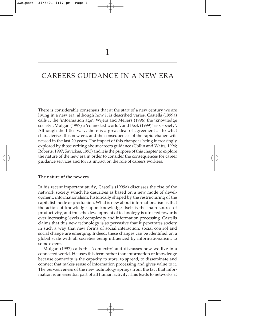# CAREERS GUIDANCE IN A NEW ERA

There is considerable consensus that at the start of a new century we are living in a new era, although how it is described varies. Castells (1999a) calls it the 'information age', Wijers and Meijers (1996) the 'knowledge society', Mulgan (1997) a 'connected world', and Beck (1999) 'risk society'. Although the titles vary, there is a great deal of agreement as to what characterises this new era, and the consequences of the rapid change witnessed in the last 20 years. The impact of this change is being increasingly explored by those writing about careers guidance (Collin and Watts, 1996; Roberts, 1997; Savickas, 1993) and it is the purpose of this chapter to explore the nature of the new era in order to consider the consequences for career guidance services and for its impact on the role of careers workers.

#### **The nature of the new era**

In his recent important study, Castells (1999a) discusses the rise of the network society which he describes as based on a new mode of development, informationalism, historically shaped by the restructuring of the capitalist mode of production. What is new about informationalism is that the action of knowledge upon knowledge itself is the main source of productivity, and thus the development of technology is directed towards ever increasing levels of complexity and information processing. Castells claims that this new technology is so pervasive that it penetrates society in such a way that new forms of social interaction, social control and social change are emerging. Indeed, these changes can be identified on a global scale with all societies being influenced by informationalism, to some extent.

Mulgan (1997) calls this 'connexity' and discusses how we live in a connected world. He uses this term rather than information or knowledge because connexity is the capacity to store, to spread, to disseminate and connect that makes sense of information processing and gives value to it. The pervasiveness of the new technology springs from the fact that information is an essential part of all human activity. This leads to networks at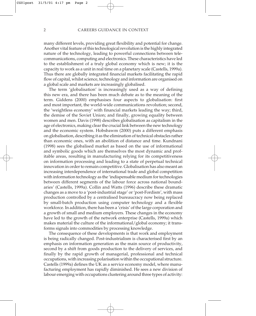many different levels, providing great flexibility and potential for change. Another vital feature of this technological revolution is the highly integrated nature of the technology, leading to powerful connections between telecommunications, computing and electronics. These characteristics have led to the establishment of a truly global economy which is new; it is the capacity to work as a unit in real time on a planetary scale (Castells, 1999a). Thus there are globally integrated financial markets facilitating the rapid flow of capital, whilst science, technology and information are organised on a global scale and markets are increasingly globalised.

The term 'globalisation' is increasingly used as a way of defining this new era, and there has been much debate as to the meaning of the term. Giddens (2000) emphasises four aspects to globalisation: first and most important, the world-wide communications revolution; second, the 'weightless economy' with financial markets leading the way; third, the demise of the Soviet Union; and finally, growing equality between women and men. Davis (1998) describes globalisation as capitalism in the age of electronics, making clear the crucial link between the new technology and the economic system. Hobsbawm (2000) puts a different emphasis on globalisation, describing it as the elimination of technical obstacles rather than economic ones, with an abolition of distance and time. Kundnani (1998) sees the globalised market as based on the use of informational and symbolic goods which are themselves the most dynamic and profitable areas, resulting in manufacturing relying for its competitiveness on information processing and leading to a state of perpetual technical innovation in order to remain competitive. Globalisation has also meant an increasing interdependence of international trade and global competition with information technology as the 'indispensable medium for technologies between different segments of the labour force across national boundaries' (Castells, 1999a). Collin and Watts (1996) describe these dramatic changes as a move to a 'post-industrial stage' or 'post-Fordism', with mass production controlled by a centralised bureaucracy now being replaced by small-batch production using computer technology and a flexible workforce. In addition, there has been a 'crisis' of the large corporation and a growth of small and medium employers. These changes in the economy have led to the growth of the network enterprise (Castells, 1999a) which makes material the culture of the informational/global economy; it transforms signals into commodities by processing knowledge.

The consequence of these developments is that work and employment is being radically changed. Post-industrialism is characterised first by an emphasis on information generation as the main source of productivity, second by a shift from goods production to the delivery of services, and finally by the rapid growth of managerial, professional and technical occupations, with increasing polarisation within the occupational structure. Castells (1999a) defines the UK as a service economy model, where manufacturing employment has rapidly diminished. He sees a new division of labour emerging with occupations clustering around three types of activity: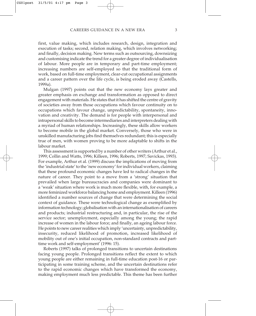first, value making, which includes research, design, integration and execution of tasks; second, relation making, which involves networking; and finally, decision making. New terms such as outsourcing, downsizing and customising indicate the trend for a greater degree of individualisation of labour. More people are in temporary and part-time employment; increasing numbers are self-employed so that the traditional form of work, based on full-time employment, clear-cut occupational assignments and a career pattern over the life cycle, is being eroded away (Castells, 1999a).

Mulgan (1997) points out that the new economy lays greater and greater emphasis on exchange and transformation as opposed to direct engagement with materials. He states that it has shifted the centre of gravity of societies away from those occupations which favour continuity on to occupations which favour change, unpredictability, spontaneity, innovation and creativity. The demand is for people with interpersonal and intrapersonal skills to become intermediaries and interpreters dealing with a myriad of human relationships. Increasingly, these skills allow workers to become mobile in the global market. Conversely, those who were in unskilled manufacturing jobs find themselves redundant; this is especially true of men, with women proving to be more adaptable to shifts in the labour market.

This assessment is supported by a number of other writers (Arthur et al., 1999; Collin and Watts, 1996; Killeen, 1996; Roberts, 1997; Savickas, 1993). For example, Arthur et al. (1999) discuss the implications of moving from the 'industrial state' to the 'new economy' for individual workers, claiming that these profound economic changes have led to radical changes in the nature of career. They point to a move from a 'strong' situation that prevailed when large bureaucracies and companies were dominant to a 'weak' situation where work is much more flexible, with, for example, a more feminized workforce balancing home and employment. Killeen (1996) identified a number sources of change that were determining the social context of guidance. These were technological change as exemplified by information technology; globalisation with an internationalisation of careers and products; industrial restructuring and, in particular, the rise of the service sector; unemployment, especially among the young; the rapid increase of women in the labour force; and finally, an ageing labour force. He points to new career realities which imply 'uncertainty, unpredictability, insecurity, reduced likelihood of promotion, increased likelihood of mobility out of one's initial occupation, non-standard contracts and parttime work and self-employment' (1996: 15).

Roberts (1997) talks of prolonged transitions to uncertain destinations facing young people. Prolonged transitions reflect the extent to which young people are either remaining in full-time education post-16 or participating in some training scheme, and the uncertain destinations refer to the rapid economic changes which have transformed the economy, making employment much less predictable. This theme has been further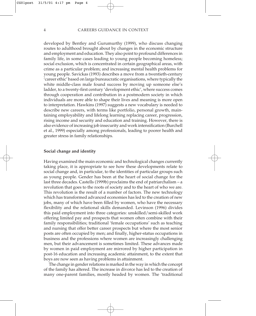developed by Bentley and Gurumurthy (1999), who discuss changing routes to adulthood brought about by changes in the economic structure and employment and education. They also point to profound differences in family life, in some cases leading to young people becoming homeless; social exclusion, which is concentrated in certain geographical areas, with crime as a particular problem; and increasing mental health problems for young people. Savickas (1993) describes a move from a twentieth-century 'career ethic' based on large bureaucratic organisations, where typically the white middle-class male found success by moving up someone else's ladder, to a twenty-first century 'development ethic', where success comes through cooperation and contribution in a postmodern society in which individuals are more able to shape their lives and meaning is more open to interpretation. Hawkins (1997) suggests a new vocabulary is needed to describe new careers, with terms like portfolio, personal growth, maintaining employability and lifelong learning replacing career, progression, rising income and security and education and training. However, there is also evidence of increasing job insecurity and work intensification (Burchell et al., 1999) especially among professionals, leading to poorer health and greater stress in family relationships.

#### **Social change and identity**

Having examined the main economic and technological changes currently taking place, it is appropriate to see how these developments relate to social change and, in particular, to the identities of particular groups such as young people. Gender has been at the heart of social change for the last three decades. Castells (1999b) proclaims the end of patriarchalism – a revolution that goes to the roots of society and to the heart of who we are. This revolution is the result of a number of factors. The new technology which has transformed advanced economies has led to the creation of new jobs, many of which have been filled by women, who have the necessary flexibility and the relational skills demanded. Levinson (1996) divides this paid employment into three categories: unskilled/semi-skilled work offering limited pay and prospects that women often combine with their family responsibilities; traditional 'female occupations' such as teaching and nursing that offer better career prospects but where the most senior posts are often occupied by men; and finally, higher-status occupations in business and the professions where women are increasingly challenging men, but their advancement is sometimes limited. These advances made by women in paid employment are mirrored by higher participation in post-16 education and increasing academic attainment, to the extent that boys are now seen as having problems in attainment.

The change in gender relations is marked in the way in which the concept of the family has altered. The increase in divorce has led to the creation of many one-parent families, mostly headed by women. The 'traditional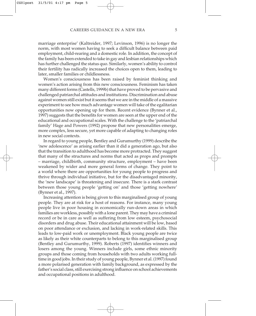marriage enterprise' (Kaltreider, 1997; Levinson, 1996) is no longer the norm, with most women having to seek a difficult balance between paid employment, child-rearing and a domestic role. In addition, the concept of the family has been extended to take in gay and lesbian relationships which has further challenged the status quo. Similarly, women's ability to control their fertility has radically increased the choices open to them, leading to later, smaller families or childlessness.

Women's consciousness has been raised by feminist thinking and women's action arising from this new consciousness. Feminism has taken many different forms (Castells, 1999b) that have proved to be pervasive and challenged patriarchal attitudes and institutions. Discrimination and abuse against women still exist but it seems that we are in the middle of a massive experiment to see how much advantage women will take of the egalitarian opportunities now opening up for them. Recent evidence (Bynner et al., 1997) suggests that the benefits for women are seen at the upper end of the educational and occupational scales. With the challenge to the 'patriarchal family' Hage and Powers (1992) propose that new personalities emerge, more complex, less secure, yet more capable of adapting to changing roles in new social contexts.

In regard to young people, Bentley and Gurumurthy (1999) describe the 'new adolescence' as arising earlier than it did a generation ago, but also that the transition to adulthood has become more protracted. They suggest that many of the structures and norms that acted as props and prompts – marriage, childbirth, community structure, employment – have been weakened by wider and more general forms of change. They point to a world where there are opportunities for young people to progress and thrive through individual initiative, but for the disadvantaged minority, the 'new landscape' is threatening and insecure. There is a stark contrast between those young people 'getting on' and those 'getting nowhere' (Bynner et al., 1997).

Increasing attention is being given to this marginalised group of young people. They are at risk for a host of reasons. For instance, many young people live in poor housing in economically run-down areas in which families are workless, possibly with a lone parent. They may have a criminal record or be in care as well as suffering from low esteem, psychosocial disorders and drug abuse. Their educational attainment will be low, based on poor attendance or exclusion, and lacking in work-related skills. This leads to low-paid work or unemployment. Black young people are twice as likely as their white counterparts to belong to this marginalised group (Bentley and Gurumurthy, 1999). Roberts (1997) identifies winners and losers among the young. Winners include girls, some ethnic minority groups and those coming from households with two adults working fulltime in good jobs. In their study of young people, Bynner et al. (1997) found a more polarised generation with family background, as expressed by the father's social class, still exercising strong influence on school achievements and occupational positions in adulthood.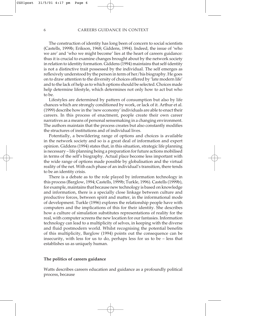The construction of identity has long been of concern to social scientists (Castells, 1999b; Erikson, 1968; Giddens, 1994). Indeed, the issue of 'who we are' and 'who we might become' lies at the heart of careers guidance: thus it is crucial to examine changes brought about by the network society in relation to identity formation. Giddens (1994) maintains that self-identity is not a distinctive trait possessed by the individual. The self emerges as reflexively understood by the person in term of her/his biography. He goes on to draw attention to the diversity of choices offered by 'late modern life' and to the lack of help as to which options should be selected. Choices made help determine lifestyle, which determines not only how to act but who to be.

Lifestyles are determined by pattern of consumption but also by life chances which are strongly conditioned by work, or lack of it. Arthur et al. (1999) describe how in the 'new economy' individuals are able to enact their careers. In this process of enactment, people create their own career narratives as a means of personal sensemaking in a changing environment. The authors maintain that the process creates but also constantly modifies the structures of institutions and of individual lives.

Potentially, a bewildering range of options and choices is available in the network society and so is a great deal of information and expert opinion. Giddens (1994) states that, in this situation, strategic life planning is necessary – life planning being a preparation for future actions mobilised in terms of the self's biography. Actual place become less important with the wide range of options made possible by globalisation and the virtual reality of the net. With each phase of an individual's transition, there tends to be an identity crisis.

There is a debate as to the role played by information technology in this process (Barglow, 1994; Castells, 1999b; Turkle, 1996). Castells (1999b), for example, maintains that because new technology is based on knowledge and information, there is a specially close linkage between culture and productive forces, between spirit and matter, in the informational mode of development. Turkle (1996) explores the relationship people have with computers and the implications of this for their identity. She describes how a culture of simulation substitutes representations of reality for the real, with computer screens the new location for our fantasies. Information technology can lead to a multiplicity of selves, in keeping with the diverse and fluid postmodern world. Whilst recognising the potential benefits of this multiplicity, Barglow (1994) points out the consequence can be insecurity, with less for us to do, perhaps less for us to be – less that establishes us as uniquely human.

#### **The politics of careers guidance**

Watts describes careers education and guidance as a profoundly political process, because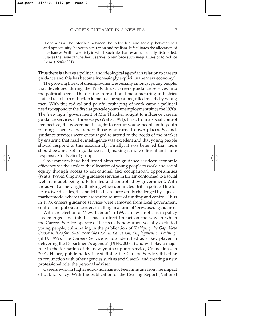It operates at the interface between the individual and society, between self and opportunity, between aspiration and realism. It facilitates the allocation of life chances. Within a society in which such life chances are unequally distributed, it faces the issue of whether it serves to reinforce such inequalities or to reduce them. (1996a: 351)

Thus there is always a political and ideological agenda in relation to careers guidance and this has become increasingly explicit in the 'new economy'.

The growing threat of unemployment, especially amongst young people, that developed during the 1980s thrust careers guidance services into the political arena. The decline in traditional manufacturing industries had led to a sharp reduction in manual occupations, filled mostly by young men. With this radical and painful reshaping of work came a political need to respond to the first large-scale youth unemployment since the 1930s. The 'new right' government of Mrs Thatcher sought to influence careers guidance services in three ways (Watts, 1991). First, from a social control perspective, the government sought to recruit young people onto youth training schemes and report those who turned down places. Second, guidance services were encouraged to attend to the needs of the market by ensuring that market intelligence was excellent and that young people should respond to this accordingly. Finally, it was believed that there should be a market in guidance itself, making it more efficient and more responsive to its client groups.

Governments have had broad aims for guidance services: economic efficiency via their role in the allocation of young people to work, and social equity through access to educational and occupational opportunities (Watts, 1996a). Originally, guidance services in Britain conformed to a social welfare model, being fully funded and controlled by government. With the advent of 'new right' thinking which dominated British political life for nearly two decades, this model has been successfully challenged by a quasimarket model where there are varied sources of funding and control. Thus in 1993, careers guidance services were removed from local government control and put out to tender, resulting in a form of 'privatised' guidance.

With the election of 'New Labour' in 1997, a new emphasis in policy has emerged and this has had a direct impact on the way in which the Careers Service operates. The focus is now upon socially excluded young people, culminating in the publication of '*Bridging the Gap: New Opportunities for 16–18 Year Olds Not in Education, Employment or Training*' (SEU, 1999). The Careers Service is now identified as a 'key player in delivering the Department's agenda' (DfEE, 2000a) and will play a major role in the formation of the new youth support service, Connexions, in 2001. Hence, public policy is redefining the Careers Service, this time in conjunction with other agencies such as social work, and creating a new professional role, the personal adviser.

Careers work in higher education has not been immune from the impact of public policy. With the publication of the Dearing Report (National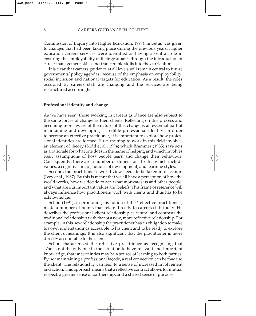Commission of Inquiry into Higher Education, 1997), impetus was given to changes that had been taking place during the previous years. Higher education careers services were identified as having a central role in ensuring the employability of their graduates through the introduction of career management skills and transferable skills into the curriculum.

It is clear that careers guidance at all levels will remain central to future governments' policy agendas, because of the emphasis on employability, social inclusion and national targets for education. As a result, the roles occupied by careers staff are changing and the services are being restructured accordingly.

#### **Professional identity and change**

As we have seen, those working in careers guidance are also subject to the same forces of change as their clients. Reflecting on this process and becoming more aware of the nature of this change is an essential part of maintaining and developing a credible professional identity. In order to become an effective practitioner, it is important to explore how professional identities are formed. First, training to work in this field involves an element of theory (Kidd et al., 1994) which Brammer (1985) says acts as a rationale for what one does in the name of helping and which involves basic assumptions of how people learn and change their behaviour. Consequently, there are a number of dimensions to this which include values, a cognitive 'map', notions of development, and learning styles.

Second, the practitioner's world view needs to be taken into account (Ivey et al., 1987). By this is meant that we all have a perception of how the world works, how we decide to act, what motivates us and other people, and what are our important values and beliefs. This frame of reference will always influence how practitioners work with clients and thus has to be acknowledged.

Schon (1991), in promoting his notion of the 'reflective practitioner', made a number of points that relate directly to careers staff today. He describes the professional–client relationship as central and contrasts the traditional relationship with that of a new, more reflective relationship. For example, in this new relationship the practitioner has an obligation to make his own understandings accessible to his client and to be ready to explore the client's meanings. It is also significant that the practitioner is more directly accountable to the client.

Schon characterised the reflective practitioner as recognising that s/he is not the only one in the situation to have relevant and important knowledge, that uncertainties may be a source of learning to both parties. By not maintaining a professional façade, a real connection can be made to the client. The relationship can lead to a sense of increased involvement and action. This approach means that a reflective contract allows for mutual respect, a greater sense of partnership, and a shared sense of purpose.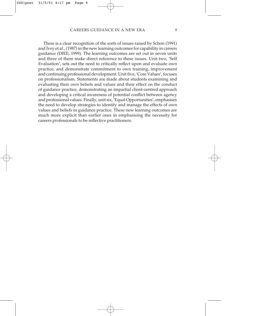There is a clear recognition of the sorts of issues raised by Schon (1991) and Ivey et al., (1987) in the new learning outcomes for capability in careers guidance (DfEE, 1999). The learning outcomes are set out in seven units and three of them make direct reference to these issues. Unit two, 'Self Evaluation', sets out the need to critically reflect upon and evaluate own practice, and demonstrate commitment to own training, improvement and continuing professional development. Unit five, 'Core Values', focuses on professionalism. Statements are made about students examining and evaluating their own beliefs and values and their effect on the conduct of guidance practice, demonstrating an impartial client-centred approach and developing a critical awareness of potential conflict between agency and professional values. Finally, unit six, 'Equal Opportunities', emphasises the need to develop strategies to identify and manage the effects of own values and beliefs in guidance practice. These new learning outcomes are much more explicit than earlier ones in emphasising the necessity for careers professionals to be reflective practitioners.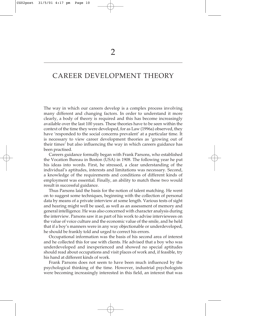# CAREER DEVELOPMENT THEORY

The way in which our careers develop is a complex process involving many different and changing factors. In order to understand it more clearly, a body of theory is required and this has become increasingly available over the last 100 years. These theories have to be seen within the context of the time they were developed, for as Law (1996a) observed, they have 'responded to the social concerns prevalent' at a particular time. It is necessary to view career development theories as 'growing out of their times' but also influencing the way in which careers guidance has been practised.

Careers guidance formally began with Frank Parsons, who established the Vocation Bureau in Boston (USA) in 1908. The following year he put his ideas into words. First, he stressed, a clear understanding of the individual's aptitudes, interests and limitations was necessary. Second, a knowledge of the requirements and conditions of different kinds of employment was essential. Finally, an ability to match these two would result in successful guidance.

Thus Parsons laid the basis for the notion of talent matching. He went on to suggest some techniques, beginning with the collection of personal data by means of a private interview at some length. Various tests of sight and hearing might well be used, as well as an assessment of memory and general intelligence. He was also concerned with character analysis during the interview. Parsons saw it as part of his work to advise interviewees on the value of voice culture and the economic value of the smile, and he held that if a boy's manners were in any way objectionable or underdeveloped, he should be frankly told and urged to correct his errors.

Occupational information was the basis of his second area of interest and he collected this for use with clients. He advised that a boy who was underdeveloped and inexperienced and showed no special aptitudes should read about occupations and visit places of work and, if feasible, try his hand at different kinds of work.

Frank Parsons does not seem to have been much influenced by the psychological thinking of the time. However, industrial psychologists were becoming increasingly interested in this field, an interest that was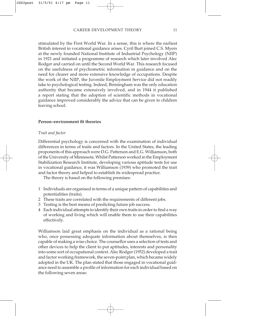stimulated by the First World War. In a sense, this is where the earliest British interest in vocational guidance arises. Cyril Burt joined C.S. Myers at the newly founded National Institute of Industrial Psychology (NIIP) in 1921 and initiated a programme of research which later involved Alec Rodger and carried on until the Second World War. This research focused on the usefulness of psychometric information in guidance and on the need for clearer and more extensive knowledge of occupations. Despite the work of the NIIP, the Juvenile Employment Service did not readily take to psychological testing. Indeed, Birmingham was the only education authority that became extensively involved, and in 1944 it published a report stating that the adoption of scientific methods in vocational guidance improved considerably the advice that can be given to children leaving school.

#### **Person–environment fit theories**

#### *Trait and factor*

Differential psychology is concerned with the examination of individual differences in terms of traits and factors. In the United States, the leading proponents of this approach were D.G. Patterson and E.G. Williamson, both of the University of Minnesota. Whilst Patterson worked in the Employment Stabilization Research Institute, developing various aptitude tests for use in vocational guidance, it was Williamson (1939) who promoted the trait and factor theory and helped to establish its widespread practice.

The theory is based on the following premises:

- 1 Individuals are organised in terms of a unique pattern of capabilities and potentialities (traits).
- 2 These traits are correlated with the requirements of different jobs.
- 3 Testing is the best means of predicting future job success.
- 4 Each individual attempts to identify their own traits in order to find a way of working and living which will enable them to use their capabilities effectively.

Williamson laid great emphasis on the individual as a rational being who, once possessing adequate information about themselves, is then capable of making a wise choice. The counsellor uses a selection of tests and other devices to help the client to put aptitudes, interests and personality into some sort of occupational context. Alec Rodger (1952) developed a trait and factor working framework, the seven-point plan, which became widely adopted in the UK. The plan stated that those engaged in vocational guidance need to assemble a profile of information for each individual based on the following seven areas: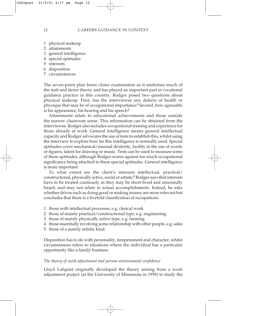- 1 physical makeup
- 2 attainments
- 3 general intelligence
- 4 special aptitudes
- 5 interests
- 6 disposition
- 7 circumstances.

The seven-point plan bears closer examination as it enshrines much of the trait and factor theory and has played an important part in vocational guidance practice in this country. Rodger posed two questions about physical makeup. First, has the interviewee any defects of health or physique that may be of occupational importance? Second, how agreeable is his appearance, his bearing and his speech?

Attainments relate to educational achievements and those outside the narrow classroom sense. This information can be obtained from the interviewee. Rodger also includes occupational training and experience for those already at work. General intelligence means general intellectual capacity and Rodger advocates the use of tests to establish this, whilst using the interview to explore how far this intelligence is normally used. Special aptitudes cover mechanical/manual dexterity, facility in the use of words or figures, talent for drawing or music. Tests can be used to measure some of these aptitudes, although Rodger warns against too much occupational significance being attached to these special aptitudes. General intelligence is more important.

To what extent are the client's interests intellectual, practical/ constructional, physically active, social or artistic? Rodger says that interests have to be treated cautiously as they may be short-lived and unsoundly based, and may not relate to actual accomplishments. Indeed, he asks whether drives such as doing good or making money are more relevant but concludes that there is a fivefold classification of occupations:

- 1 those with intellectual processes, e.g. clerical work
- 2 those of mainly practical/constructional type, e.g. engineering
- 3 those of mainly physically active type, e.g. farming
- 4 those essentially involving some relationship with other people, e.g. sales
- 5 those of a mainly artistic kind.

Disposition has to do with personality, temperament and character, whilst circumstances refers to situations where the individual has a particular opportunity like a family business.

### *The theory of work adjustment and person–environment confidence*

Lloyd Lofquist originally developed the theory arising from a work adjustment project (at the University of Minnesota in 1959) to study the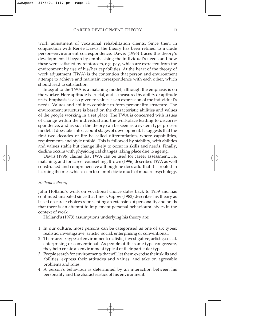work adjustment of vocational rehabilitation clients. Since then, in conjunction with Renée Dawis, the theory has been refined to include person–environment correspondence. Dawis (1996) traces the theory's development. It began by emphasising the individual's needs and how these were satisfied by reinforcers, e.g. pay, which are extracted from the environment by use of his/her capabilities. At the heart of the theory of work adjustment (TWA) is the contention that person and environment attempt to achieve and maintain correspondence with each other, which should lead to satisfaction.

Integral to the TWA is a matching model, although the emphasis is on the worker. Here aptitude is crucial, and is measured by ability or aptitude tests. Emphasis is also given to values as an expression of the individual's needs. Values and abilities combine to form personality structure. The environment structure is based on the characteristic abilities and values of the people working in a set place. The TWA is concerned with issues of change within the individual and the workplace leading to discorrespondence, and as such the theory can be seen as a system type process model. It does take into account stages of development. It suggests that the first two decades of life be called differentiation, where capabilities, requirements and style unfold. This is followed by stability, with abilities and values stable but change likely to occur in skills and needs. Finally, decline occurs with physiological changes taking place due to ageing.

Dawis (1996) claims that TWA can be used for career assessment, i.e. matching, and for career counselling. Brown (1996) describes TWA as well constructed and comprehensive although he does add that it is rooted in learning theories which seem too simplistic to much of modern psychology.

#### *Holland's theory*

John Holland's work on vocational choice dates back to 1959 and has continued unabated since that time. Osipow (1983) describes his theory as based on career choices representing an extension of personality and holds that there is an attempt to implement personal behavioural styles in the context of work.

Holland's (1973) assumptions underlying his theory are:

- 1 In our culture, most persons can be categorised as one of six types: realistic, investigative, artistic, social, enterprising or conventional.
- 2 There are six types of environment: realistic, investigative, artistic, social, enterprising or conventional. As people of the same type congregate, they help create an environment typical of their particular type.
- 3 People search for environments that will let them exercise their skills and abilities, express their attitudes and values, and take on agreeable problems and roles.
- 4 A person's behaviour is determined by an interaction between his personality and the characteristics of his environment.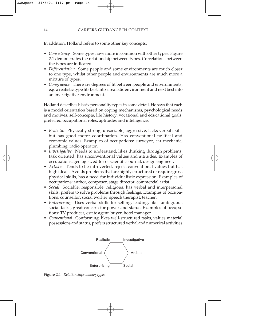In addition, Holland refers to some other key concepts:

- *Consistency* Some types have more in common with other types. Figure 2.1 demonstrates the relationship between types. Correlations between the types are indicated.
- *Differentiation* Some people and some environments are much closer to one type, whilst other people and environments are much more a mixture of types.
- *Congruence* There are degrees of fit between people and environments, e.g. a realistic type fits best into a realistic environment and next best into an investigative environment.

Holland describes his six personality types in some detail. He says that each is a model orientation based on coping mechanisms, psychological needs and motives, self-concepts, life history, vocational and educational goals, preferred occupational roles, aptitudes and intelligence.

- *Realistic* Physically strong, unsociable, aggressive, lacks verbal skills but has good motor coordination. Has conventional political and economic values. Examples of occupations: surveyor, car mechanic, plumbing, radio operator.
- *Investigative* Needs to understand, likes thinking through problems, task oriented, has unconventional values and attitudes. Examples of occupations: geologist, editor of scientific journal, design engineer.
- *Artistic* Tends to be introverted, rejects conventional values but has high ideals. Avoids problems that are highly structured or require gross physical skills, has a need for individualistic expression. Examples of occupations: author, composer, stage director, commercial artist.
- *Social* Sociable, responsible, religious, has verbal and interpersonal skills, prefers to solve problems through feelings. Examples of occupations: counsellor, social worker, speech therapist, teacher.
- *Enterprising* Uses verbal skills for selling, leading, likes ambiguous social tasks, great concern for power and status. Examples of occupations: TV producer, estate agent, buyer, hotel manager.
- *Conventional* Conforming, likes well-structured tasks, values material possessions and status, prefers structured verbal and numerical activities



Figure 2.1 *Relationships among types*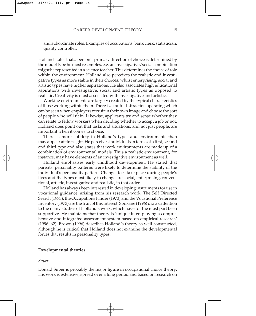and subordinate roles. Examples of occupations: bank clerk, statistician, quality controller.

Holland states that a person's primary direction of choice is determined by the model type he most resembles, e.g. an investigative/social combination might be represented in a science teacher. This determines the choice of role within the environment. Holland also perceives the realistic and investigative types as more stable in their choices, whilst enterprising, social and artistic types have higher aspirations. He also associates high educational aspirations with investigative, social and artistic types as opposed to realistic. Creativity is most associated with investigative and artistic.

Working environments are largely created by the typical characteristics of those working within them. There is a mutual attraction operating which can be seen when employers recruit in their own image and choose the sort of people who will fit in. Likewise, applicants try and sense whether they can relate to fellow workers when deciding whether to accept a job or not. Holland does point out that tasks and situations, and not just people, are important when it comes to choice.

There is more subtlety in Holland's types and environments than may appear at first sight. He perceives individuals in terms of a first, second and third type and also states that work environments are made up of a combination of environmental models. Thus a realistic environment, for instance, may have elements of an investigative environment as well.

Holland emphasises early childhood development. He stated that parents' personality patterns were likely to determine the stability of the individual's personality pattern. Change does take place during people's lives and the types most likely to change are social, enterprising, conventional, artistic, investigative and realistic, in that order.

Holland has always been interested in developing instruments for use in vocational guidance, arising from his research work. The Self Directed Search (1973), the Occupations Finder (1973) and the Vocational Preference Inventory (1973) are the fruit of this interest. Spokane (1996) draws attention to the many studies of Holland's work, which have for the most part been supportive. He maintains that theory is 'unique in employing a comprehensive and integrated assessment system based on empirical research' (1996: 62). Brown (1996) describes Holland's theory as well constructed, although he is critical that Holland does not examine the developmental forces that results in personality types.

#### **Developmental theories**

#### *Super*

Donald Super is probably the major figure in occupational choice theory. His work is extensive, spread over a long period and based on research on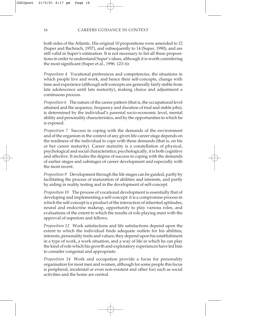both sides of the Atlantic. His original 10 propositions were amended to 12 (Super and Bachrach, 1957), and subsequently to 14 (Super, 1990), and are still valid in Super's estimation. It is not necessary to list all these propositions in order to understand Super's ideas, although it is worth considering the most significant (Super et al., 1996: 123–6):

*Proposition 4* Vocational preferences and competencies, the situations in which people live and work, and hence their self-concepts, change with time and experience (although self-concepts are generally fairly stable from late adolescence until late maturity), making choice and adjustment a continuous process.

*Proposition 6* The nature of the career pattern (that is, the occupational level attained and the sequence, frequency and duration of trial and stable jobs), is determined by the individual's parental socio-economic level, mental ability and personality characteristics, and by the opportunities to which he is exposed.

*Proposition 7* Success in coping with the demands of the environment and of the organism in the context of any given life-career stage depends on the readiness of the individual to cope with these demands (that is, on his or her career maturity). Career maturity is a constellation of physical, psychological and social characteristics; psychologically, it is both cognitive and affective. It includes the degree of success in coping with the demands of earlier stages and substages of career development and especially with the most recent.

*Proposition 9* Development through the life stages can be guided, partly by facilitating the process of maturation of abilities and interests, and partly by aiding in reality testing and in the development of self-concept.

*Proposition 10* The process of vocational development is essentially that of developing and implementing a self-concept: it is a compromise process in which the self-concept is a product of the interaction of inherited aptitudes, neural and endocrine makeup, opportunity to play various roles, and evaluations of the extent to which the results of role playing meet with the approval of superiors and fellows.

*Proposition 12* Work satisfactions and life satisfactions depend upon the extent to which the individual finds adequate outlets for his abilities, interests, personality traits and values; they depend upon his establishment in a type of work, a work situation, and a way of life in which he can play the kind of role which his growth and exploratory experiences have led him to consider congenial and appropriate.

*Proposition 14* Work and occupation provide a focus for personality organisation for most men and women, although for some people this focus is peripheral, incidental or even non-existent and other foci such as social activities and the home are central.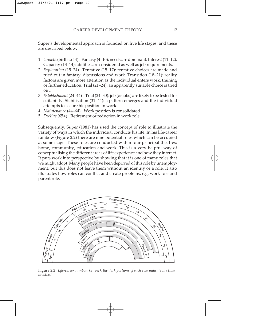Super's developmental approach is founded on five life stages, and these are described below.

- 1 *Growth* (birth to 14) Fantasy (4–10): needs are dominant. Interest (11–12). Capacity (13–14): abilities are considered as well as job requirements.
- 2 *Exploration* (15–24) Tentative (15–17): tentative choices are made and tried out in fantasy, discussions and work. Transition (18–21): reality factors are given more attention as the individual enters work, training or further education. Trial (21–24): an apparently suitable choice is tried out.
- 3 *Establishment*(24–44) Trial (24–30): job (or jobs) are likely to be tested for suitability. Stabilisation (31–44): a pattern emerges and the individual attempts to secure his position in work.
- 4 *Maintenance* (44–64) Work position is consolidated.
- 5 *Decline* (65+) Retirement or reduction in work role.

Subsequently, Super (1981) has used the concept of role to illustrate the variety of ways in which the individual conducts his life. In his life-career rainbow (Figure 2.2) there are nine potential roles which can be occupied at some stage. These roles are conducted within four principal theatres: home, community, education and work. This is a very helpful way of conceptualising the different areas of life experience and how they interact. It puts work into perspective by showing that it is one of many roles that we might adopt. Many people have been deprived of this role by unemployment, but this does not leave them without an identity or a role. It also illustrates how roles can conflict and create problems, e.g. work role and parent role.



Figure 2.2 *Life-career rainbow (Super): the dark portions of each role indicate the time involved*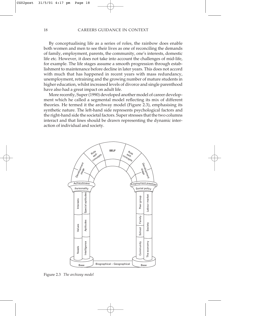By conceptualising life as a series of roles, the rainbow does enable both women and men to see their lives as one of reconciling the demands of family, employment, parents, the community, one's interests, domestic life etc. However, it does not take into account the challenges of mid-life, for example. The life stages assume a smooth progression through establishment to maintenance before decline in later years. This does not accord with much that has happened in recent years with mass redundancy, unemployment, retraining and the growing number of mature students in higher education, whilst increased levels of divorce and single parenthood have also had a great impact on adult life.

More recently, Super (1990) developed another model of career development which he called a segmental model reflecting its mix of different theories. He termed it the archway model (Figure 2.3), emphasising its synthetic nature. The left-hand side represents psychological factors and the right-hand side the societal factors. Super stresses that the two columns interact and that lines should be drawn representing the dynamic interaction of individual and society.



Figure 2.3 *The archway model*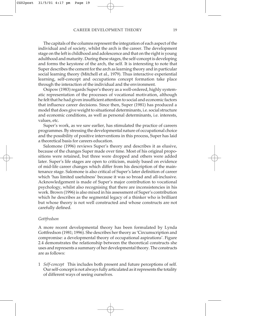The capitals of the columns represent the integration of each aspect of the individual and of society, whilst the arch is the career. The development stage on the left is childhood and adolescence and that on the right is young adulthood and maturity. During these stages, the self-concept is developing and forms the keystone of the arch, the self. It is interesting to note that Super describes the cement for the arch as learning theory and in particular social learning theory (Mitchell et al., 1979). Thus interactive experiential learning, self-concept and occupations concept formation take place through the interaction of the individual and the environment.

Osipow (1983) regards Super's theory as a well-ordered, highly systematic representation of the processes of vocational motivation, although he felt that he had given insufficient attention to social and economic factors that influence career decisions. Since then, Super (1981) has produced a model that does give weight to situational determinants, i.e. social structure and economic conditions, as well as personal determinants, i.e. interests, values, etc.

Super's work, as we saw earlier, has stimulated the practice of careers programmes. By stressing the developmental nature of occupational choice and the possibility of positive interventions in this process, Super has laid a theoretical basis for careers education.

Salomone (1996) reviews Super's theory and describes it as elusive, because of the changes Super made over time. Most of his original propositions were retained, but three were dropped and others were added later. Super's life stages are open to criticism, mainly based on evidence of mid-life career changes which differ from his description of the maintenance stage. Salomone is also critical of Super's later definition of career which 'has limited usefulness' because it was so broad and all-inclusive. Acknowledgement is made of Super's major contribution to vocational psychology, whilst also recognising that there are inconsistencies in his work. Brown (1996) is also mixed in his assessment of Super's contribution which he describes as the segmental legacy of a thinker who is brilliant but whose theory is not well constructed and whose constructs are not carefully defined.

#### *Gottfredson*

A more recent developmental theory has been formulated by Lynda Gottfredson (1981; 1996). She describes her theory as 'Circumscription and compromise: a developmental theory of occupational aspirations'. Figure 2.4 demonstrates the relationship between the theoretical constructs she uses and represents a summary of her developmental theory. The constructs are as follows:

1 *Self-concept* This includes both present and future perceptions of self. Our self-concept is not always fully articulated as it represents the totality of different ways of seeing ourselves.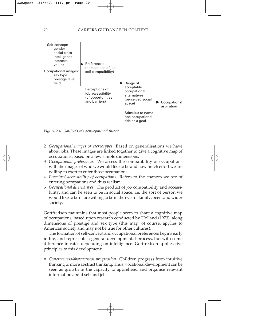

Figure 2.4 *Gottfredson's developmental theory*

- 2 *Occupational images or stereotypes* Based on generalisations we have about jobs. These images are linked together to give a cognitive map of occupations, based on a few simple dimensions.
- 3 *Occupational preferences* We assess the compatibility of occupations with the images of who we would like to be and how much effort we are willing to exert to enter those occupations.
- 4 *Perceived accessibility of occupations* Refers to the chances we see of entering occupations and thus realism.
- 5 *Occupational alternatives* The product of job compatibility and accessibility, and can be seen to be in social space, i.e. the sort of person we would like to be or are willing to be in the eyes of family, peers and wider society.

Gottfredson maintains that most people seem to share a cognitive map of occupations, based upon research conducted by Holland (1973), along dimensions of prestige and sex type (this map, of course, applies to American society and may not be true for other cultures).

The formation of self-concept and occupational preferences begins early in life, and represents a general developmental process, but with some difference in rates depending on intelligence. Gottfredson applies five principles to this development:

• *Concreteness/abstractness progression* Children progress from intuitive thinking to more abstract thinking. Thus, vocational development can be seen as growth in the capacity to apprehend and organise relevant information about self and jobs.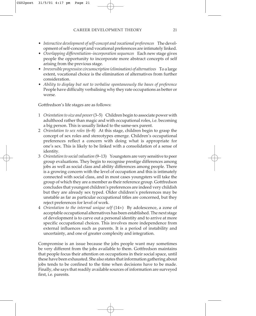- *Interactive development of self-concept and vocational preferences* The development of self-concept and vocational preferences are intimately linked.
- *Overlapping differentiation–incorporation sequences* Each new stage gives people the opportunity to incorporate more abstract concepts of self arising from the previous stage.
- *Irreversible progressive circumscription (elimination) of alternatives* To a large extent, vocational choice is the elimination of alternatives from further consideration.
- *Ability to display but not to verbalise spontaneously the bases of preference* People have difficulty verbalising why they rate occupations as better or worse.

Gottfredson's life stages are as follows:

- 1 *Orientation to size and power*(3–5) Children begin to associate power with adulthood rather than magic and with occupational roles, i.e. becoming a big person. This is usually linked to the same-sex parent.
- 2 *Orientation to sex roles* (6–8) At this stage, children begin to grasp the concept of sex roles and stereotypes emerge. Children's occupational preferences reflect a concern with doing what is appropriate for one's sex. This is likely to be linked with a consolidation of a sense of identity.
- 3 *Orientation to social valuation* (9–13) Youngsters are very sensitive to peer group evaluations. They begin to recognise prestige differences among jobs as well as social class and ability differences among people. There is a growing concern with the level of occupation and this is intimately connected with social class, and in most cases youngsters will take the group of which they are a member as their reference group. Gottfredson concludes that youngest children's preferences are indeed very childish but they are already sex typed. Older children's preferences may be unstable as far as particular occupational titles are concerned, but they reject preferences for level of work.
- 4 *Orientation to the internal unique self* (14+) By adolescence, a zone of acceptable occupational alternatives has been established. The next stage of development is to carve out a personal identity and to arrive at more specific occupational choices. This involves more independence from external influences such as parents. It is a period of instability and uncertainty, and one of greater complexity and integration.

Compromise is an issue because the jobs people want may sometimes be very different from the jobs available to them. Gottfredson maintains that people focus their attention on occupations in their social space, until these have been exhausted. She also states that information gathering about jobs tends to be confined to the time when decisions have to be made. Finally, she says that readily available sources of information are surveyed first, i.e. parents.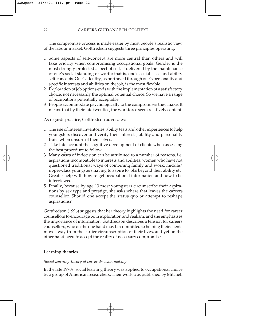The compromise process is made easier by most people's realistic view of the labour market. Gottfredson suggests three principles operating:

- 1 Some aspects of self-concept are more central than others and will take priority when compromising occupational goals. Gender is the most strongly protected aspect of self, if delivered by the maintenance of one's social standing or worth; that is, one's social class and ability self-concepts. One's identity, as portrayed through one's personality and specific interests and abilities on the job, is the most flexible.
- 2 Exploration of job options ends with the implementation of a satisfactory choice, not necessarily the optimal potential choice. So we have a range of occupations potentially acceptable.
- 3 People accommodate psychologically to the compromises they make. It means that by their late twenties, the workforce seem relatively content.

As regards practice, Gottfredson advocates:

- 1 The use of interest inventories, ability tests and other experiences to help youngsters discover and verify their interests, ability and personality traits when unsure of themselves.
- 2 Take into account the cognitive development of clients when assessing the best procedure to follow.
- 3 Many cases of indecision can be attributed to a number of reasons, i.e. aspirations incompatible to interests and abilities; women who have not questioned traditional ways of combining family and work; middle/ upper-class youngsters having to aspire to jobs beyond their ability etc.
- 4 Greater help with how to get occupational information and how to be interviewed.
- 5 Finally, because by age 13 most youngsters circumscribe their aspirations by sex type and prestige, she asks where that leaves the careers counsellor. Should one accept the status quo or attempt to reshape aspirations?

Gottfredson (1996) suggests that her theory highlights the need for career counsellors to encourage both exploration and realism, and she emphasises the importance of information. Gottfredson describes a tension for careers counsellors, who on the one hand may be committed to helping their clients move away from the earlier circumscription of their lives, and yet on the other hand need to accept the reality of necessary compromise.

## **Learning theories**

## *Social learning theory of career decision making*

In the late 1970s, social learning theory was applied to occupational choice by a group of American researchers. Their work was published by Mitchell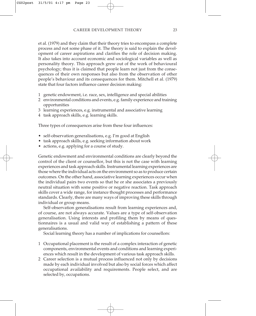et al. (1979) and they claim that their theory tries to encompass a complete process and not some phase of it. The theory is said to explain the development of career aspirations and clarifies the role of decision making. It also takes into account economic and sociological variables as well as personality theory. This approach grew out of the work of behavioural psychology; thus it is claimed that people learn not just from the consequences of their own responses but also from the observation of other people's behaviour and its consequences for them. Mitchell et al. (1979) state that four factors influence career decision making:

- 1 genetic endowment, i.e. race, sex, intelligence and special abilities
- 2 environmental conditions and events, e.g. family experience and training opportunities
- 3 learning experiences, e.g. instrumental and associative learning
- 4 task approach skills, e.g. learning skills.

Three types of consequences arise from these four influences:

- self-observation generalisations, e.g. I'm good at English
- task approach skills, e.g. seeking information about work
- actions, e.g. applying for a course of study.

Genetic endowment and environmental conditions are clearly beyond the control of the client or counsellor, but this is not the case with learning experiences and task approach skills. Instrumental learning experiences are those where the individual acts on the environment so as to produce certain outcomes. On the other hand, associative learning experiences occur when the individual pairs two events so that he or she associates a previously neutral situation with some positive or negative reaction. Task approach skills cover a wide range, for instance thought processes and performance standards. Clearly, there are many ways of improving these skills through individual or group means.

Self-observation generalisations result from learning experiences and, of course, are not always accurate. Values are a type of self-observation generalisation. Using interests and profiling them by means of questionnaires is a usual and valid way of establishing a pattern of these generalisations.

Social learning theory has a number of implications for counsellors:

- 1 Occupational placement is the result of a complex interaction of genetic components, environmental events and conditions and learning experiences which result in the development of various task approach skills.
- 2 Career selection is a mutual process influenced not only by decisions made by each individual involved but also by social forces which affect occupational availability and requirements. People select, and are selected by, occupations.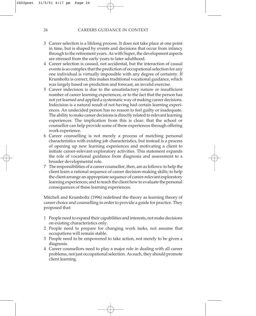- 3 Career selection is a lifelong process. It does not take place at one point in time, but is shaped by events and decisions that occur from infancy through to the retirement years. As with Super, the development aspects are stressed from the early years to later adulthood.
- 4 Career selection is caused, not accidental, but the interaction of causal events is so complex that the prediction of occupational selection for any one individual is virtually impossible with any degree of certainty. If Krumboltz is correct, this makes traditional vocational guidance, which was largely based on prediction and forecast, an invalid exercise.
- 5 Career indecision is due to the unsatisfactory nature or insufficient number of career learning experiences, or to the fact that the person has not yet learned and applied a systematic way of making career decisions. Indecision is a natural result of not having had certain learning experiences. An undecided person has no reason to feel guilty or inadequate. The ability to make career decisions is directly related to relevant learning experiences. The implication from this is clear: that the school or counsellor can help provide some of these experiences through offering work experience.
- 6 Career counselling is not merely a process of matching personal characteristics with existing job characteristics, but instead is a process of opening up new learning experiences and motivating a client to initiate career-relevant exploratory activities. This statement expands the role of vocational guidance from diagnosis and assessment to a broader developmental role.
- 7 The responsibilities of a career counsellor, then, are as follows: to help the client learn a rational sequence of career decision-making skills; to help the client arrange an appropriate sequence of career-relevant exploratory learning experiences; and to teach the client how to evaluate the personal consequences of these learning experiences.

Mitchell and Krumboltz (1996) redefined the theory as learning theory of career choice and counselling in order to provide a guide for practice. They proposed that:

- 1 People need to expand their capabilities and interests, not make decisions on existing characteristics only.
- 2 People need to prepare for changing work tasks, not assume that occupations will remain stable.
- 3 People need to be empowered to take action, not merely to be given a diagnosis.
- 4 Career counsellors need to play a major role in dealing with all career problems, not just occupational selection. As such, they should promote client learning.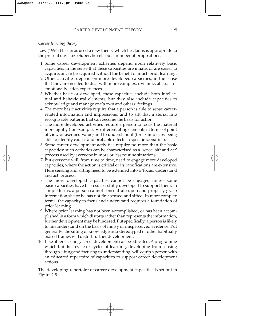### *Career learning theory*

Law (1996a) has produced a new theory which he claims is appropriate to the present day. Like Super, he sets out a number of propositions:

- 1 Some career development activities depend upon relatively basic capacities, in the sense that these capacities are innate, or are easier to acquire, or can be acquired without the benefit of much prior learning.
- 2 Other activities depend on more developed capacities, in the sense that they are needed to deal with more complex, dynamic, abstract or emotionally laden experiences.
- 3 Whether basic or developed, these capacities include both intellectual and behavioural elements, but they also include capacities to acknowledge and manage one's own and others' feelings.
- 4 The more basic activities require that a person is able to sense careerrelated information and impressions, and to sift that material into recognisable patterns that can become the basis for action.
- 5 The more developed activities require a person to focus the material more tightly (for example, by differentiating elements in terms of point of view or ascribed value) and to understand it (for example, by being able to identify causes and probable effects in specific scenarios).
- 6 Some career development activities require no more than the basic capacities: such activities can be characterised as a 'sense, sift and act' process used by everyone in more or less routine situations.
- 7 But everyone will, from time to time, need to engage more developed capacities, where the action is critical or its ramifications are extensive. Here sensing and sifting need to be extended into a 'focus, understand and act' process.
- 8 The more developed capacities cannot be engaged unless some basic capacities have been successfully developed to support them. In simple terms, a person cannot concentrate upon and properly grasp information she or he has not first sensed and sifted. In more complex terms, the capacity to focus and understand requires a foundation of prior learning.
- 9 Where prior learning has not been accomplished, or has been accomplished in a form which distorts rather than represents the information, further development may be hindered. Put specifically: a person is likely to misunderstand on the basis of flimsy or misperceived evidence. Put generally: the sifting of knowledge into stereotyped or other habitually biased frames will distort further development.
- 10 Like other learning, career development can be educated. A programme which builds a cycle or cycles of learning, developing from sensing through sifting and focusing to understanding, will equip a person with an educated repertoire of capacities to support career development actions.

The developing repertoire of career development capacities is set out in Figure 2.5.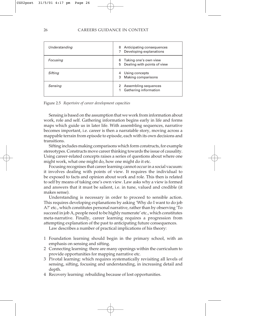| Understanding | Anticipating consequences<br>8<br>Developing explanations      |
|---------------|----------------------------------------------------------------|
| Focusing      | Taking one's own view<br>6<br>Dealing with points of view<br>5 |
| Sifting       | Using concepts<br>4<br>Making comparisons<br>3                 |
| Sensing       | Assembling sequences<br>2<br>Gathering information             |

Figure 2.5 *Repertoire of career development capacities*

Sensing is based on the assumption that we work from information about work, role and self. Gathering information begins early in life and forms maps which guide us in later life. With assembling sequences, narrative becomes important, i.e. career is then a narratable story, moving across a mappable terrain from episode to episode, each with its own decisions and transitions.

Sifting includes making comparisons which form constructs, for example stereotypes. Constructs move career thinking towards the issue of causality. Using career-related concepts raises a series of questions about where one might work, what one might do, how one might do it etc.

Focusing recognises that career learning cannot occur in a social vacuum: it involves dealing with points of view. It requires the individual to be exposed to facts and opinion about work and role. This then is related to self by means of taking one's own view. Law asks why a view is formed and answers that it must be salient, i.e. in tune, valued and credible (it makes sense).

Understanding is necessary in order to proceed to sensible action. This requires developing explanations by asking 'Why do I want to do job A?' etc., which constitutes personal narrative, rather than by observing 'To succeed in job A, people need to be highly numerate' etc., which constitutes meta-narrative. Finally, career learning requires a progression from attempting explanation of the past to anticipating future consequences.

Law describes a number of practical implications of his theory:

- 1 Foundation learning should begin in the primary school, with an emphasis on sensing and sifting.
- 2 Connecting learning: there are many openings within the curriculum to provide opportunities for mapping narrative etc.
- 3 Pivotal learning: which requires systematically revisiting all levels of sensing, sifting, focusing and understanding, in increasing detail and depth.
- 4 Recovery learning: rebuilding because of lost opportunities.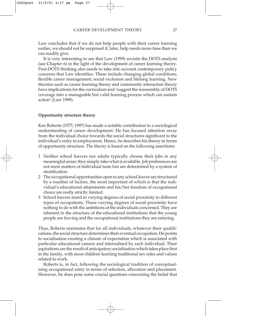Law concludes that if we do not help people with their career learning earlier, we should not be surprised if, later, help needs more time than we can readily give.

It is very interesting to see that Law (1999) revisits the DOTS analysis (see Chapter 6) in the light of the development of career learning theory. Post-DOTS thinking also needs to take into account contemporary policy concerns that Law identifies. These include changing global conditions, flexible career management, social exclusion and lifelong learning. New theories such as career learning theory and community interaction theory have implications for the curriculum and 'suggest the reassembly of DOTS coverage into a manageable but valid learning process which can sustain action' (Law 1999).

### **Opportunity structure theory**

Ken Roberts (1977; 1997) has made a notable contribution to a sociological understanding of career development. He has focused attention away from the individual choice towards the social structures significant to the individual's entry to employment. Hence, he describes his theory in terms of opportunity structure. The theory is based on the following assertions:

- 1 Neither school leavers nor adults typically choose their jobs in any meaningful sense; they simply take what is available. Job preferences are not mere matters of individual taste but are determined by a system of stratification.
- 2 The occupational opportunities open to any school leaver are structured by a number of factors, the most important of which is that the individual's educational attainments and his/her freedom of occupational choice are really strictly limited.
- 3 School leavers stand in varying degrees of social proximity to different types of occupations. These varying degrees of social proximity have nothing to do with the ambitions of the individuals concerned. They are inherent in the structure of the educational institutions that the young people are leaving and the occupational institutions they are entering.

Thus, Roberts maintains that for all individuals, whatever their qualifications, the social structure determines their eventual occupation. He points to socialisation creating a climate of expectation which is associated with particular educational careers and internalised by each individual. Their aspirations are the result of anticipatory socialisation which takes place first in the family, with most children learning traditional sex roles and values related to work.

Roberts is, in fact, following the sociological tradition of conceptualising occupational entry in terms of selection, allocation and placement. However, he does pose some crucial questions concerning the belief that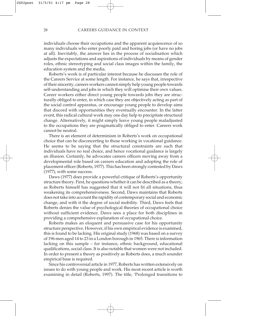individuals choose their occupations and the apparent acquiescence of so many individuals who enter poorly paid and boring jobs (or have no jobs at all). Inevitably, the answer lies in the process of socialisation which adjusts the expectations and aspirations of individuals by means of gender roles, ethnic stereotyping and social class images within the family, the education system and the media.

Roberts's work is of particular interest because he discusses the role of the Careers Service at some length. For instance, he says that, irrespective of their sincerity, careers workers cannot simply help young people towards self-understanding and jobs in which they will optimise their own values. Career workers either direct young people towards jobs they are structurally obliged to enter, in which case they are objectively acting as part of the social control apparatus, or encourage young people to develop aims that discord with opportunities they eventually encounter. In the latter event, this radical cultural work may one day help to precipitate structural change. Alternatively, it might simply leave young people maladjusted to the occupations they are pragmatically obliged to enter. Careers work cannot be neutral.

There is an element of determinism in Roberts's work on occupational choice that can be disconcerting to those working in vocational guidance. He seems to be saying that the structural constraints are such that individuals have no real choice, and hence vocational guidance is largely an illusion. Certainly, he advocates careers officers moving away from a developmental role based on careers education and adopting the role of placement officer (Roberts, 1977). This has been strongly contested by Daws (1977), with some success.

Daws (1977) does provide a powerful critique of Roberts's opportunity structure theory. First, he questions whether it can be described as a theory, as Roberts himself has suggested that it will not fit all situations, thus weakening its comprehensiveness. Second, Daws maintains that Roberts does not take into account the rapidity of contemporary social and economic change, and with it the degree of social mobility. Third, Daws feels that Roberts denies the value of psychological theories of occupational choice without sufficient evidence. Daws sees a place for both disciplines in providing a comprehensive explanation of occupational choice.

Roberts makes an eloquent and persuasive case for his opportunity structure perspective. However, if his own empirical evidence is examined, this is found to be lacking. His original study (1968) was based on a survey of 196 men aged 14 to 23 in a London borough in 1965. There is information lacking on this sample – for instance, ethnic background, educational qualifications, social class. It is also notable that women were not included. In order to present a theory as positively as Roberts does, a much sounder empirical base is required.

Since his controversial article in 1977, Roberts has written extensively on issues to do with young people and work. His most recent article is worth examining in detail (Roberts, 1997). The title, 'Prolonged transitions to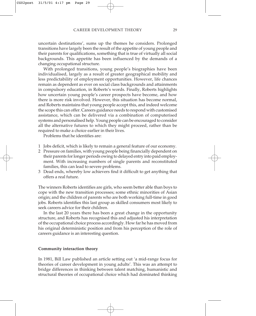uncertain destinations', sums up the themes he considers. Prolonged transitions have largely been the result of the appetite of young people and their parents for qualifications, something that is true of virtually all social backgrounds. This appetite has been influenced by the demands of a changing occupational structure.

With prolonged transitions, young people's biographies have been individualised, largely as a result of greater geographical mobility and less predictability of employment opportunities. However, life chances remain as dependent as ever on social class backgrounds and attainments in compulsory education, in Roberts's words. Finally, Roberts highlights how uncertain young people's career prospects have become, and how there is more risk involved. However, this situation has become normal, and Roberts maintains that young people accept this, and indeed welcome the scope this can offer. Careers guidance needs to respond with customised assistance, which can be delivered via a combination of computerised systems and personalised help. Young people can be encouraged to consider all the alternative futures to which they might proceed, rather than be required to make a choice earlier in their lives.

Problems that he identifies are:

- 1 Jobs deficit, which is likely to remain a general feature of our economy.
- 2 Pressure on families, with young people being financially dependent on their parents for longer periods owing to delayed entry into paid employment. With increasing numbers of single parents and reconstituted families, this can lead to severe problems.
- 3 Dead ends, whereby low achievers find it difficult to get anything that offers a real future.

The winners Roberts identifies are girls, who seem better able than boys to cope with the new transition processes; some ethnic minorities of Asian origin; and the children of parents who are both working full-time in good jobs. Roberts identifies this last group as skilled consumers most likely to seek careers advice for their children.

In the last 20 years there has been a great change in the opportunity structure, and Roberts has recognised this and adjusted his interpretation of the occupational choice process accordingly. How far he has moved from his original deterministic position and from his perception of the role of careers guidance is an interesting question.

#### **Community interaction theory**

In 1981, Bill Law published an article setting out 'a mid-range focus for theories of career development in young adults'. This was an attempt to bridge differences in thinking between talent matching, humanistic and structural theories of occupational choice which had dominated thinking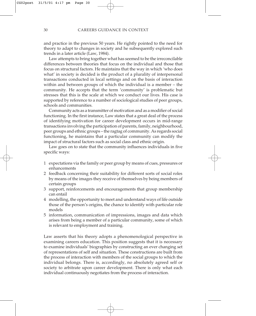and practice in the previous 50 years. He rightly pointed to the need for theory to adapt to changes in society and he subsequently explored such trends in a later article (Law, 1984).

Law attempts to bring together what has seemed to be the irreconcilable differences between theories that focus on the individual and those that focus on structural factors. He maintains that the way in which 'who does what' in society is decided is the product of a plurality of interpersonal transactions conducted in local settings and on the basis of interaction within and between groups of which the individual is a member – the community. He accepts that the term 'community' is problematic but stresses that this is the scale at which we conduct our lives. His case is supported by reference to a number of sociological studies of peer groups, schools and communities.

Community acts as a transmitter of motivation and as a modifier of social functioning. In the first instance, Law states that a great deal of the process of identifying motivation for career development occurs in mid-range transactions involving the participation of parents, family, neighbourhood, peer groups and ethnic groups – the ragtag of community. As regards social functioning, he maintains that a particular community can modify the impact of structural factors such as social class and ethnic origin.

Law goes on to state that the community influences individuals in five specific ways:

- 1 expectations via the family or peer group by means of cues, pressures or enhancements
- 2 feedback concerning their suitability for different sorts of social roles by means of the images they receive of themselves by being members of certain groups
- 3 support, reinforcements and encouragements that group membership can entail
- 4 modelling, the opportunity to meet and understand ways of life outside those of the person's origins, the chance to identify with particular role models
- 5 information, communication of impressions, images and data which arises from being a member of a particular community, some of which is relevant to employment and training.

Law asserts that his theory adopts a phenomenological perspective in examining careers education. This position suggests that it is necessary to examine individuals' biographies by constructing an ever changing set of representations of self and situation. These constructions are built from the process of interaction with members of the social groups to which the individual belongs. There is, accordingly, no absolutely agreed self or society to arbitrate upon career development. There is only what each individual continuously negotiates from the process of interaction.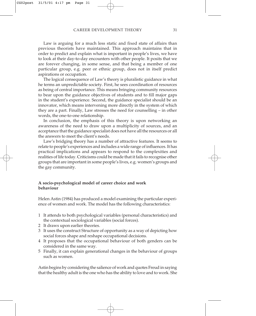Law is arguing for a much less static and fixed state of affairs than previous theorists have maintained. This approach maintains that in order to predict and explain what is important in people's lives, we have to look at their day-to-day encounters with other people. It posits that we are forever changing, in some sense, and that being a member of one particular group, e.g. peer or ethnic group, does not in itself predict aspirations or occupation.

The logical consequence of Law's theory is pluralistic guidance in what he terms an unpredictable society. First, he sees coordination of resources as being of central importance. This means bringing community resources to bear upon the guidance objectives of students and to fill major gaps in the student's experience. Second, the guidance specialist should be an innovator, which means intervening more directly in the system of which they are a part. Finally, Law stresses the need for counselling – in other words, the one-to-one relationship.

In conclusion, the emphasis of this theory is upon networking an awareness of the need to draw upon a multiplicity of sources, and an acceptance that the guidance specialist does not have all the resources or all the answers to meet the client's needs.

Law's bridging theory has a number of attractive features. It seems to relate to people's experiences and includes a wide range of influences. It has practical implications and appears to respond to the complexities and realities of life today. Criticisms could be made that it fails to recognise other groups that are important in some people's lives, e.g. women's groups and the gay community.

# **A socio-psychological model of career choice and work behaviour**

Helen Astin (1984) has produced a model examining the particular experience of women and work. The model has the following characteristics:

- 1 It attends to both psychological variables (personal characteristics) and the contextual sociological variables (social forces).
- 2 It draws upon earlier theories.
- 3 It uses the construct Structure of opportunity as a way of depicting how social forces shape and reshape occupational decisions.
- 4 It proposes that the occupational behaviour of both genders can be considered in the same way.
- 5 Finally, it can explain generational changes in the behaviour of groups such as women.

Astin begins by considering the salience of work and quotes Freud in saying that the healthy adult is the one who has the ability to love and to work. She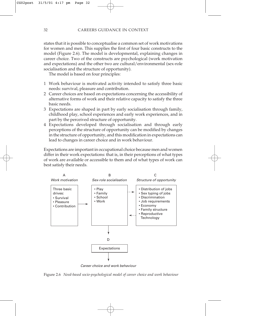states that it is possible to conceptualise a common set of work motivations for women and men. This supplies the first of four basic constructs to the model (Figure 2.6). The model is developmental, explaining changes in career choice. Two of the constructs are psychological (work motivation and expectations) and the other two are cultural/environmental (sex-role socialisation and the structure of opportunity).

The model is based on four principles:

- 1 Work behaviour is motivated activity intended to satisfy three basic needs: survival, pleasure and contribution.
- 2 Career choices are based on expectations concerning the accessibility of alternative forms of work and their relative capacity to satisfy the three basic needs.
- 3 Expectations are shaped in part by early socialisation through family, childhood play, school experiences and early work experiences, and in part by the perceived structure of opportunity.
- 4 Expectations developed through socialisation and through early perceptions of the structure of opportunity can be modified by changes in the structure of opportunity, and this modification in expectations can lead to changes in career choice and in work behaviour.

Expectations are important in occupational choice because men and women differ in their work expectations: that is, in their perceptions of what types of work are available or accessible to them and of what types of work can best satisfy their needs.



Career choice and work behaviour

Figure 2.6 *Need-based socio-psychological model of career choice and work behaviour*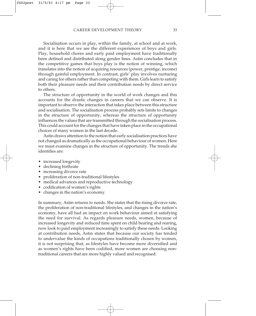Socialisation occurs in play, within the family, at school and at work, and it is here that we see the different experiences of boys and girls. Play, household chores and early paid employment have traditionally been defined and distributed along gender lines. Astin concludes that in the competitive games that boys play is the notion of winning, which translates into the notion of acquiring resources (power, prestige, income) through gainful employment. In contrast, girls' play involves nurturing and caring for others rather than competing with them. Girls learn to satisfy both their pleasure needs and their contribution needs by direct service to others.

The structure of opportunity in the world of work changes and this accounts for the drastic changes in careers that we can observe. It is important to observe the interaction that takes place between this structure and socialisation. The socialisation process probably sets limits to changes in the structure of opportunity, whereas the structure of opportunity influences the values that are transmitted through the socialisation process. This could account for the changes that have taken place in the occupational choices of many women in the last decade.

Astin draws attention to the notion that early socialisation practices have not changed as dramatically as the occupational behaviour of women. Here we must examine changes in the structure of opportunity. The trends she identifies are:

- increased longevity
- declining birthrate
- increasing divorce rate
- proliferation of non-traditional lifestyles
- medical advances and reproductive technology
- codification of women's rights
- changes in the nation's economy.

In summary, Astin returns to needs. She states that the rising divorce rate, the proliferation of non-traditional lifestyles, and changes in the nation's economy, have all had an impact on work behaviour aimed at satisfying the need for survival. As regards pleasure needs, women, because of increased longevity and reduced time spent on child bearing and rearing, now look to paid employment increasingly to satisfy these needs. Looking at contribution needs, Astin states that because our society has tended to undervalue the kinds of occupations traditionally chosen by women, it is not surprising that, as lifestyles have become more diversified and as women's rights have been codified, more women are choosing nontraditional careers that are more highly valued and recognised.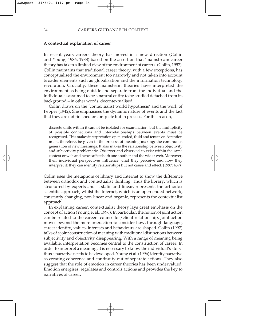## **A contextual explanation of career**

In recent years careers theory has moved in a new direction (Collin and Young, 1986; 1988) based on the assertion that 'mainstream career theory has taken a limited view of the environment of careers' (Collin, 1997). Collin maintains that traditional career theory, with a few exceptions, has conceptualised the environment too narrowly and not taken into account broader elements such as globalisation and the information technology revolution. Crucially, these mainsteam theories have interpreted the environment as being outside and separate from the individual and the individual is assumed to be a natural entity to be studied detached from its background – in other words, decontextualised.

Collin draws on the 'contextualist world hypothesis' and the work of Pepper (1942). She emphasises the dynamic nature of events and the fact that they are not finished or complete but in process. For this reason,

discrete units within it cannot be isolated for examination, but the multiplicity of possible connections and interrelationships between events must be recognised. This makes interpretation open-ended, fluid and tentative. Attention must, therefore, be given to the process of meaning making: the continuous generation of new meanings. It also makes the relationship between objectivity and subjectivity problematic. Observer and observed co-exist within the same context or web and hence affect both one another and the wider web. Moreover, their individual perspectives influence what they perceive and how they interpret it: they can identify relationships but not cause and effect. (1997: 439)

Collin uses the metaphors of library and Internet to show the difference between orthodox and contextualist thinking. Thus the library, which is structured by experts and is static and linear, represents the orthodox scientific approach; whilst the Internet, which is an open-ended network, constantly changing, non-linear and organic, represents the contextualist approach.

In explaining career, contextualist theory lays great emphasis on the concept of action (Young et al., 1996). In particular, the notion of joint action can be related to the careers-counsellor/client relationship. Joint action moves beyond the mere interaction to consider how, through language, career identity, values, interests and behaviours are shaped. Collin (1997) talks of a joint construction of meaning with traditional distinctions between subjectivity and objectivity disappearing. With a range of meaning being available, interpretation becomes central to the construction of career. In order to interpret a meaning, it is necessary to know the individual's story: thus a narrative needs to be developed. Young et al. (1996) identify narrative as creating coherence and continuity out of separate actions. They also suggest that the role of emotion in career theories has been undervalued. Emotion energises, regulates and controls actions and provides the key to narratives of career.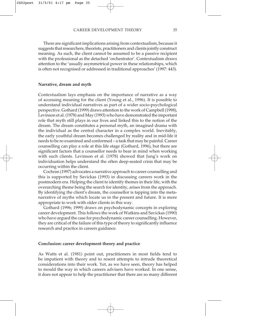There are significant implications arising from contextualism, because it suggests that researchers, theorists, practitioners and clients jointly construct meaning. As such, the client cannot be assumed to be a passive recipient with the professional as the detached 'orchestrator'. Contextualism draws attention to the 'usually asymmetrical power in these relationships, which is often not recognised or addressed in traditional approaches' (1997: 443).

#### **Narrative, dream and myth**

Contextualism lays emphasis on the importance of narrative as a way of accessing meaning for the client (Young et al., 1996). It is possible to understand individual narratives as part of a wider socio-psychological perspective. Gothard (1999) draws attention to the work of Campbell (1998), Levinson et al. (1978) and May (1993) who have demonstrated the important role that myth still plays in our lives and linked this to the notion of the dream. The dream constitutes a personal myth, an imagined drama with the individual as the central character in a complex world. Inevitably, the early youthful dream becomes challenged by reality and in mid-life it needs to be re-examined and conformed – a task that may be painful. Career counselling can play a role at this life stage (Gothard, 1996), but there are significant factors that a counsellor needs to bear in mind when working with such clients. Levinson et al. (1978) showed that Jung's work on individuation helps understand the often deep-seated crisis that may be occurring within the client.

Cochran (1997) advocates a narrative approach to career counselling and this is supported by Savickas (1993) in discussing careers work in the postmodern era. Helping the client to identify themes in their life, with the overarching theme being the search for identity, arises from the approach. By identifying the client's dream, the counsellor is tapping into the metanarrative of myths which locate us in the present and future. It is more appropriate to work with older clients in this way.

Gothard (1996; 1999) draws on psychodynamic concepts in exploring career development. This follows the work of Watkins and Savickas (1990) who have argued the case for psychodynamic career counselling. However, they are critical of the failure of this type of theory to significantly influence research and practice in careers guidance.

# **Conclusion: career development theory and practice**

As Watts et al. (1981) point out, practitioners in most fields tend to be impatient with theory and to resent attempts to intrude theoretical considerations into their work. Yet, as we have seen, theory has helped to mould the way in which careers advisers have worked. In one sense, it does not appear to help the practitioner that there are so many different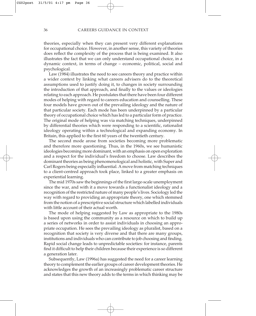theories, especially when they can present very different explanations for occupational choice. However, in another sense, this variety of theories does reflect the complexity of the process that is being examined. It also illustrates the fact that we can only understand occupational choice, in a dynamic context, in terms of change – economic, political, social and psychological.

Law (1984) illustrates the need to see careers theory and practice within a wider context by linking what careers advisers do to the theoretical assumptions used to justify doing it, to changes in society surrounding the introduction of that approach, and finally to the values or ideologies relating to each approach. He postulates that there have been four different modes of helping with regard to careers education and counselling. These four models have grown out of the prevailing ideology and the nature of that particular society. Each mode has been underpinned by a particular theory of occupational choice which has led to a particular form of practice. The original mode of helping was via matching techniques, underpinned by differential theories which were responding to a scientific, rationalist ideology operating within a technological and expanding economy. In Britain, this applied to the first 60 years of the twentieth century.

The second mode arose from societies becoming more problematic and therefore more questioning. Thus, in the 1960s, we see humanistic ideologies becoming more dominant, with an emphasis on open exploration and a respect for the individual's freedom to choose. Law describes the dominant theories as being phenomenological and holistic, with Super and Carl Rogers being especially influential. A move from matching techniques to a client-centred approach took place, linked to a greater emphasis on experiential learning.

The mid 1970s saw the beginnings of the first large-scale unemployment since the war, and with it a move towards a functionalist ideology and a recognition of the restricted nature of many people's lives. Sociology led the way with regard to providing an appropriate theory, one which stemmed from the notion of a prescriptive social structure which labelled individuals with little account of their actual worth.

The mode of helping suggested by Law as appropriate to the 1980s is based upon using the community as a resource on which to build up a series of networks in order to assist individuals in choosing an appropriate occupation. He sees the prevailing ideology as pluralist, based on a recognition that society is very diverse and that there are many groups, institutions and individuals who can contribute to job choosing and finding. Rapid social change leads to unpredictable societies: for instance, parents find it difficult to help their children because their experience is so different a generation later.

Subsequently, Law (1996a) has suggested the need for a career learning theory to complement the earlier groups of career development theories. He acknowledges the growth of an increasingly problematic career structure and states that this new theory adds to the terms in which thinking may be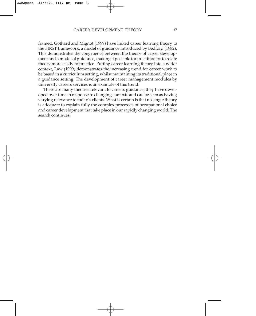framed. Gothard and Mignot (1999) have linked career learning theory to the FIRST framework, a model of guidance introduced by Bedford (1982). This demonstrates the congruence between the theory of career development and a model of guidance, making it possible for practitioners to relate theory more easily to practice. Putting career learning theory into a wider context, Law (1999) demonstrates the increasing trend for career work to be based in a curriculum setting, whilst maintaining its traditional place in a guidance setting. The development of career management modules by university careers services is an example of this trend.

There are many theories relevant to careers guidance; they have developed over time in response to changing contexts and can be seen as having varying relevance to today's clients. What is certain is that no single theory is adequate to explain fully the complex processes of occupational choice and career development that take place in our rapidly changing world. The search continues!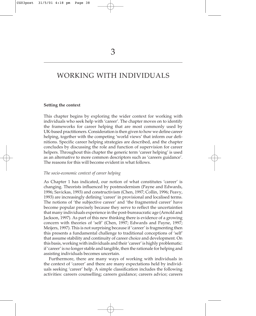# WORKING WITH INDIVIDUALS

#### **Setting the context**

This chapter begins by exploring the wider context for working with individuals who seek help with 'career'. The chapter moves on to identify the frameworks for career helping that are most commonly used by UK-based practitioners. Consideration is then given to how we define career helping, together with the competing 'world views' that inform our definitions. Specific career helping strategies are described, and the chapter concludes by discussing the role and function of supervision for career helpers. Throughout this chapter the generic term 'career helping' is used as an alternative to more common descriptors such as 'careers guidance'. The reasons for this will become evident in what follows.

## *The socio-economic context of career helping*

As Chapter 1 has indicated, our notion of what constitutes 'career' is changing. Theorists influenced by postmodernism (Payne and Edwards, 1996; Savickas, 1993) and constructivism (Chen, 1997; Collin, 1996; Peavy, 1993) are increasingly defining 'career' in provisional and localised terms. The notions of 'the subjective career' and 'the fragmented career' have become popular precisely because they serve to reflect the uncertainties that many individuals experience in the post-bureaucratic age (Arnold and Jackson, 1997). As part of this new thinking there is evidence of a growing concern with theories of 'self' (Chen, 1997; Edwards and Payne, 1997; Meijers, 1997). This is not surprising because if 'career' is fragmenting then this presents a fundamental challenge to traditional conceptions of 'self' that assume stability and continuity of career choice and development. On this basis, working with individuals and their 'career' is highly problematic: if 'career' is no longer stable and tangible, then the rationale for helping and assisting individuals becomes uncertain.

Furthermore, there are many ways of working with individuals in the context of 'career' and there are many expectations held by individuals seeking 'career' help. A simple classification includes the following activities: careers counselling; careers guidance; careers advice; careers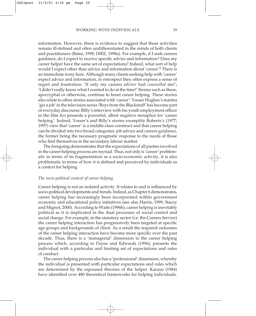information. However, there is evidence to suggest that these activities remain ill-defined and often undifferentiated in the minds of both clients and practitioners (Bates, 1998; DfEE, 1998a). For example, if I seek careers guidance, do I expect to receive specific advice and information? Does my career helper have the same set of expectations? Indeed, what sort of help would I expect other than advice and information about 'career'? There is an immediate irony here. Although many clients seeking help with 'career' expect advice and information, in retrospect they often express a sense of regret and frustration: 'If only my careers *adviser* had *counselled* me!'; 'I didn't really know what I wanted to do at the time!' Stories such as these, apocryphal or otherwise, continue to beset career helping. These stories also relate to other stories associated with 'career': Yosser Hughes's mantra 'giz a job' in the television series 'Boys from the Blackstuff' has become part of everyday discourse; Billy's interview with his youth employment officer in the film *Kes* presents a powerful, albeit negative metaphor for 'career helping'. Indeed, Yosser's and Billy's stories exemplify Roberts's (1977; 1997) view that 'career' is a middle-class construct and that career helping can be divided into two broad categories: job advice and careers guidance, the former being the necessary pragmatic response to the needs of those who find themselves in the secondary labour market.

The foregoing demonstrates that the expectations of all parties involved in the career helping process are myriad. Thus, not only is 'career' problematic in terms of its fragmentation as a socio-economic activity, it is also problematic in terms of how it is defined and perceived by individuals as a context for helping.

#### *The socio-political context of career helping*

Career helping is not an isolated activity. It relates to and is influenced by socio-political developments and trends. Indeed, as Chapter 6 demonstrates, career helping has increasingly been incorporated within government economic and educational policy initiatives (see also Harris, 1999; Stacey and Mignot, 2000). According to Watts (1996b), career helping is inevitably political as it is implicated in the dual processes of social control and social change. For example, in the statutory sector (i.e. the Careers Service) the career helping interaction has progressively been targeted at specific age groups and backgrounds of client. As a result the required outcomes of the career helping interaction have become more specific over the past decade. Thus, there is a 'managerial' dimension to the career helping process which, according to Payne and Edwards (1996), presents the individual with a particular and limiting set of expectations and rules of conduct.

The career helping process also has a 'professional' dimension, whereby the individual is presented with particular expectations and rules which are determined by the espoused theories of the helper. Karasu (1984) have identified over 480 theoretical frameworks for helping individuals.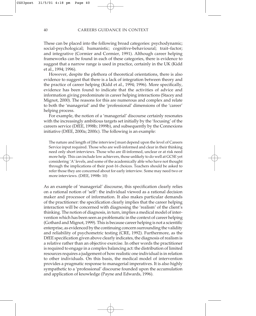These can be placed into the following broad categories: psychodynamic; social-psychological; humanistic; cognitive-behavioural; trait–factor; and integrative (Cormier and Cormier, 1991). Although career helping frameworks can be found in each of these categories, there is evidence to suggest that a narrow range is used in practice, certainly in the UK (Kidd et al., 1994; 1996).

However, despite the plethora of theoretical orientations, there is also evidence to suggest that there is a lack of integration between theory and the practice of career helping (Kidd et al., 1994; 1996). More specifically, evidence has been found to indicate that the activities of advice and information giving predominate in career helping interactions (Stacey and Mignot, 2000). The reasons for this are numerous and complex and relate to both the 'managerial' and the 'professional' dimensions of the 'career' helping process.

For example, the notion of a 'managerial' discourse certainly resonates with the increasingly ambitious targets set initially by the 'focusing' of the careers service (DfEE, 1998b; 1999b), and subsequently by the Connexions initiative (DfEE, 2000a; 2000c). The following is an example:

The nature and length of [the interview] must depend upon the level of Careers Service input required. Those who are well-informed and clear in their thinking need only short interviews. Those who are ill-informed, unclear or at risk need more help. This can include low achievers, those unlikely to do well at GCSE yet considering 'A' levels, and some of the academically able who have not thought through the implications of their post-16 choices. Teachers should be asked to refer those they are concerned about for early interview. Some may need two or more interviews. (DfEE, 1998b: 10)

As an example of 'managerial' discourse, this specification clearly relies on a rational notion of 'self': the individual viewed as a rational decision maker and processor of information. It also makes particular demands of the practitioner: the specification clearly implies that the career helping interaction will be concerned with diagnosing the 'realism' of the client's thinking. The notion of diagnosis, in turn, implies a medical model of intervention which has been seen as problematic in the context of career helping (Gothard and Mignot, 1999). This is because career helping is not a scientific enterprise, as evidenced by the continuing concern surrounding the validity and reliability of psychometric testing (CRE, 1992). Furthermore, as the DfEE specification given above clearly indicates, the diagnosis of realism is a relative rather than an objective exercise. In other words the practitioner is required to engage in a complex balancing act: the distribution of limited resources requires a judgement of how realistic one individual is in relation to other individuals. On this basis, the medical model of intervention provides a pragmatic response to managerial imperatives. It is also highly sympathetic to a 'professional' discourse founded upon the accumulation and application of knowledge (Payne and Edwards, 1996).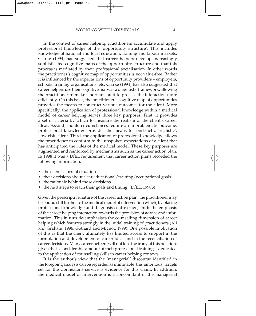In the context of career helping, practitioners accumulate and apply professional knowledge of the 'opportunity structure'. This includes knowledge of national and local education, training and labour markets. Clarke (1994) has suggested that career helpers develop increasingly sophisticated cognitive maps of the opportunity structure and that this process is mediated by their professional socialisation. In other words the practitioner's cognitive map of opportunities is not value-free. Rather it is influenced by the expectations of opportunity providers – employers, schools, training organisations, etc. Clarke (1994) has also suggested that career helpers use their cognitive maps as a diagnostic framework, allowing the practitioner to make 'shortcuts' and to process the interaction more efficiently. On this basis, the practitioner's cognitive map of opportunities provides the means to construct various outcomes for the client. More specifically, the application of professional knowledge within a medical model of career helping serves three key purposes. First, it provides a set of criteria by which to measure the realism of the client's career ideas. Second, should circumstances require an unproblematic outcome, professional knowledge provides the means to construct a 'realistic', 'low-risk' client. Third, the application of professional knowledge allows the practitioner to conform to the unspoken expectations of a client that has anticipated the rules of the medical model. These key purposes are augmented and reinforced by mechanisms such as the career action plan. In 1998 it was a DfEE requirement that career action plans recorded the following information:

- the client's current situation
- their decisions about clear educational/training/occupational goals
- the rationale behind those decisions
- the next steps to reach their goals and timing. (DfEE, 1998b)

Given the prescriptive nature of the career action plan, the practitioner may be bound still further to the medical model of intervention which, by placing professional knowledge and diagnosis centre stage, shifts the emphasis of the career helping interaction towards the provision of advice and information. This in turn de-emphasises the counselling dimension of career helping which features strongly in the initial training of practitioners (Ali and Graham, 1996; Gothard and Mignot, 1999). One possible implication of this is that the client ultimately has limited access to support in the formulation and development of career ideas and in the reconciliation of career decisions. Many career helpers will not lose the irony of this position, given that a considerable amount of their professional training is dedicated to the application of counselling skills in career helping contexts.

It is the author's view that the 'managerial' discourse identified in the foregoing analysis can be regarded as immutable; the 'ambitious' targets set for the Connexions service is evidence for this claim. In addition, the medical model of intervention is a concomitant of the managerial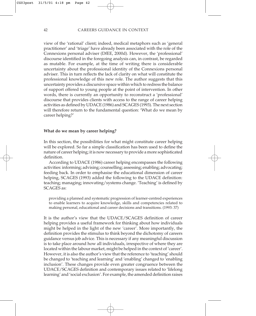view of the 'rational' client; indeed, medical metaphors such as 'general practitioner' and 'triage' have already been associated with the role of the Connexions personal adviser (DfEE, 2000d). However, the 'professional' discourse identified in the foregoing analysis can, in contrast, be regarded as mutable. For example, at the time of writing there is considerable uncertainty about the professional identity of the Connexions personal adviser. This in turn reflects the lack of clarity on what will constitute the professional knowledge of this new role. The author suggests that this uncertainty provides a discursive space within which to redress the balance of support offered to young people at the point of intervention. In other words, there is currently an opportunity to reconstruct a 'professional' discourse that provides clients with access to the range of career helping activities as defined by UDACE (1986) and SCAGES (1993). The next section will therefore return to the fundamental question: 'What do we mean by career helping?'

## **What do we mean by career helping?**

In this section, the possibilities for what might constitute career helping will be explored. So far a simple classification has been used to define the nature of career helping; it is now necessary to provide a more sophisticated definition.

According to UDACE (1986) career helping encompasses the following activities: informing; advising; counselling; assessing; enabling; advocating; feeding back. In order to emphasise the educational dimension of career helping, SCAGES (1993) added the following to the UDACE definition: teaching; managing; innovating/systems change. 'Teaching' is defined by SCAGES as:

providing a planned and systematic progression of learner-centred experiences to enable learners to acquire knowledge, skills and competencies related to making personal, educational and career decisions and transitions. (1993: 37)

It is the author's view that the UDACE/SCAGES definition of career helping provides a useful framework for thinking about how individuals might be helped in the light of the new 'career'. More importantly, the definition provides the stimulus to think beyond the dichotomy of careers guidance versus job advice. This is necessary if any meaningful discussion is to take place around how all individuals, irrespective of where they are located within the labour market, might be helped in the context of 'career'. However, it is also the author's view that the reference to 'teaching' should be changed to 'teaching and learning' and 'enabling' changed to 'enabling inclusion'. These changes provide even greater congruence between the UDACE/SCAGES definition and contemporary issues related to 'lifelong learning' and 'social exclusion'. For example, the amended definition raises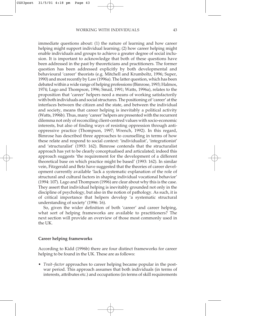immediate questions about: (1) the nature of learning and how career helping might support individual learning; (2) how career helping might enable individuals and groups to achieve a greater degree of social inclusion. It is important to acknowledge that both of these questions have been addressed in the past by theoreticians and practitioners. The former question has been addressed explicitly by both developmental and behavioural 'career' theorists (e.g. Mitchell and Krumboltz, 1996; Super, 1990) and most recently by Law (1996a). The latter question, which has been debated within a wide range of helping professions (Bimrose, 1993; Halmos, 1974; Lago and Thompson, 1996; Smail, 1991; Watts, 1996a), relates to the proposition that 'career' helpers need a means of working satisfactorily with both individuals and social structures. The positioning of 'career' at the interfaces between the citizen and the state, and between the individual and society, means that career helping is inevitably a political activity (Watts, 1996b). Thus, many 'career' helpers are presented with the recurrent dilemma not only of reconciling client-centred values with socio-economic interests, but also of finding ways of resisting oppression through antioppressive practice (Thompson, 1997; Wrench, 1992). In this regard, Bimrose has described three approaches to counselling in terms of how these relate and respond to social context: 'individualist', 'integrationist' and 'structuralist' (1993: 162). Bimrose contends that the structuralist approach has yet to be clearly conceptualised and articulated; indeed this approach suggests 'the requirement for the development of a different theoretical base on which practice might be based' (1993: 162). In similar vein, Fitzgerald and Betz have suggested that the theories of career development currently available 'lack a systematic explanation of the role of structural and cultural factors in shaping individual vocational behavior' (1994: 107). Lago and Thompson (1996) are clear about why this is the case. They assert that individual helping is inevitably grounded not only in the discipline of psychology, but also in the notion of pathology. As such, it is of critical importance that helpers develop 'a systematic structural understanding of society' (1996: 16).

So, given the wider definition of both 'career' and career helping, what sort of helping frameworks are available to practitioners? The next section will provide an overview of those most commonly used in the UK.

## **Career helping frameworks**

According to Kidd (1996b) there are four distinct frameworks for career helping to be found in the UK. These are as follows:

• *Trait–factor* approaches to career helping became popular in the postwar period. This approach assumes that both individuals (in terms of interests, attributes etc.) and occupations (in terms of skill requirements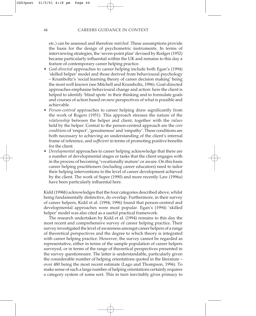etc.) can be assessed and therefore *matched*. These assumptions provide the basis for the design of psychometric instruments. In terms of interviewing strategies, the 'seven-point plan' devised by Rodger (1952) became particularly influential within the UK and remains to this day a feature of contemporary career helping practice.

- *Goal-directed* approaches to career helping include both Egan's (1994) 'skilled helper' model and those derived from behavioural psychology – Krumboltz's 'social learning theory of career decision making' being the most well known (see Mitchell and Krumboltz, 1996). Goal-directed approaches emphasise behavioural change and action: here the client is helped to identify 'blind spots' in their thinking and to formulate goals and courses of action based on new perspectives of what is possible and achievable.
- *Person-centred* approaches to career helping draw significantly from the work of Rogers (1951). This approach stresses the nature of the *relationship* between the helper and client, together with the *values* held by the helper. Central to the person-centred approach are the *core conditions* of 'respect', 'genuineness' and 'empathy'. These conditions are both necessary to achieving an understanding of the client's internal frame of reference, and *sufficient* in terms of promoting positive benefits for the client.
- *Developmental* approaches to career helping acknowledge that there are a number of developmental stages or tasks that the client engages with in the process of becoming 'vocationally mature' or aware. On this basis career helping practitioners (including career educators) need to tailor their helping interventions to the level of career development achieved by the client. The work of Super (1990) and more recently Law (1996a) have been particularly influential here.

Kidd (1996b) acknowledges that the four categories described above, whilst being fundamentally distinctive, do overlap. Furthermore, in their survey of career helpers, Kidd et al. (1994; 1996) found that person-centred and developmental approaches were most popular. Egan's (1994) 'skilled helper' model was also cited as a useful practical framework.

The research undertaken by Kidd et al. (1994) remains to this day the most recent and comprehensive survey of career helping practice. Their survey investigated the level of awareness amongst career helpers of a range of theoretical perspectives and the degree to which theory is integrated with career helping practice. However, the survey cannot be regarded as representative, either in terms of the sample population of career helpers surveyed, or in terms of the range of theoretical perspectives presented in the survey questionnaire. The latter is understandable, particularly given the considerable number of helping orientations quoted in the literature – over 480 being the most recent estimate (Lago and Thompson, 1996). To make sense of such a large number of helping orientations certainly requires a category system of some sort. This in turn inevitably gives primacy to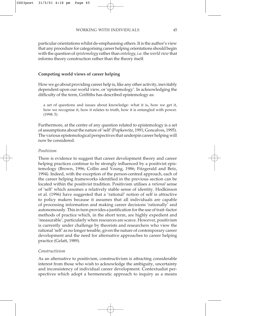particular orientations whilst de-emphasising others. It is the author's view that any procedure for categorising career helping orientations should begin with the question of *epistemology* rather than *ontology*, i.e. the *world view* that informs theory construction rather than the theory itself.

# **Competing world views of career helping**

How we go about providing career help is, like any other activity, inevitably dependent upon our world view, or 'epistemology'. In acknowledging the difficulty of the term, Griffiths has described epistemology as:

a set of questions and issues about knowledge: what it is, how we get it, how we recognise it, how it relates to truth, how it is entangled with power. (1998: 5)

Furthermore, at the centre of any question related to epistemology is a set of assumptions about the nature of 'self' (Popkewitz, 1991; Goncalves, 1995). The various epistemological perspectives that underpin career helping will now be considered.

# *Positivism*

There is evidence to suggest that career development theory and career helping practices continue to be strongly influenced by a positivist epistemology (Brown, 1996; Collin and Young, 1986; Fitzgerald and Betz, 1994). Indeed, with the exception of the person-centred approach, each of the career helping frameworks identified in the previous section can be located within the positivist tradition. Positivism utilises a *rational* sense of 'self' which assumes a relatively stable sense of identity. Hodkinson et al. (1996) have suggested that a 'rational' notion of self is attractive to policy makers because it assumes that all individuals are capable of processing information and making career decisions 'rationally' and autonomously. This in turn provides a justification for the use of trait–factor methods of practice which, in the short term, are highly expedient and 'measurable', particularly when resources are scarce. However, positivism is currently under challenge by theorists and researchers who view the rational 'self' as no longer tenable, given the nature of contemporary career development and the need for alternative approaches to career helping practice (Gelatt, 1989).

# *Constructivism*

As an alternative to positivism, constructivism is attracting considerable interest from those who wish to acknowledge the ambiguity, uncertainty and inconsistency of individual career development. Contextualist perspectives which adopt a hermeneutic approach to inquiry as a means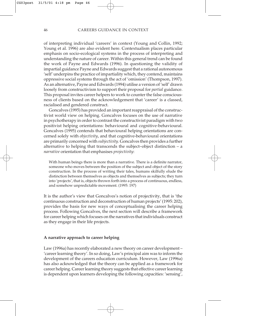of interpreting individual 'careers' in context (Young and Collin, 1992; Young et al. 1996) are also evident here. Contextualism places particular emphasis on socio-ecological systems in the process of interpreting and understanding the nature of career. Within this general trend can be found the work of Payne and Edwards (1996). In questioning the validity of impartial guidance Payne and Edwards suggest that a rational autonomous 'self' underpins the practice of impartiality which, they contend, maintains oppressive social systems through the act of 'omission' (Thompson, 1997). As an alternative, Payne and Edwards (1994) utilise a version of 'self' drawn loosely from constructivism to support their proposal for *partial* guidance. This proposal invites career helpers to work to counter the false consciousness of clients based on the acknowledgement that 'career' is a classed, racialised and gendered construct.

Goncalves (1995) has provided an important reappraisal of the constructivist world view on helping. Goncalves focuses on the use of narrative in psychotherapy in order to contrast the constructivist paradigm with two positivist helping orientations: behavioural and cognitive-behavioural. Goncalves (1995) contends that behavioural helping orientations are concerned solely with *objectivity*, and that cognitive-behavioural orientations are primarily concerned with *subjectivity*. Goncalves then provides a further alternative to helping that transcends the subject–object distinction – a *narrative* orientation that emphasises *projectivity*:

With human beings there is more than a narrative. There is a definite narrator, someone who moves between the position of the subject and object of the story construction. In the process of writing their tales, humans skilfully elude the distinction between themselves as objects and themselves as subjects; they turn into 'projects', that is, objects thrown forth into a process of continuous, endless, and somehow unpredictable movement. (1995: 197)

It is the author's view that Goncalves's notion of projectivity, that is 'the continuous construction and deconstruction of human projects' (1995: 202), provides the basis for new ways of conceptualising the career helping process. Following Goncalves, the next section will describe a framework for career helping which focuses on the narratives that individuals construct as they engage in their life projects.

## **A narrative approach to career helping**

Law (1996a) has recently elaborated a new theory on career development – 'career learning theory'. In so doing, Law's principal aim was to inform the development of the careers education curriculum. However, Law (1996a) has also acknowledged that the theory can be applied as a framework for career helping. Career learning theory suggests that effective career learning is dependent upon learners developing the following capacities: 'sensing',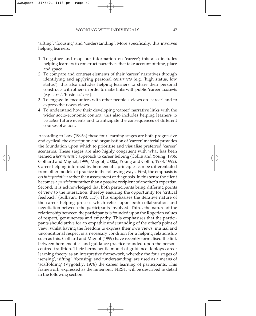'sifting', 'focusing' and 'understanding'. More specifically, this involves helping learners:

- 1 To gather and map out information on 'career'; this also includes helping learners to construct narratives that take account of time, place and space.
- 2 To compare and contrast elements of their 'career' narratives through identifying and applying personal *constructs* (e.g. 'high status, low status'); this also includes helping learners to share their personal constructs with others in order to make links with public 'career' *concepts* (e.g. 'arts', 'business' etc.).
- 3 To engage in encounters with other people's views on 'career' and to express their own views.
- 4 To understand how their developing 'career' narrative links with the wider socio-economic context; this also includes helping learners to *visualise* future events and to anticipate the consequences of different courses of action.

According to Law (1996a) these four learning stages are both progressive and cyclical: the description and organisation of 'career' material provides the foundation upon which to prioritise and visualise preferred 'career' scenarios. These stages are also highly congruent with what has been termed a *hermeneutic* approach to career helping (Collin and Young, 1986; Gothard and Mignot, 1999; Mignot, 2000a; Young and Collin, 1988; 1992). Career helping informed by hermeneutic principles can be differentiated from other models of practice in the following ways. First, the emphasis is on *interpretation* rather than assessment or diagnosis. In this sense the client becomes a *participant* rather than a passive recipient of another's expertise. Second, it is acknowledged that both participants bring differing points of view to the interaction, thereby ensuring the opportunity for 'critical feedback' (Sullivan, 1990: 117). This emphasises the iterative nature of the career helping process which relies upon both collaboration and negotiation between the participants involved. Third, the nature of the relationship between the participants is founded upon the Rogerian values of respect, genuineness and empathy. This emphasises that the participants should strive for an empathic understanding of the other's point of view, whilst having the freedom to express their own views; mutual and unconditional respect is a necessary condition for a helping relationship such as this. Gothard and Mignot (1999) have recently formalised the link between hermeneutics and guidance practice founded upon the personcentred tradition. Their hermeneutic model of guidance deploys career learning theory as an interpretive framework, whereby the four stages of 'sensing', 'sifting', 'focusing' and 'understanding' are used as a means of 'scaffolding' (Vygotsky, 1978) the career learning of participants. This framework, expressed as the mnemonic FIRST, will be described in detail in the following section.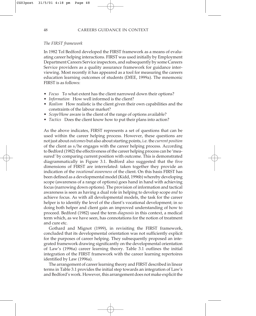# *The FIRST framework*

In 1982 Tol Bedford developed the FIRST framework as a means of evaluating career helping interactions. FIRST was used initially by Employment Department Careers Service inspectors, and subsequently by some Careers Service providers as a quality assurance framework for guidance interviewing. Most recently it has appeared as a tool for measuring the careers education learning outcomes of students (DfEE, 1999a). The mnemonic FIRST is as follows:

- *Focus* To what extent has the client narrowed down their options?
- *Information* How well informed is the client?
- *Realism* How realistic is the client given their own capabilities and the constraints of the labour market?
- *Scope*How aware is the client of the range of options available?
- *Tactics* Does the client know how to put their plans into action?

As the above indicates, FIRST represents a set of questions that can be used within the career helping process. However, these questions are not just about *outcomes* but also about starting points, i.e. the *current position* of the client as s/he engages with the career helping process. According to Bedford (1982) the effectiveness of the career helping process can be 'measured' by comparing current position with outcome. This is demonstrated diagrammatically in Figure 3.1. Bedford also suggested that the five dimensions of FIRST are interrelated: taken together they provide an indication of the *vocational awareness* of the client. On this basis FIRST has been defined as a developmental model (Kidd, 1996b) whereby developing scope (awareness of a range of options) goes hand in hand with achieving focus (narrowing down options). The provision of information and tactical awareness is seen as having a dual role in helping to develop scope *and* to achieve focus. As with all developmental models, the task for the career helper is to identify the level of the client's vocational development; in so doing both helper and client gain an improved understanding of how to proceed. Bedford (1982) used the term *diagnosis* in this context, a medical term which, as we have seen, has connotations for the notion of treatment and cure etc.

Gothard and Mignot (1999), in revisiting the FIRST framework, concluded that its developmental orientation was not sufficiently explicit for the purposes of career helping. They subsequently proposed an integrated framework drawing significantly on the developmental orientation of Law's (1996a) career learning theory. Table 3.1 outlines the initial integration of the FIRST framework with the career learning repertoires identified by Law (1996a).

The arrangement of career learning theory and FIRST described in linear terms in Table 3.1 provides the initial step towards an integration of Law's and Bedford's work. However, this arrangement does not make explicit the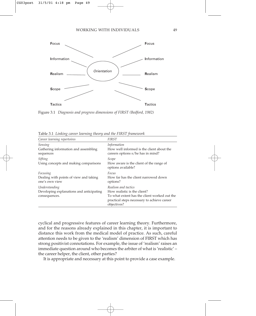

Figure 3.1 *Diagnosis and progress dimensions of FIRST (Bedford, 1982)*

| Career learning repertoires                              | <b>FIRST</b>                                                                                |
|----------------------------------------------------------|---------------------------------------------------------------------------------------------|
| Sensing                                                  | <i>Information</i>                                                                          |
| Gathering information and assembling<br>sequences        | How well informed is the client about the<br>careers options s/he has in mind?              |
| Sifting                                                  | Scope                                                                                       |
| Using concepts and making comparisons                    | How aware is the client of the range of<br>options available?                               |
| Focusing                                                 | Focus                                                                                       |
| Dealing with points of view and taking<br>one's own view | How far has the client narrowed down<br>options?                                            |
| Understanding                                            | Realism and tactics                                                                         |
| Developing explanations and anticipating                 | How realistic is the client?                                                                |
| consequences.                                            | To what extent has the client worked out the<br>practical steps necessary to achieve career |
|                                                          | objectives?                                                                                 |

Table 3.1 *Linking career learning theory and the FIRST framework*

cyclical and progressive features of career learning theory. Furthermore, and for the reasons already explained in this chapter, it is important to distance this work from the medical model of practice. As such, careful attention needs to be given to the 'realism' dimension of FIRST which has strong positivist connotations. For example, the issue of 'realism' raises an immediate question around who becomes the arbiter of what is 'realistic' – the career helper, the client, other parties?

It is appropriate and necessary at this point to provide a case example.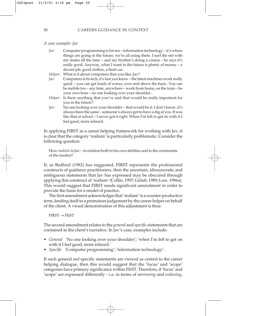*A case example: Jav*

| Jav:    | Computer programming is for me – information technology – it's where          |
|---------|-------------------------------------------------------------------------------|
|         | things are going in the future, we're all using them. I surf the net with     |
|         | my mates all the time - and my brother's doing a course - he says it's        |
|         | really good. Anyway, what I want in the future is plenty of money $-a$        |
|         | decent job, good clothes, a flash car.                                        |
| Helper: | What is it about computers that you like, Jav?                                |
| Jav:    | Computers is hi-tech, it's fast you know - the latest machines work really    |
|         | quick – you can get loads of extras, over and above the basic. You can        |
|         | be mobile too – any time, anywhere – work from home, on the train – be        |
|         | your own boss – no one looking over your shoulder.                            |
| Helper: | Is there anything that you've said that would be really important for         |
|         | you in the future?                                                            |
| Jav:    | No one looking over your shoulder - that would be it. I don't know, it's      |
|         | always been the same - someone's always got to have a dig at you. It was      |
|         | like that at school - I never got it right. When I'm left to get on with it I |
|         | feel good, more relaxed.                                                      |

In applying FIRST as a career helping framework for working with Jav, it is clear that the category 'realism' is particularly problematic. Consider the following question:

How *realistic* is Jav – in relation both to his own abilities and to the constraints of the market?

If, as Bedford (1982) has suggested, FIRST represents the professional constructs of guidance practitioners, then the uncertain, idiosyncratic and ambiguous statements that Jav has expressed may be obscured through applying this construct of 'realism' (Collin, 1997; Gelatt, 1989; Law, 1996a). This would suggest that FIRST needs significant amendment in order to provide the basis for a model of practice.

The first amendment acknowledges that 'realism' is a counter-productive term, lending itself to a premature judgement by the career helper on behalf of the client. A visual demonstration of this adjustment is thus:

 $FIRST \rightarrow FITST$ 

The second amendment relates to the *general* and *specific* statements that are contained in the client's narrative. In Jav's case, examples include:

- *General* 'No one looking over your shoulder'; 'when I'm left to get on with it I feel good, more relaxed.'
- *Specific* 'Computer programming'; 'information technology'.

If such general *and* specific statements are viewed as central to the career helping dialogue, then this would suggest that the 'focus' and 'scope' categories have primary significance within FIrST. Therefore, if 'focus' and 'scope' are expressed differently – i.e. in terms of *narrowing* and *widening*,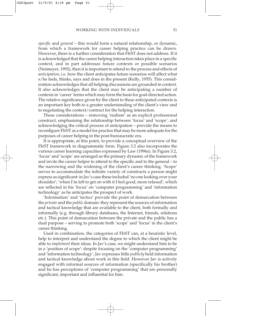*specific* and *general* – this would form a natural relationship, or dynamic, from which a framework for career helping practice can be drawn. However, there is a further consideration that FIrST does not address. If it is acknowledged that the career helping interaction takes place in a specific context, and in part addresses future contexts or possible scenarios (Neimeyer, 1992), then it is important to attend to the process and effects of *anticipation*, i.e. how the client anticipates future scenarios will affect what s/he feels, thinks, says and does in the present (Kelly, 1955). This consideration acknowledges that all helping discussions are grounded in context. It also acknowledges that the client may be anticipating a number of contexts in 'career' terms which may form the basis for goal-directed action. The relative significance given by the client to these anticipated contexts is an important key both to a greater understanding of the client's view and to negotiating the context/contract for the helping interaction.

These considerations – removing 'realism' as an explicit professional construct, emphasising the relationship between 'focus' and 'scope', and acknowledging the critical process of anticipation – provide the means to reconfigure FIrST as a model for practice that may be more adequate for the purposes of career helping in the post-bureaucratic era.

It is appropriate, at this point, to provide a conceptual overview of the FIrST framework in diagrammatic form. Figure 3.2 also incorporates the various career learning capacities expressed by Law (1996a). In Figure 3.2, 'focus' and 'scope' are arranged as the primary dynamic of the framework and invite the career helper to attend to the specific and to the general – to the narrowing and the widening of the client's career thinking. 'Scope' serves to accommodate the infinite variety of constructs a person might express as significant: in Jav's case these included 'no one looking over your shoulder'; 'when I'm left to get on with it I feel good, more relaxed', which are reflected in his 'focus' on 'computer programming' and 'information technology' as he anticipates the prospect of work.

'Information' and 'tactics' provide the point of demarcation between the *private* and the *public* domain: they represent the sources of information and tactical knowledge that are available to the client, both formally and informally (e.g. through library databases, the Internet, friends, relations etc.). This point of demarcation between the private and the public has a dual purpose – serving to promote both 'scope' and 'focus' in the client's career thinking.

Used in combination, the categories of FIrST can, at a heuristic level, help to interpret and understand the degree to which the client might be able to *implement* their ideas. In Jav's case, we might understand him to be in a 'position of scope': despite focusing on the 'computer programming' and 'information technology', Jav expresses little *publicly* held information and tactical knowledge about work in this field. However Jav is actively engaged with informal sources of information (specifically his brother) and he has perceptions of 'computer programming' that are personally significant, important and influential for him.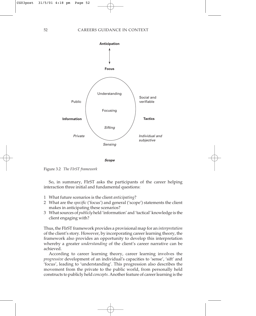

**Scope**

Figure 3.2 *The FIrST framework*

So, in summary, FIrST asks the participants of the career helping interaction three initial and fundamental questions:

- 1 What future scenarios is the client *anticipating*?
- 2 What are the *specific* ('focus') and general ('scope') statements the client makes in anticipating these scenarios?
- 3 What sources of *publicly* held 'information' and 'tactical' knowledge is the client engaging with?

Thus, the FIrST framework provides a provisional map for an *interpretation* of the client's story. However, by incorporating career learning theory, the framework also provides an opportunity to develop this interpretation whereby a greater *understanding* of the client's career narrative can be achieved.

According to career learning theory, career learning involves the *progressive* development of an individual's capacities to 'sense', 'sift' and 'focus', leading to 'understanding'. This progression also describes the movement from the private to the public world, from personally held constructs to publicly held *concepts*. Another feature of career learning is the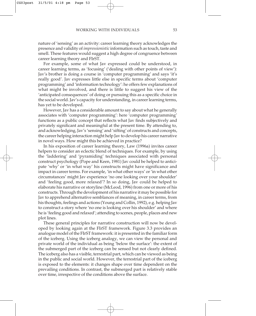nature of 'sensing' as an activity: career learning theory acknowledges the presence and validity of *impressionistic* information such as touch, taste and smell. These features would suggest a high degree of congruence between career learning theory and FIrST.

For example, some of what Jav expressed could be understood, in career learning terms, as 'focusing' ('dealing with other points of view'): Jav's brother is doing a course in 'computer programming' and says 'it's really good'. Jav expresses little else in specific terms about 'computer programming' and 'information technology': he offers few explanations of what might be involved, and there is little to suggest his view of the 'anticipated consequences' of doing or pursuing this as a specific choice in the social world. Jav's capacity for understanding, in career learning terms, has yet to be developed.

However, Jav has a considerable amount to say about what he generally associates with 'computer programming': here 'computer programming' functions as a public concept that reflects what Jav finds subjectively and privately significant and meaningful at the present time. By attending to, and acknowledging, Jav's 'sensing' and 'sifting' of constructs and concepts, the career helping interaction might help Jav to develop his career narrative in novel ways. How might this be achieved in practice?

In his exposition of career learning theory, Law (1996a) invites career helpers to consider an eclectic blend of techniques. For example, by using the 'laddering' and 'pyramiding' techniques associated with personal construct psychology (Pope and Keen, 1981) Jav could be helped to anticipate 'why' or 'in what way' his constructs might have significance and impact in career terms. For example, 'in what other ways' or 'in what other circumstances' might Jav experience 'no one looking over your shoulder' and 'feeling good, more relaxed'? In so doing, Jav could be helped to elaborate his narrative or storyline (McLeod, 1996) from one or more of his constructs. Through the development of his narrative it may be possible for Jav to apprehend alternative semblances of meaning, in career terms, from his thoughts, feelings and actions (Young and Collin, 1992), e.g. helping Jav to construct a story where 'no one is looking over his shoulder' and where he is 'feeling good and relaxed'; attending to scenes, people, places and new plot lines.

These general principles for narrative construction will now be developed by looking again at the FIrST framework. Figure 3.3 provides an analogue model of the FIrST framework: it is presented in the familiar form of the iceberg. Using the iceberg analogy, we can view the personal and private world of the individual as being 'below the surface': the extent of the submerged part of the iceberg can be sensed but not clearly defined. The iceberg also has a visible, terrestrial part, which can be viewed as being in the public and social world. However, the terrestrial part of the iceberg is exposed to the elements: it changes shape over time dependent on the prevailing conditions. In contrast, the submerged part is relatively stable over time, irrespective of the conditions above the surface.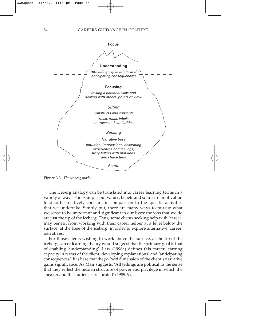

Figure 3.3 *The iceberg model*

The iceberg analogy can be translated into career learning terms in a variety of ways. For example, our values, beliefs and sources of motivation tend to be relatively constant in comparison to the specific activities that we undertake. Simply put, there are many ways to pursue what we sense to be important and significant in our lives: the jobs that we do are just the tip of the iceberg! Thus, some clients seeking help with 'career' may benefit from working with their career helper at a level below the surface, at the base of the iceberg, in order to explore alternative 'career' narratives.

For those clients wishing to work above the surface, at the tip of the iceberg, career learning theory would suggest that the primary goal is that of enabling 'understanding'. Law (1996a) defines this career learning capacity in terms of the client 'developing explanations' and 'anticipating consequences'. It is here that the *political* dimension of the client's narrative gains significance. As Mair suggests: 'All tellings are political in the sense that they reflect the hidden structure of power and privilege in which the speaker and the audience are located' (1989: 9).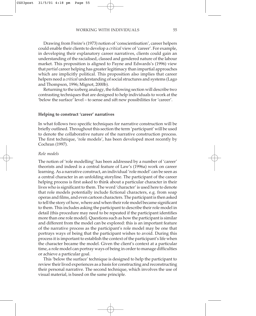Drawing from Freire's (1973) notion of 'conscientisation', career helpers could enable their clients to develop a *critical* view of 'career'. For example, in developing their explanatory career narratives, clients could gain an understanding of the racialised, classed and gendered nature of the labour market. This proposition is aligned to Payne and Edwards's (1996) view that *partial* career helping has greater legitimacy than impartial approaches which are implicitly political. This proposition also implies that career helpers need a *critical* understanding of social structures and systems (Lago and Thompson, 1996; Mignot, 2000b).

Returning to the iceberg analogy, the following section will describe two contrasting techniques that are designed to help individuals to work at the 'below the surface' level – to sense and sift new possibilities for 'career'.

#### **Helping to construct 'career' narratives**

In what follows two specific techniques for narrative construction will be briefly outlined. Throughout this section the term 'participant' will be used to denote the collaborative nature of the narrative construction process. The first technique, 'role models', has been developed most recently by Cochran (1997).

## *Role models*

The notion of 'role modelling' has been addressed by a number of 'career' theorists and indeed is a central feature of Law's (1996a) work on career learning. As a narrative construct, an individual 'role model' can be seen as a central character in an unfolding storyline. The participant of the career helping process is first asked to think about a particular character in their lives who is significant to them. The word 'character' is used here to denote that role models potentially include fictional characters, e.g. from soap operas and films, and even cartoon characters. The participant is then asked to tell the story of how, where and when their role model became significant to them. This includes asking the participant to describe their role model in detail (this procedure may need to be repeated if the participant identifies more than one role model). Questions such as how the participant is similar and different from the model can be explored: this is an important feature of the narrative process as the participant's role model may be one that portrays ways of being that the participant wishes to avoid. During this process it is important to establish the context of the participant's life when the character became the model. Given the client's context at a particular time, a role model can portray ways of being in order to manage difficulties or achieve a particular goal.

This 'below the surface' technique is designed to help the participant to review their lived experiences as a basis for constructing and reconstructing their personal narrative. The second technique, which involves the use of visual material, is based on the same principle.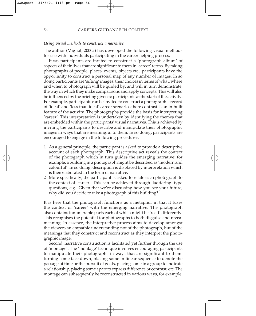## *Using visual methods to construct a narrative*

The author (Mignot, 2000a) has developed the following visual methods for use with individuals participating in the career helping process.

First, participants are invited to construct a 'photograph album' of aspects of their lives that are significant to them in 'career' terms. By taking photographs of people, places, events, objects etc., participants have the opportunity to construct a personal map of any number of images. In so doing participants are 'sifting' images: their choices in terms of what, where and when to photograph will be guided by, and will in turn demonstrate, the way in which they make comparisons and apply concepts. This will also be influenced by the briefing given to participants at the start of the activity. For example, participants can be invited to construct a photographic record of 'ideal' and 'less than ideal' career scenarios: here contrast is an in-built feature of the activity. The photographs provide the basis for interpreting 'career'. This interpretation is undertaken by identifying the themes that are embedded within the participants' visual narratives. This is achieved by inviting the participants to describe and manipulate their photographic images in ways that are meaningful to them. In so doing, participants are encouraged to engage in the following procedures:

- 1 As a general principle, the participant is asked to provide a descriptive account of each photograph. This descriptive act reveals the context of the photograph which in turn guides the emerging narrative: for example, a building in a photograph might be described as 'modern and colourful'. In so doing, description is displaced by interpretation which is then elaborated in the form of narrative.
- 2 More specifically, the participant is asked to relate each photograph to the context of 'career'. This can be achieved through 'laddering' type questions, e.g. 'Given that we're discussing how you see your future, why did you decide to take a photograph of this building?'

It is here that the photograph functions as a metaphor in that it fuses the context of 'career' with the emerging narrative. The photograph also contains innumerable parts each of which might be 'read' differently. This recognises the potential for photographs to both disguise and reveal meaning. In essence, the interpretive process aims to develop amongst the viewers an empathic understanding not of the photograph, but of the meanings that they construct and reconstruct as they interpret the photographic image.

Second, narrative construction is facilitated yet further through the use of 'montage'. The 'montage' technique involves encouraging participants to manipulate their photographs in ways that are significant to them: turning some face down, placing some in linear sequence to denote the passage of time or the pursuit of goals, placing some in a group to indicate a relationship, placing some apart to express difference or contrast, etc. The montage can subsequently be reconstructed in various ways, for example: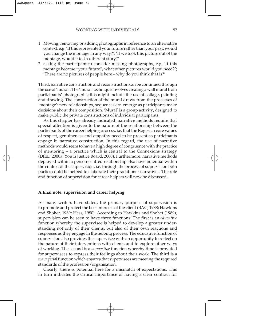- 1 Moving, removing or adding photographs in reference to an alternative context, e.g. 'If this represented your future rather than your past, would you change the montage in any way?'; 'If we took this picture out of the montage, would it tell a different story?'
- 2 asking the participant to consider missing photographs, e.g. 'If this montage became "your future", what other pictures would you need?'; 'There are no pictures of people here – why do you think that is?'

Third, narrative construction and reconstruction can be continued through the use of 'mural'. The 'mural' technique involves creating a wall mural from participants' photographs; this might include the use of collage, painting and drawing. The construction of the mural draws from the processes of 'montage': new relationships, sequences etc. emerge as participants make decisions about their composition. 'Mural' is a group activity, designed to make public the private constructions of individual participants.

As this chapter has already indicated, narrative methods require that special attention is given to the nature of the relationship between the participants of the career helping process, i.e. that the Rogerian core values of respect, genuineness and empathy need to be present as participants engage in narrative construction. In this regard, the use of narrative methods would seem to have a high degree of congruence with the practice of mentoring – a practice which is central to the Connexions strategy (DfEE, 2000a; Youth Justice Board, 2000). Furthermore, narrative methods deployed within a person-centred relationship also have potential within the context of the supervision, i.e. through the process of supervision both parties could be helped to elaborate their practitioner narratives. The role and function of supervision for career helpers will now be discussed.

#### **A final note: supervision and career helping**

As many writers have stated, the primary purpose of supervision is to promote and protect the best interests of the client (BAC, 1988; Hawkins and Shohet, 1989; Hess, 1980). According to Hawkins and Shohet (1989), supervision can be seen to have three functions. The first is an *educative* function whereby the supervisee is helped to develop a greater understanding not only of their clients, but also of their own reactions and responses as they engage in the helping process. The educative function of supervision also provides the supervisee with an opportunity to reflect on the nature of their interventions with clients and to explore other ways of working. The second is a *supportive* function whereby time is provided for supervisees to express their feelings about their work. The third is a *managerial* function which ensures that supervisees are meeting the required standards of the profession/organisation.

Clearly, there is potential here for a mismatch of expectations. This in turn indicates the critical importance of having a clear contract for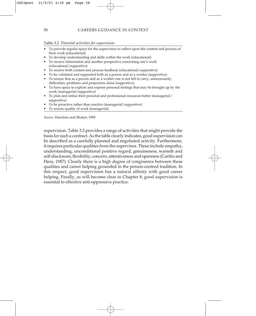## Table 3.2 *Potential activities for supervision*

- To provide regular space for the supervisees to reflect upon the content and process of their work (educational)
- To develop understanding and skills within the work (educational)
- To receive information and another perspective concerning one's work (educational/supportive)
- To receive both content and process feedback (educational/supportive)
- To be validated and supported both as a person and as a worker (supportive)
- To ensure that as a person and as a worker one is not left to carry, unnecessarily, difficulties, problems and projections alone (supportive)
- To have space to explore and express personal feelings that may be brought up by the work (managerial/supportive)
- To plan and utilise their personal and professional resources better (managerial/ supportive)
- To be proactive rather than reactive (managerial/supportive)
- To ensure quality of work (managerial)

*Source*: Hawkins and Shohet, 1989

supervision. Table 3.2 provides a range of activities that might provide the basis for such a contract. As the table clearly indicates, good supervision can be described as a carefully planned and negotiated activity. Furthermore, it requires particular qualities from the supervisor. These include empathy, understanding, unconditional positive regard, genuineness, warmth and self-disclosure, flexibility, concern, attentiveness and openness (Carifio and Hess, 1987). Clearly there is a high degree of congruence between these qualities and career helping grounded in the person-centred tradition. In this respect, good supervision has a natural affinity with good career helping. Finally, as will become clear in Chapter 8, good supervision is essential to effective anti-oppressive practice.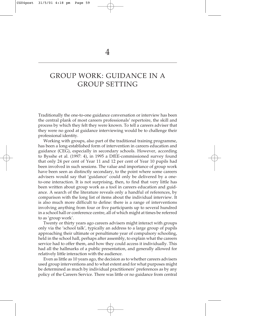# GROUP WORK: GUIDANCE IN A GROUP SETTING

Traditionally the one-to-one guidance conversation or interview has been the central plank of most careers professionals' repertoire, the skill and process by which they felt they were known. To tell a careers adviser that they were no good at guidance interviewing would be to challenge their professional identity.

Working with groups, also part of the traditional training programme, has been a long-established form of intervention in careers education and guidance (CEG), especially in secondary schools. However, according to Bysshe et al. (1997: 4), in 1995 a DfEE-commissioned survey found that only 24 per cent of Year 11 and 12 per cent of Year 10 pupils had been involved in such sessions. The value and importance of group work have been seen as distinctly secondary, to the point where some careers advisers would say that 'guidance' could only be delivered by a oneto-one interaction. It is not surprising, then, to find that very little has been written about group work as a tool in careers education and guidance. A search of the literature reveals only a handful of references, by comparison with the long list of items about the individual interview. It is also much more difficult to define: there is a range of interventions involving anything from four or five participants up to several hundred in a school hall or conference centre, all of which might at times be referred to as 'group work'.

Twenty or thirty years ago careers advisers might interact with groups only via the 'school talk', typically an address to a large group of pupils approaching their ultimate or penultimate year of compulsory schooling, held in the school hall, perhaps after assembly, to explain what the careers service had to offer them, and how they could access it individually. This had all the hallmarks of a public presentation, and generally allowed for relatively little interaction with the audience.

Even as little as 10 years ago, the decision as to whether careers advisers used group interventions and to what extent and for what purposes might be determined as much by individual practitioners' preferences as by any policy of the Careers Service. There was little or no guidance from central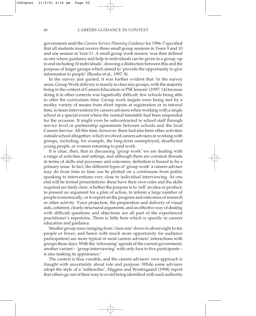government until the *Careers Service Planning Guidance*for 1996–7 specified that all students must receive three small group sessions in Years 9 and 10 and one session in Year 11. A small group work session 'was then defined as one where guidance and help to individuals can be given in a group, up to and including 10 individuals', drawing a distinction between this and the purpose of larger groups which aimed to 'provide the opportunity to give information to people' (Bysshe et al., 1997: 8)

In the survey just quoted, it was further evident that 'in the survey areas, Group Work delivery is mainly in class size groups, with the majority being in the context of Careers Education or PSE lessons' (1997: 14) because doing it in other contexts was logistically difficult, few schools being able to offer the curriculum time. Group work targets were being met by a motley variety of means from short inputs at registration or in tutorial time, to team interventions by careers advisers when working with a single school at a special event where the normal timetable had been suspended for the occasion. It might even be subcontracted to school staff through service level or partnership agreements between schools and the local Careers Service. All this time, however, there had also been other activities outside school altogether, which involved careers advisers in working with groups, including, for example, the long-term unemployed, disaffected young people, or women returning to paid work.

It is clear, then, that in discussing 'group work' we are dealing with a range of activities and settings, and although there are common threads in terms of skills and processes and outcomes, definition is bound to be a primary issue. In fact, the different types of 'group work' a careers adviser may do from time to time can be plotted on a continuum from public speaking to interventions very close to individual interviewing. At one end will be formal presentations: these have their own rules and the skills required are fairly clear, whether the purpose is to 'sell' an idea or product, to present an argument for a plan of action, to inform a large number of people economically, or to report on the progress and outcomes of research or other activity. Voice projection, the preparation and delivery of visual aids, coherent, clearly structured arguments, and an effective way of dealing with difficult questions and objections are all part of the experienced practitioner's repertoire. There is little here which is specific to careers education and guidance.

Smaller group sizes (ranging from 'class size' down to about eight to ten people or fewer, and hence with much more opportunity for audience participation) are more typical of most careers advisers' interactions with groups these days. With the 'refocusing' agenda of the current government, another variant – 'group interviewing' with only four to five participants – is also making its appearance. $<sup>1</sup>$ </sup>

The context is thus variable, and the careers advisers' own approach is fraught with uncertainty about role and purpose. While some advisers adopt the style of a 'subteacher', Higgins and Westergaard (1998) report that others go out of their way to avoid being identified with such authority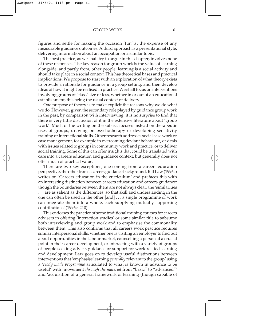figures and settle for making the occasion 'fun' at the expense of any measurable guidance outcomes. A third approach is a presentational style, delivering information about an occupation or a similar topic.

The best practice, as we shall try to argue in this chapter, involves none of these responses. The key reason for group work is the value of learning alongside, and partly from, other people: learning is a social activity and should take place in a social context. This has theoretical bases and practical implications. We propose to start with an exploration of what theory exists to provide a rationale for guidance in a group setting, and then develop ideas of how it might be realised in practice. We shall focus on interventions involving groups of 'class' size or less, whether in or out of an educational establishment, this being the usual context of delivery.

One purpose of theory is to make explicit the reasons why we do what we do. However, given the secondary role played by guidance group work in the past, by comparison with interviewing, it is no surprise to find that there is very little discussion of it in the extensive literature about 'group work'. Much of the writing on the subject focuses instead on therapeutic uses of groups, drawing on psychotherapy or developing sensitivity training or interactional skills. Other research addresses social case work or case management, for example in overcoming deviant behaviour, or deals with issues related to groups in community work and practice, or to deliver social training. Some of this can offer insights that could be translated with care into a careers education and guidance context, but generally does not offer much of practical value.

There are two key exceptions, one coming from a careers education perspective, the other from a careers guidance background. Bill Law (1996c) writes on 'Careers education in the curriculum' and prefaces this with an interesting distinction between careers education and careers guidance: though the boundaries between them are not always clear, the 'similarities . . . are as salient as the differences, so that skill and understanding in the one can often be used in the other [and] . . . a single programme of work can integrate them into a whole, each supplying mutually supporting contributions' (1996c: 210).

This endorses the practice of some traditional training courses for careers advisers in offering 'interaction studies' or some similar title to subsume both interviewing and group work and to emphasise the commonality between them. This also confirms that all careers work practice requires similar interpersonal skills, whether one is visiting an employer to find out about opportunities in the labour market, counselling a person at a crucial point in their career development, or interacting with a variety of groups of people seeking advice, guidance or support for work-related learning and development. Law goes on to develop useful distinctions between interventions that 'emphasise learning *generally* relevant to the group' using a '*ready made programme* articulated to what is known in advance to be useful' with 'movement *through the material* from "basic" to "advanced"' and 'acquisition of a general framework of learning (though capable of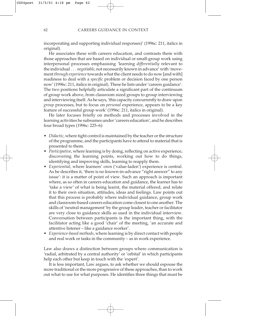incorporating and supporting individual responses)' (1996c: 211, italics in original).

He associates these with careers education, and contrasts them with those approaches that are based on individual or small-group work using interpersonal processes emphasising 'learning *differentially* relevant to the individual . . . *negotiable*, not necessarily known in advance' with 'movement *through experience*towards what the client needs to do now [and with] readiness to deal with a *specific* problem or decision faced by one person now' (1996c: 211, italics in original). These he lists under 'careers guidance'. The two positions helpfully articulate a significant part of the continuum of group work above, from classroom sized groups to group interviewing and interviewing itself. As he says, 'this capacity concurrently to draw upon *group* processes, but to focus on *personal* experience, appears to be a key feature of successful group work' (1996c: 211, italics in original).

He later focuses briefly on methods and processes involved in the learning activities he subsumes under 'careers education', and he describes four broad types (1996c: 225–6):

- *Didactic*, where tight control is maintained by the teacher or the structure of the programme, and the participants have to attend to material that is presented to them.
- *Participative*, where learning is by doing, reflecting on active experience, discovering the learning points, working out how to do things, identifying and improving skills, learning to reapply them.
- *Experiential*, where learners' own ('value-laden') experience is central. As he describes it, 'there is no known-in-advance "right answer" to any issue': it is a matter of point of view. Such an approach is important where, as so often in careers education and guidance, the learner has to 'take a view' of what is being learnt, the material offered, and relate it to their own situation, attitudes, ideas and feelings. Law points out that this process is probably where individual guidance, group work and classroom-based careers education come closest to one another. The skills of 'neutral management' by the group leader, teacher or facilitator are very close to guidance skills as used in the individual interview. Conversation between participants is the important thing, with the facilitator acting like a good 'chair' of the meeting, 'an accurate and attentive listener – like a guidance worker'.
- *Experience-based methods*, where learning is by direct contact with people and real work or tasks in the community – as in work experience.

Law also draws a distinction between groups where communication is 'radial, arbitrated by a central authority' or 'orbital' in which participants help each other but keep in touch with the 'expert'.

It is less important, Law argues, to ask whether we should espouse the more traditional or the more progressive of these approaches, than to work out what to use for what purposes. He identifies three things that must be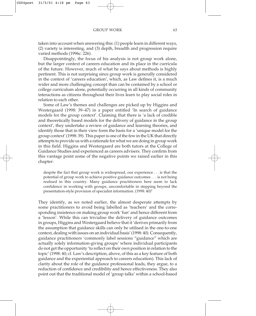taken into account when answering this: (1) people learn in different ways, (2) variety is interesting, and (3) depth, breadth and progression require varied methods (1996c: 226).

Disappointingly, the focus of his analysis is not group work alone, but the larger context of careers education and its place in the curricula of the future. However, much of what he says about methods is highly pertinent. This is not surprising since group work is generally considered in the context of 'careers education', which, as Law defines it, is a much wider and more challenging concept than can be contained by a school or college curriculum alone, potentially occurring in all kinds of community interactions as citizens throughout their lives learn to play social roles in relation to each other.

Some of Law's themes and challenges are picked up by Higgins and Westergaard (1998: 39–47) in a paper entitled 'In search of guidance models for the group context'. Claiming that there is 'a lack of credible and theoretically based models for the delivery of guidance in the group context', they undertake a review of guidance and learning theories, and identify those that in their view form the basis for a 'unique model for the group context' (1998: 39). This paper is one of the few in the UK that directly attempts to provide us with a rationale for what we are doing in group work in this field. Higgins and Westergaard are both tutors at the College of Guidance Studies and experienced as careers advisers. They confirm from this vantage point some of the negative points we raised earlier in this chapter:

despite the fact that group work is widespread, our experience . . . is that the potential of group work to achieve positive guidance outcomes . . . is not being realised in this country. Many guidance practitioners here seem to lack confidence in working with groups, uncomfortable in stepping beyond the presentation-style provision of specialist information. (1998: 40)2

They identify, as we noted earlier, the almost desperate attempts by some practitioners to avoid being labelled as 'teachers' and the corresponding insistence on making group work 'fun' and hence different from a 'lesson'. While this can trivialise the delivery of guidance outcomes in groups, Higgins and Westergaard believe that it 'derives primarily from the assumption that guidance skills can only be utilised in the one-to-one context, dealing with issues on an individual basis' (1998: 40). Consequently, guidance practitioners 'commonly label sessions "guidance" which are actually solely information-giving groups' where individual participants do not get the opportunity 'to reflect on their own position in relation to the topic' (1998: 40; cf. Law's description, above, of this as a key feature of both guidance and the experiential approach to careers education). This lack of clarity about the role of the guidance professional leads, they argue, to a reduction of confidence and credibility and hence effectiveness. They also point out that the traditional model of 'group talks' within a school-based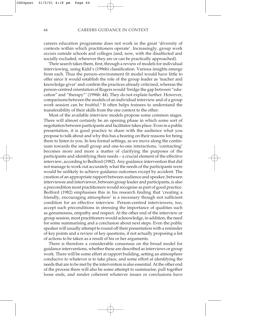careers education programme does not work in the great 'diversity of contexts within which practitioners operate'. Increasingly, group work occurs outside schools and colleges (and, now, with the disaffected and socially excluded, wherever they are or can be practically approached).

Their search takes them, first, through a review of models for individual interviewing, using Kidd's (1996b) classification. Various insights emerge from each. Thus the person–environment fit model would have little to offer since it would establish the role of the group leader as 'teacher and knowledge giver' and confirm the practices already criticised, whereas the person-centred orientation of Rogers would 'bridge the gap between "education" and "therapy"' (1996b: 44). They do not explain further. However, comparisons between the models of an individual interview and of a group work session can be fruitful.<sup>3</sup> It often helps trainees to understand the transferability of their skills from the one context to the other.

Most of the available interview models propose some common stages. There will almost certainly be an opening phase in which some sort of negotiation between participants and facilitator takes place. Even in a public presentation, it is good practice to share with the audience what you propose to talk about and why this has a bearing on their reasons for being there to listen to you. In less formal settings, as we move along the continuum towards the small group and one-to-one interactions, 'contracting' becomes more and more a matter of clarifying the purposes of the participants and identifying their needs – a crucial element of the effective interview, according to Bedford (1982). Any guidance intervention that did not manage to work out accurately what the needs of the participants were would be unlikely to achieve guidance outcomes except by accident. The creation of an appropriate rapport between audience and speaker, between interviewee and interviewer, between group leader and participants, is also a precondition most practitioners would recognise as part of good practice. Bedford (1982) emphasises this in his research finding that 'creating a friendly, encouraging atmosphere' is a necessary though not sufficient condition for an effective interview. Person-centred interviewers, too, accept such preconditions in stressing the importance of qualities such as genuineness, empathy and respect. At the other end of the interview or group session, most practitioners would acknowledge, in addition, the need for some summarising and a conclusion about next steps. Even the public speaker will usually attempt to round off their presentation with a reminder of key points and a review of key questions, if not actually proposing a list of actions to be taken as a result of his or her arguments.

There is therefore a considerable consensus on the broad model for guidance interventions, whether these are described as interviews or group work. There will be some effort at rapport building, setting an atmosphere conducive to whatever is to take place, and some effort at identifying the needs that are to be met by the intervention is also essential. At the other end of the process there will also be some attempt to summarise, pull together loose ends, and render coherent whatever issues or conclusions have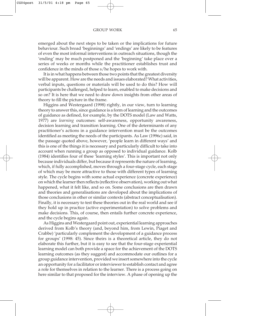emerged about the next steps to be taken or the implications for future behaviour. Such broad 'beginnings' and 'endings' are likely to be features of even the most informal interventions in outreach situations, though the 'ending' may be much postponed and the 'beginning' take place over a series of weeks or months while the practitioner establishes trust and confidence in the minds of those s/he hopes to work with.

It is in what happens between those two points that the greatest diversity will be apparent. How are the needs and issues elaborated? What activities, verbal inputs, questions or materials will be used to do this? How will participants be challenged, helped to learn, enabled to make decisions and so on? It is here that we need to draw down insights from other areas of theory to fill the picture in the frame.

Higgins and Westergaard (1998) rightly, in our view, turn to learning theory to answer this, since guidance is a form of learning and the outcomes of guidance as defined, for example, by the DOTS model (Law and Watts, 1977) are *learning* outcomes: self-awareness, opportunity awareness, decision learning and transition learning. One of the determinants of any practitioner's actions in a guidance intervention must be the outcomes identified as meeting the needs of the participants. As Law (1996c) said, in the passage quoted above, however, 'people learn in different ways' and this is one of the things it is necessary and particularly difficult to take into account when running a group as opposed to individual guidance. Kolb (1984) identifies four of these 'learning styles'. This is important not only because individuals differ, but because it represents the nature of learning, which, if fully accomplished, moves through a four-stage cycle, each stage of which may be more attractive to those with different types of learning style. The cycle begins with some actual experience (concrete experience) on which the learner then reflects (reflective observation), working out what happened, what it felt like, and so on. Some conclusions are then drawn and theories and generalisations are developed about the implications of those conclusions in other or similar contexts (abstract conceptualisation). Finally, it is necessary to test these theories out in the real world and see if they hold up in practice (active experimentation) to solve problems and make decisions. This, of course, then entails further concrete experience, and the cycle begins again.

As Higgins and Westergaard point out, experiential learning approaches derived from Kolb's theory (and, beyond him, from Lewin, Piaget and Crabbe) 'particularly complement the development of a guidance process for groups' (1998: 45). Since theirs is a theoretical article, they do not elaborate this further, but it is easy to see that the four-stage experiential learning model can both provide a space for the achievement of the DOTS learning outcomes (as they suggest) and accommodate our outlines for a group guidance intervention, provided we insert somewhere into the cycle an opportunity for a facilitator or interviewer to establish contact and agree a role for themselves in relation to the learner. There is a process going on here similar to that proposed for the interview. A phase of opening up the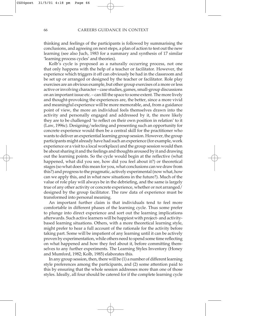thinking and feelings of the participants is followed by summarising the conclusions, and agreeing on next steps, a plan of action to test out the new learning (see also Juch, 1983 for a summary and synthesis of 17 similar 'learning process cycles' and theories).

Kolb's cycle is proposed as a naturally occurring process, not one that only happens with the help of a teacher or facilitator. However, the experience which triggers it off can obviously be had in the classroom and be set up or arranged or designed by the teacher or facilitator. Role play exercises are an obvious example, but other group exercises of a more or less active or involving character – case studies, games, small-group discussions on an important issue etc. – can fill the space to some extent. The more lively and thought-provoking the experiences are, the better, since a more vivid and meaningful experience will be more memorable, and, from a guidance point of view, the more an individual feels themselves drawn into the activity and personally engaged and addressed by it, the more likely they are to be challenged 'to reflect on their own position in relation' to it (Law, 1996c). Designing/selecting and presenting such an opportunity for concrete experience would then be a central skill for the practitioner who wants to deliver an experiential learning group session. However, the group participants might already have had such an experience (for example, work experience or a visit to a local workplace) and the group session would then be about sharing it and the feelings and thoughts aroused by it and drawing out the learning points. So the cycle would begin at the reflective (what happened, what did you see, how did you feel about it?) or theoretical stages (so what does this mean for you, what conclusions can we draw from this?) and progress to the pragmatic, actively experimental (now what, how can we apply this, and in what new situations in the future?). Much of the value of role play will always be in the debriefing, and the same is largely true of any other activity or concrete experience, whether or not arranged/ designed by the group facilitator. The raw data of experience must be transformed into personal meaning.

An important further claim is that individuals tend to feel more comfortable in different phases of the learning cycle. Thus some prefer to plunge into direct experience and sort out the learning implications afterwards. Such active learners will be happiest with project- and activitybased learning situations. Others, with a more theoretical learning style, might prefer to hear a full account of the rationale for the activity before taking part. Some will be impatient of any learning until it can be actively proven by experimentation, while others need to spend some time reflecting on what happened and how they feel about it, before committing themselves to any further experiments. The Learning Styles Inventory (Honey and Mumford, 1982; Kolb, 1985) elaborates this.

In any group session, then, there will be (1) a number of different learning style preferences among the participants, and (2) some attention paid to this by ensuring that the whole session addresses more than one of those styles. Ideally, all four should be catered for if the complete learning cycle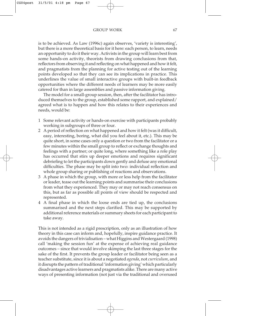is to be achieved. As Law (1996c) again observes, 'variety is interesting', but there is a more theoretical basis for it here: each person, to learn, needs an opportunity to do it their way. Activists in the group will learn best from some hands-on activity, theorists from drawing conclusions from that, reflectors from observing it and reflecting on what happened and how it felt, and pragmatists from the planning for active testing out of the learning points developed so that they can see its implications in practice. This underlines the value of small interactive groups with built-in feedback opportunities where the different needs of learners may be more easily catered for than in large assemblies and passive information giving.

The model for a small-group session, then, after the facilitator has introduced themselves to the group, established some rapport, and explained/ agreed what is to happen and how this relates to their experiences and needs, would be:

- 1 Some relevant activity or hands-on exercise with participants probably working in subgroups of three or four.
- 2 A period of reflection on what happened and how it felt (was it difficult, easy, interesting, boring, what did you feel about it, etc.). This may be quite short, in some cases only a question or two from the facilitator or a few minutes within the small group to reflect or exchange thoughts and feelings with a partner; or quite long, where something like a role play has occurred that stirs up deeper emotions and requires significant debriefing to let the participants down gently and defuse any emotional difficulties. The phase may be split into two: individual reflection and whole group sharing or publishing of reactions and observations.
- 3 A phase in which the group, with more or less help from the facilitator or leader, tease out the learning points and summarise their conclusions from what they experienced. They may or may not reach consensus on this, but as far as possible all points of view should be respected and represented.
- 4 A final phase in which the loose ends are tied up, the conclusions summarised and the next steps clarified. This may be supported by additional reference materials or summary sheets for each participant to take away.

This is not intended as a rigid prescription, only as an illustration of how theory in this case can inform and, hopefully, inspire guidance practice. It avoids the dangers of trivialisation – what Higgins and Westergaard (1998) call 'making the session fun' at the expense of achieving real guidance outcomes – since that would involve skimping the last three stages for the sake of the first. It prevents the group leader or facilitator being seen as a teacher substitute, since it is about a negotiated *agenda*, not *curriculum*, and it disrupts the pattern of traditional 'information giving' which particularly disadvantages active learners and pragmatists alike. There are many active ways of presenting information (not just via the traditional and overused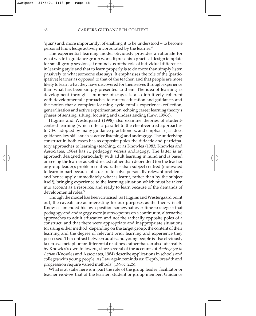'quiz') and, more importantly, of enabling it to be understood – to become personal knowledge actively incorporated by the learner.4

The experiential learning model obviously provides a rationale for what we do in guidance group work. It presents a practical design template for small-group sessions; it reminds us of the role of individual differences in learning style and that to learn properly is to do more than simply listen passively to what someone else says. It emphasises the role of the (participative) learner as opposed to that of the teacher, and that people are more likely to learn what they have discovered for themselves through experience than what has been simply presented to them. The idea of learning as development through a number of stages is also intuitively coherent with developmental approaches to careers education and guidance, and the notion that a complete learning cycle entails experience, reflection, generalisation and active experimentation, echoing career learning theory's phases of sensing, sifting, focusing and understanding (Law, 1996c).

Higgins and Westergaard (1998) also examine theories of studentcentred learning (which offer a parallel to the client-centred approaches to CEG adopted by many guidance practitioners, and emphasise, as does guidance, key skills such as active listening) and andragogy. The underlying construct in both cases has as opposite poles the didactic and participatory approaches to learning/teaching, or as Knowles (1983; Knowles and Associates, 1984) has it, pedagogy versus andragogy. The latter is an approach designed particularly with adult learning in mind and is based on seeing the learner as self-directed rather than dependent (on the teacher or group leader); problem centred rather than subject centred (motivated to learn in part because of a desire to solve personally relevant problems and hence apply immediately what is learnt, rather than by the subject itself); bringing experience to the learning situation which must be taken into account as a resource; and ready to learn because of the demands of developmental roles.<sup>5</sup>

Though the model has been criticised, as Higgins and Westergaard point out, the caveats are as interesting for our purposes as the theory itself. Knowles amended his own position somewhat over time to suggest that pedagogy and andragogy were just two points on a continuum, alternative approaches to adult education and not the radically opposite poles of a construct, and that there were appropriate and inappropriate situations for using either method, depending on the target group, the content of their learning and the degree of relevant prior learning and experience they possessed. The contrast between adults and young people is also obviously taken as a metaphor for differential readiness rather than an absolute reality by Knowles's own followers, since several of the accounts of *Andragogy in Action* (Knowles and Associates, 1984) describe applications in schools and colleges with young people. As Law again reminds us: 'Depth, breadth and progression require varied methods' (1996c: 226).

What is at stake here is in part the role of the group leader, facilitator or teacher *vis-à-vis* that of the learner, student or group member. Guidance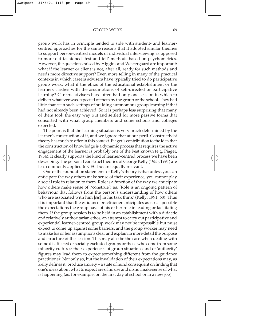group work has in principle tended to side with student- and learnercentred approaches for the same reasons that it adopted similar theories to support person-centred models of individual interviewing as opposed to more old-fashioned 'test-and-tell' methods based on psychometrics. However, the questions raised by Higgins and Westergaard are important: what if the learner or client is not, after all, ready for such methods and needs more directive support? Even more telling in many of the practical contexts in which careers advisers have typically tried to do participative group work, what if the ethos of the educational establishment or the learners clashes with the assumptions of self-directed or participative learning? Careers advisers have often had only one session in which to deliver whatever was expected of them by the group or the school. They had little chance in such settings of building autonomous group learning if that had not already been achieved. So it is perhaps less surprising that many of them took the easy way out and settled for more passive forms that consorted with what group members and some schools and colleges expected.

The point is that the learning situation is very much determined by the learner's construction of it, and we ignore that at our peril. Constructivist theory has much to offer in this context. Piaget's contribution to the idea that the construction of knowledge is a dynamic process that requires the active engagement of the learner is probably one of the best known (e.g. Piaget, 1954). It clearly supports the kind of learner-centred process we have been describing. The personal construct theories of George Kelly (1955; 1991) are less commonly applied to CEG but are equally relevant.

One of the foundation statements of Kelly's theory is that unless you can anticipate the way others make sense of their experience, you cannot play a social role in relation to them. Role is a function of the way we anticipate how others make sense of ('construe') us. 'Role is an ongoing pattern of behaviour that follows from the person's understanding of how others who are associated with him [*sic*] in his task think' (Kelly, 1991: 68). Thus it is important that the guidance practitioner anticipates as far as possible the expectations the group have of his or her role in leading or facilitating them. If the group session is to be held in an establishment with a didactic and relatively authoritarian ethos, an attempt to carry out participative and experiential learner-centred group work may not be impossible but must expect to come up against some barriers, and the group worker may need to make his or her assumptions clear and explain in more detail the purpose and structure of the session. This may also be the case when dealing with some disaffected or socially excluded groups or those who come from some minority cultures: their experiences of group situations and of 'authority' figures may lead them to expect something different from the guidance practitioner. Not only so, but the invalidation of their expectations may, as Kelly defines it, produce anxiety – a state of mind consequent on finding that one's ideas about what to expect are of no use and do not make sense of what is happening (as, for example, on the first day at school or in a new job).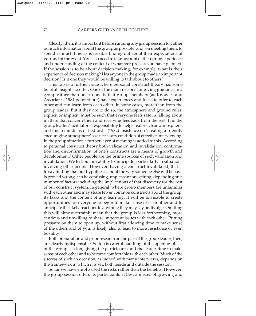Clearly, then, it is important before running any group session to gather as much information about the group as possible, and, on meeting them, to spend as much time as is feasible finding out about their expectations of you and of the event. You also need to take account of their prior experience and understanding of the content of whatever process you have planned. If the session is to be about decision making, for example, what is their experience of decision making? Has anyone in the group made an important decision? Is it one they would be willing to talk about to others?

This raises a further issue where personal construct theory has some helpful insights to offer. One of the main reasons for giving guidance in a group rather than one to one is that group members (as Knowles and Associates, 1984 pointed out) have experiences and ideas to offer to each other and can learn from each other, in some cases, more than from the group leader. But if they are to do so, the atmosphere and ground rules, explicit or implicit, must be such that everyone feels safe in talking about matters that concern them and receiving feedback from the rest. It is the group leader/facilitator's responsibility to help create such an atmosphere, and this reminds us of Bedford's (1982) insistence on 'creating a friendly encouraging atmosphere' as a necessary condition of effective interviewing. In the group situation a further layer of meaning is added to this. According to personal construct theory both validation and invalidation, confirmation and disconfirmation, of one's constructs are a means of growth and development.<sup>6</sup> Other people are the prime sources of such validation and invalidation. We test out our ability to anticipate, particularly in situations involving other people. However, having a construct invalidated, that is to say finding that our hypothesis about the way someone else will behave is proved wrong, can be confusing, unpleasant or exciting, depending on a number of factors including the implications of that discovery for the rest of our construct system. In general, where group members are unfamiliar with each other and may share fewer common constructs about the group, its tasks and the content of any learning, it will be advisable to create opportunities for everyone to begin to make sense of each other and to anticipate the likely reactions to anything they may say or divulge. Omitting this will almost certainly mean that the group is less forthcoming, more cautious and unwilling to share important issues with each other. Putting pressure on them to open up, without first allowing time to make sense of the others and of you, is likely also to lead to more resistance or even hostility.

Both preparation and prior research on the part of the group leader, then, are clearly indispensable. So too is careful handling of the opening phase of the group session, giving the participants and the leader time to make sense of each other and to become comfortable with each other. Much of the success of such an occasion, as indeed with many interviews, depends on the framework in which it is set, both inside and outside the session.

So far we have emphasised the risks rather than the benefits. However, the group session offers its participants at best a means of growing and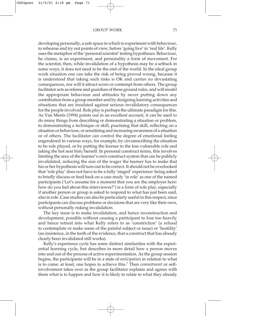developing personally, a safe space in which to experiment with behaviour, to rehearse and try out points of view, before 'going live' in 'real life'. Kelly uses the metaphor of the 'personal scientist' testing hypotheses. Behaviour, he claims, is an experiment, and personality a form of movement. For the scientist, then, while invalidation of a hypothesis may be a setback in some ways, it does not need to be the end of the world. In the ideal group work situation one can take the risk of being proved wrong, because it is understood that taking such risks is OK and carries no devastating consequences, nor will it attract scorn or contempt from others. The group facilitator acts as referee and guardian of these ground rules, and will model the appropriate behaviour and attitudes by never putting down any contribution from a group member and by designing learning activities and situations that are insulated against serious invalidatory consequences for the people involved. Role play is perhaps the ultimate paradigm for this. As Van Ments (1994) points out in an excellent account, it can be used to do many things from describing or demonstrating a situation or problem, to demonstrating a technique or skill, practising that skill, reflecting on a situation or behaviour, or sensitising and increasing awareness of a situation or of others. The facilitator can control the degree of emotional feeling engendered in various ways, for example, by circumscribing the situation to be role played, or by putting the learner in the less vulnerable role and taking the hot seat him/herself. In personal construct terms, this involves limiting the area of the learner's own construct system that can be publicly invalidated, reducing the size of the wager the learner has to make that his or her hypothesis will turn out to be correct. It should not be overlooked that 'role play' does not have to be a fully 'staged' experience: being asked to briefly discuss or feed back on a case study 'in role' as one of the named participants ('Let's assume for a moment that you are the employer here: how do you feel about this interviewee?') is a form of role play, especially if another person or group is asked to respond to what has just been said, also in role. Case studies can also be particularly useful in this respect, since participants can discuss problems or decisions that are very like their own, without personally risking invalidation.

The key issue is to make invalidation, and hence reconstruction and development, possible without causing a participant to lose too heavily and hence retreat into what Kelly refers to as 'constriction' (a refusal to contemplate or make sense of the painful subject or issue) or 'hostility' (an insistence, in the teeth of the evidence, that a construct that has already clearly been invalidated still works).

Kelly's experience cycle has some distinct similarities with the experiential learning cycle, but describes in more detail how a person moves into and out of the process of active experimentation. As the group session begins, the participants will be in a state of *anticipation* in relation to what is to come: at least, one hopes to achieve this.7 Then *commitment* or selfinvolvement takes over as the group facilitator explains and agrees with them what is to happen and how it is likely to relate to what they already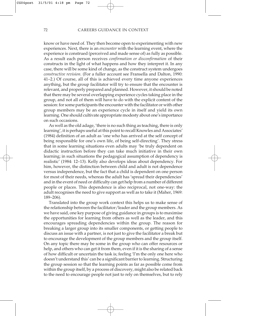know or have need of. They then become open to experimenting with new experiences. Next, there is an *encounter* with the learning event, where the experience is construed (perceived and made sense of) as fully as possible. As a result each person receives *confirmation or disconfirmation* of their constructs in the light of what happens and how they interpret it. In any case, there will be some kind of change, as the construct system undergoes *constructive revision*. (For a fuller account see Fransella and Dalton, 1990: 41–2.) Of course, all of this is achieved every time anyone experiences anything, but the group facilitator will try to ensure that the encounter is relevant, and properly prepared and planned. However, it should be noted that there may be several overlapping experience cycles taking place in the group, and not all of them will have to do with the explicit content of the session: for some participants the encounter with the facilitator or with other group members may be an experience cycle in itself and yield its own learning. One should cultivate appropriate modesty about one's importance on such occasions.

As well as the old adage, 'there is no such thing as teaching, there is only learning', it is perhaps useful at this point to recall Knowles and Associates' (1984) definition of an adult as 'one who has arrived at the self concept of being responsible for one's own life, of being self-directing'. They stress that in some learning situations even adults may 'be truly dependent on didactic instruction before they can take much initiative in their own learning; in such situations the pedagogical assumption of dependency is realistic' (1984: 12–13). Kelly also develops ideas about dependency. For him, however, the distinction between child and adult is not dependence versus independence, but the fact that a child is dependent on one person for most of their needs, whereas the adult has 'spread their dependencies' and in the event of need or difficulty can get help from a number of different people or places. This dependence is also reciprocal, not one-way: the adult recognises the need to give support as well as to take it (Maher, 1969: 189–206).

Translated into the group work context this helps us to make sense of the relationship between the facilitator/leader and the group members. As we have said, one key purpose of giving guidance in groups is to maximise the opportunities for learning from others as well as the leader, and this encourages spreading dependencies within the group. The reason for breaking a larger group into its smaller components, or getting people to discuss an issue with a partner, is not just to give the facilitator a break but to encourage the development of the group members and the group itself. On any topic there may be some in the group who can offer resources or help, and others who can get it from them, even if it is the sharing of a sense of how difficult or uncertain the task is; feeling 'I'm the only one here who doesn't understand this' can be a significant barrier to learning. Structuring the group session so that the learning points as far as possible come from within the group itself, by a process of discovery, might also be related back to the need to encourage people not just to rely on themselves, but to rely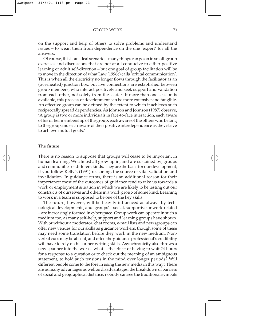on the support and help of others to solve problems and understand issues – to wean them from dependence on the one 'expert' for all the answers.

Of course, this is an ideal scenario – many things can go on in small-group exercises and discussions that are not at all conducive to either positive learning or adult self-direction – but one goal of group facilitation will be to move in the direction of what Law (1996c) calls 'orbital communication'. This is when all the electricity no longer flows through the facilitator as an (overheated) junction box, but live connections are established between group members, who interact positively and seek support and validation from each other, not solely from the leader. If more than one session is available, this process of development can be more extensive and tangible. An effective group can be defined by the extent to which it achieves such reciprocally spread dependencies. As Johnson and Johnson (1987) observe, 'A group is two or more individuals in face-to-face interaction, each aware of his or her membership of the group, each aware of the others who belong to the group and each aware of their positive interdependence as they strive to achieve mutual goals.'

#### **The future**

There is no reason to suppose that groups will cease to be important in human learning. We almost all grow up in, and are sustained by, groups and communities of different kinds. They are the basis for our development, if you follow Kelly's (1991) reasoning, the source of vital validation and invalidation. In guidance terms, there is an additional reason for their importance: most of the outcomes of guidance tend to take us towards a work or employment situation in which we are likely to be testing out our constructs of ourselves and others in a work group of some kind. Learning to work in a team is supposed to be one of the key skills.

The future, however, will be heavily influenced as always by technological developments, and 'groups' – social, supportive or work-related – are increasingly formed in cyberspace. Group work can operate in such a medium too, as many self-help, support and learning groups have shown. With or without a moderator, chat rooms, e-mail lists and newsgroups can offer new venues for our skills as guidance workers, though some of these may need some translation before they work in the new medium. Nonverbal cues may be absent, and often the guidance professional's credibility will have to rely on his or her writing skills. Asynchronicity also throws a new spanner into the works: what is the effect of having to wait 24 hours for a response to a question or to check out the meaning of an ambiguous statement, to hold such tensions in the mind over longer periods? Will different people come to the fore in using the new media in this way? There are as many advantages as well as disadvantages: the breakdown of barriers of social and geographical distance; nobody can see the traditional symbols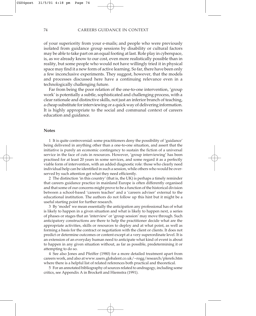of your superiority from your e-mails; and people who were previously isolated from guidance group sessions by disability or cultural factors may be able to take part on an equal footing at last. Role play in cyberspace, is, as we already know to our cost, even more realistically possible than in reality, but some people who would not have willingly tried it in physical space may find it a new form of active learning. So far, there have been only a few inconclusive experiments. They suggest, however, that the models and processes discussed here have a continuing relevance even in a technologically challenging future.

Far from being the poor relation of the one-to-one intervention, 'group work' is potentially a subtle, sophisticated and challenging process, with a clear rationale and distinctive skills, not just an inferior branch of teaching, a cheap substitute for interviewing or a quick way of delivering information. It is highly appropriate to the social and communal context of careers education and guidance.

#### **Notes**

1 It is quite controversial: some practitioners deny the possibility of 'guidance' being delivered in anything other than a one-to-one situation, and assert that the initiative is purely an economic contingency to sustain the fiction of a universal service in the face of cuts in resources. However, 'group interviewing' has been practised for at least 20 years in some services, and some regard it as a perfectly viable form of intervention, with an added diagnostic role: those who clearly need individual help can be identified in such a session, while others who would be overserved by such attention get what they need efficiently.

2 The distinction 'in this country' (that is, the UK) is perhaps a timely reminder that careers guidance practice in mainland Europe is often differently organised and that some of our concerns might prove to be a function of the historical division between a school-based 'careers teacher' and a 'careers adviser' external to the educational institution. The authors do not follow up this hint but it might be a useful starting point for further research.

3 By 'model' we mean essentially the anticipation any professional has of what is likely to happen in a given situation and what is likely to happen next, a series of phases or stages that an 'interview' or 'group session' may move through. Such anticipatory constructions are there to help the practitioner decide what are the appropriate activities, skills or resources to deploy and at what point, as well as forming a basis for the contract or negotiation with the client or clients. It does not predict or determine outcomes or content except at a very superordinate level. It is an extension of an everyday human need to anticipate what kind of event is about to happen in any given situation without, as far as possible, predetermining it or attempting to do so.

4 See also Jones and Pfeiffer (1980) for a more detailed treatment apart from careers work, and also at www.users.globalent.co.uk/~rogg/research/plerefs.htm where there is a helpful list of related references both practical and theoretical.

5 For an annotated bibliography of sources related to andragogy, including some critics, see Appendix A in Brockett and Hiemstra (1991).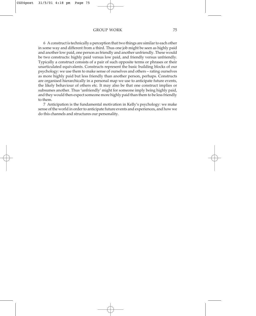GROUP WORK 75

6 A construct is technically a perception that two things are similar to each other in some way and different from a third. Thus one job might be seen as highly paid and another low paid, one person as friendly and another unfriendly. These would be two constructs: highly paid versus low paid, and friendly versus unfriendly. Typically a construct consists of a pair of such opposite terms or phrases or their unarticulated equivalents. Constructs represent the basic building blocks of our psychology: we use them to make sense of ourselves and others – rating ourselves as more highly paid but less friendly than another person, perhaps. Constructs are organised hierarchically in a personal map we use to anticipate future events, the likely behaviour of others etc. It may also be that one construct implies or subsumes another. Thus 'unfriendly' might for someone imply being highly paid, and they would then expect someone more highly paid than them to be less friendly to them.

7 Anticipation is the fundamental motivation in Kelly's psychology: we make sense of the world in order to anticipate future events and experiences, and how we do this channels and structures our personality.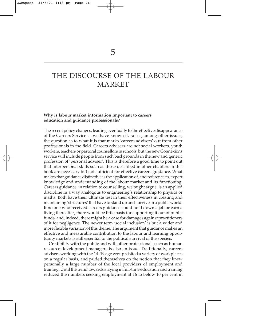# THE DISCOURSE OF THE LABOUR MARKET

#### **Why is labour market information important to careers education and guidance professionals?**

The recent policy changes, leading eventually to the effective disappearance of the Careers Service as we have known it, raises, among other issues, the question as to what it is that marks 'careers advisers' out from other professionals in the field. Careers advisers are not social workers, youth workers, teachers or pastoral counsellors in schools, but the new Connexions service will include people from such backgrounds in the new and generic profession of 'personal adviser'. This is therefore a good time to point out that interpersonal skills such as those described in other chapters in this book are necessary but not sufficient for effective careers guidance. What makes that guidance distinctive is the application of, and reference to, expert knowledge and understanding of the labour market and its functioning. Careers guidance, in relation to counselling, we might argue, is an applied discipline in a way analogous to engineering's relationship to physics or maths. Both have their ultimate test in their effectiveness in creating and maintaining 'structures' that have to stand up and survive in a public world. If no one who received careers guidance could hold down a job or earn a living thereafter, there would be little basis for supporting it out of public funds, and, indeed, there might be a case for damages against practitioners of it for negligence. The newer term 'social inclusion' is but a wider and more flexible variation of this theme. The argument that guidance makes an effective and measurable contribution to the labour and learning opportunity markets is still essential to the political survival of the species.

Credibility with the public and with other professionals such as human resource development managers is also an issue. Traditionally, careers advisers working with the 14–19 age group visited a variety of workplaces on a regular basis, and prided themselves on the notion that they knew personally a large number of the local providers of employment and training. Until the trend towards staying in full-time education and training reduced the numbers seeking employment at 16 to below 10 per cent in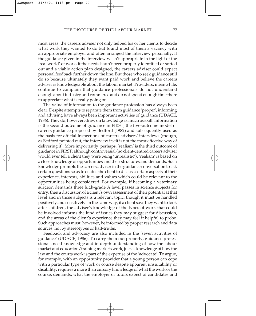most areas, the careers adviser not only helped his or her clients to decide what work they wanted to do but found most of them a vacancy with an appropriate employer and often arranged the interview personally. If the guidance given in the interview wasn't appropriate in the light of the 'real world' of work, if the needs hadn't been properly identified or sorted out and a viable action plan designed, the careers adviser could expect personal feedback further down the line. But those who seek guidance still do so because ultimately they want paid work and believe the careers adviser is knowledgeable about the labour market. Providers, meanwhile, continue to complain that guidance professionals do not understand enough about industry and commerce and do not spend enough time there to appreciate what is really going on.

The value of information to the guidance profession has always been clear. Despite attempts to separate them from guidance 'proper', informing and advising have always been important activities of guidance (UDACE, 1986). They do, however, draw on knowledge as much as skill. Information is the second outcome of guidance in FIRST, the five-outcome model of careers guidance proposed by Bedford (1982) and subsequently used as the basis for official inspections of careers advisers' interviews (though, as Bedford pointed out, the interview itself is not the most effective way of delivering it). More importantly, perhaps, 'realism' is the third outcome of guidance in FIRST: although controversial (no client-centred careers adviser would ever tell a client they were being 'unrealistic'), 'realism' is based on a close knowledge of opportunities and their structures and demands. Such knowledge prompts the careers adviser in the guidance conversation to ask certain questions so as to enable the client to discuss certain aspects of their experience, interests, abilities and values which could be relevant to the opportunities being considered. For example, if becoming a veterinary surgeon demands three high-grade A level passes in science subjects for entry, then a discussion of a client's own assessment of their potential at that level and in those subjects is a relevant topic, though it must be handled positively and sensitively. In the same way, if a client says they want to look after children, the adviser's knowledge of the types of work that could be involved informs the kind of issues they may suggest for discussion, and the areas of the client's experience they may feel it helpful to probe. Such approaches must, however, be informed by proper research and data sources, not by stereotypes or half-truths.

Feedback and advocacy are also included in the 'seven activities of guidance' (UDACE, 1986). To carry them out properly, guidance professionals need knowledge and in-depth understanding of how the labour market and education/training markets work, just as knowledge of how the law and the courts work is part of the expertise of the 'advocate'. To argue, for example, with an opportunity provider that a young person can cope with a particular type of work or course despite apparent unsuitability or disability, requires a more than cursory knowledge of what the work or the course, demands, what the employer or tutors expect of candidates and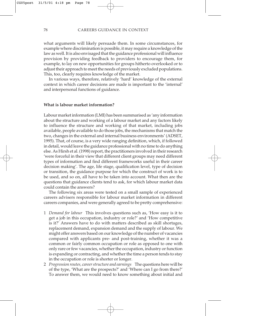what arguments will likely persuade them. In some circumstances, for example where discrimination is possible, it may require a knowledge of the law as well. It is also envisaged that the guidance professional will influence provision by providing feedback to providers to encourage them, for example, to lay on new opportunities for groups hitherto overlooked or to adjust their approach to meet the needs of previously excluded populations. This, too, clearly requires knowledge of the market.

In various ways, therefore, relatively 'hard' knowledge of the external context in which career decisions are made is important to the 'internal' and interpersonal functions of guidance.

#### **What is labour market information?**

Labour market information (LMI) has been summarised as 'any information about the structure and working of a labour market and any factors likely to influence the structure and working of that market, including jobs available, people available to do those jobs, the mechanisms that match the two, changes in the external and internal business environments' (ADSET, 1995). That, of course, is a very wide ranging definition, which, if followed in detail, would leave the guidance professional with no time to do anything else. As Hirsh et al. (1998) report, the practitioners involved in their research 'were forceful in their view that different client groups may need different types of information and find different frameworks useful in their career decision making'. The age, life stage, qualification level, type of decision or transition, the guidance purpose for which the construct of work is to be used, and so on, all have to be taken into account. What then are the questions that guidance clients tend to ask, for which labour market data could contain the answers?

The following six areas were tested on a small sample of experienced careers advisers responsible for labour market information in different careers companies, and were generally agreed to be pretty comprehensive:

- 1 *Demand for labour* This involves questions such as, 'How easy is it to get a job in this occupation, industry or role?' and 'How competitive is it?' Answers have to do with matters described as skill shortages, replacement demand, expansion demand and the supply of labour. We might offer answers based on our knowledge of the number of vacancies compared with applicants pre- and post-training, whether it was a common or fairly common occupation or role as opposed to one with only rare or few vacancies, whether the occupation, industry or function is expanding or contracting, and whether the time a person tends to stay in the occupation or role is shorter or longer.
- 2 *Progression routes, career structure and earnings* The questions here will be of the type, 'What are the prospects?' and 'Where can I go from there?' To answer them, we would need to know something about initial and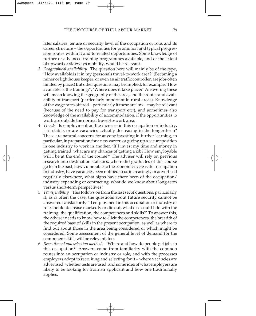later salaries, tenure or security level of the occupation or role, and its career structure – the opportunities for promotion and typical progression routes within it and to related opportunities. Some knowledge of further or advanced training programmes available, and of the extent of upward or sideways mobility, would be relevant.

- 3 *Geographical availability* The question here will mainly be of the type, 'How available is it in my (personal) travel-to-work area?' (Becoming a miner or lighthouse keeper, or even an air traffic controller, are jobs often limited by place.) But other questions may be implied, for example, 'How available is the training?', 'Where does it take place?' Answering these will mean knowing the geography of the area, and the routes and availability of transport (particularly important in rural areas). Knowledge of the wage rates offered – particularly if these are low – may be relevant (because of the need to pay for transport etc.), and sometimes also knowledge of the availability of accommodation, if the opportunities to work are outside the normal travel-to-work area.
- 4 *Trends* Is employment on the increase in this occupation or industry, is it stable, or are vacancies actually decreasing in the longer term? These are natural concerns for anyone investing in further learning, in particular, in preparation for a new career, or giving up a secure position in one industry to work in another. 'If I invest my time and money in getting trained, what are my chances of getting a job? How employable will I be at the end of the course?' The adviser will rely on previous research into destination statistics: where did graduates of this course go to in the past, how vulnerable to the economic cycle is this occupation or industry, have vacancies been notified to us increasingly or advertised regularly elsewhere, what signs have there been of the occupation/ industry expanding or contracting, what do we know about long-term versus short-term perspectives?
- 5 *Transferability* This follows on from the last set of questions, particularly if, as is often the case, the questions about future security cannot be answered satisfactorily. 'If employment in this occupation or industry or role should decrease markedly or die out, what else could I do with the training, the qualification, the competences and skills?' To answer this, the adviser needs to know how to elicit the competences, the breadth of the required base of skills in the present occupation, as well as where to find out about those in the area being considered or which might be considered. Some assessment of the general level of demand for the component skills will be relevant, too.
- 6 *Recruitment and selection methods* 'Where and how do people get jobs in this occupation?' Answers come from familiarity with the common routes into an occupation or industry or role, and with the processes employers adopt in recruiting and selecting for it – where vacancies are advertised, whether tests are used, and some idea of what employers are likely to be looking for from an applicant and how one traditionally applies.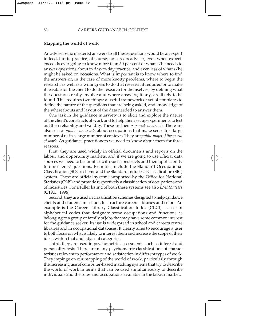#### **Mapping the world of work**

An adviser who mastered answers to all these questions would be an expert indeed, but in practice, of course, no careers adviser, even when experienced, is ever going to know more than 50 per cent of what s/he needs to answer questions about in day-to-day practice, and even less of what s/he might be asked on occasions. What is important is to know where to find the answers or, in the case of more knotty problems, where to begin the research, as well as a willingness to do that research if required or to make it feasible for the client to do the research for themselves, by defining what the questions really involve and where answers, if any, are likely to be found. This requires two things: a useful framework or set of templates to define the nature of the questions that are being asked, and knowledge of the whereabouts and layout of the data needed to answer them.

One task in the guidance interview is to elicit and explore the nature of the client's constructs of work and to help them set up experiments to test out their reliability and validity. These are their *personal constructs*. There are also sets of *public constructs* about occupations that make sense to a large number of us in a large number of contexts. They are *public maps of the world of work*. As guidance practitioners we need to know about them for three reasons.

First, they are used widely in official documents and reports on the labour and opportunity markets, and if we are going to use official data sources we need to be familiar with such constructs and their applicability to our clients' questions. Examples include the Standard Occupational Classification (SOC) scheme and the Standard Industrial Classification (SIC) system. These are official systems supported by the Office for National Statistics (ONS) and provide respectively a classification of occupations and of industries. For a fuller listing of both these systems see also *LMI Matters* (CTAD, 1996).

Second, they are used in classification schemes designed to help guidance clients and students in school, to structure careers libraries and so on. An example is the Careers Library Classification Index (CLCI) – a set of alphabetical codes that designate some occupations and functions as belonging to a group or family of jobs that may have some common interest for the guidance seeker. Its use is widespread in school and careers centre libraries and in occupational databases. It clearly aims to encourage a user to both focus on what is likely to interest them and increase the scope of their ideas within that and adjacent categories.

Third, they are used in psychometric assessments such as interest and personality tests. There are many psychometric classifications of characteristics relevant to performance and satisfaction in different types of work. They impinge on our mapping of the world of work, particularly through the increasing use of computer-based matching systems that try to describe the world of work in terms that can be used simultaneously to describe individuals and the roles and occupations available in the labour market.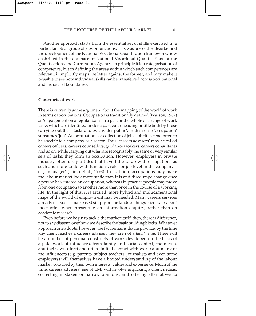Another approach starts from the essential set of skills exercised in a particular job or group of jobs or functions. This was one of the ideas behind the development of the National Vocational Qualification framework, now enshrined in the database of National Vocational Qualifications at the Qualifications and Curriculum Agency. In principle it is a categorisation of competence, but in defining the areas within which such competences are relevant, it implicitly maps the latter against the former, and may make it possible to see how individual skills can be transferred across occupational and industrial boundaries.

#### **Constructs of work**

There is currently some argument about the mapping of the world of work in terms of occupations. Occupation is traditionally defined (Watson, 1987) as 'engagement on a regular basis in a part or the whole of a range of work tasks which are identified under a particular heading or title both by those carrying out these tasks and by a wider public'. In this sense 'occupation' subsumes 'job'. An occupation is a collection of jobs. Job titles tend often to be specific to a company or a sector. Thus 'careers advisers' may be called careers officers, careers counsellors, guidance workers, careers consultants and so on, while carrying out what are recognisably the same or very similar sets of tasks: they form an occupation. However, employers in private industry often use job titles that have little to do with occupations as such and more to do with functions, roles or job level in the company – e.g. 'manager' (Hirsh et al., 1998). In addition, occupations may make the labour market look more static than it is and discourage change once a person has entered an occupation, whereas in practice people may move from one occupation to another more than once in the course of a working life. In the light of this, it is argued, more hybrid and multidimensional maps of the world of employment may be needed. Many careers services already use such a map based simply on the kinds of things clients ask about most often when presenting an information enquiry, rather than on academic research.

Even before we begin to tackle the market itself, then, there is difference, not to say dissent, over how we describe the basic building blocks. Whatever approach one adopts, however, the fact remains that in practice, by the time any client reaches a careers adviser, they are not a *tabula rasa*. There will be a number of personal constructs of work developed on the basis of a patchwork of influences, from family and social context, the media, and their own direct and often limited contact with work; and many of the influencers (e.g. parents, subject teachers, journalists and even some employers) will themselves have a limited understanding of the labour market, coloured by their own interests, values and experience. Much of the time, careers advisers' use of LMI will involve unpicking a client's ideas, correcting mistaken or narrow opinions, and offering alternatives to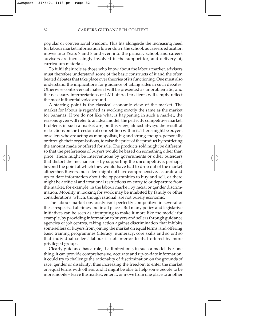popular or conventional wisdom. This fits alongside the increasing need for labour market information lower down the school, as careers education moves into Years 7 and 8 and even into the primary school, and careers advisers are increasingly involved in the support for, and delivery of, curriculum materials.

To fulfil their role as those who know about the labour market, advisers must therefore understand some of the basic constructs of it and the often heated debates that take place over theories of its functioning. One must also understand the implications for guidance of taking sides in such debates. Otherwise controversial material will be presented as unproblematic, and the necessary interpretations of LMI offered to clients will simply reflect the most influential voice around.

A starting point is the classical economic view of the market. The market for labour is regarded as working exactly the same as the market for bananas. If we do not like what is happening in such a market, the reasons given will refer to an ideal model, the perfectly competitive market. Problems in such a market are, on this view, almost always the result of restrictions on the freedom of competition within it. There might be buyers or sellers who are acting as monopolists, big and strong enough, personally or through their organisations, to raise the price of the product by restricting the amount made or offered for sale. The products sold might be different, so that the preferences of buyers would be based on something other than price. There might be interventions by governments or other outsiders that distort the mechanism – by supporting the uncompetitive, perhaps, beyond the point at which they would have had to drop out of the market altogether. Buyers and sellers might not have comprehensive, accurate and up-to-date information about the opportunities to buy and sell, or there might be artificial and irrational restrictions on entry to or departure from the market, for example, in the labour market, by racial or gender discrimination. Mobility in looking for work may be inhibited by family or other considerations, which, though rational, are not purely economic.

The labour market obviously isn't perfectly competitive in several of these respects at all times and in all places. But many policy and legislative initiatives can be seen as attempting to make it more like the model: for example, by providing information to buyers and sellers through guidance agencies or job centres, taking action against discrimination that inhibits some sellers or buyers from joining the market on equal terms, and offering basic training programmes (literacy, numeracy, core skills and so on) so that individual sellers' labour is not inferior to that offered by more privileged groups.

Clearly guidance has a role, if a limited one, in such a model. For one thing, it can provide comprehensive, accurate and up-to-date information; it could try to challenge the rationality of discrimination on the grounds of race, gender or disability, thus increasing the freedom to enter the market on equal terms with others; and it might be able to help some people to be more mobile – leave the market, enter it, or move from one place to another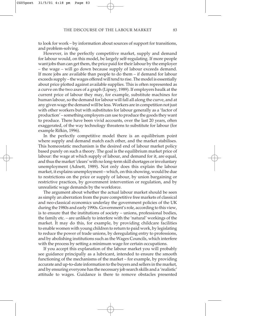to look for work – by information about sources of support for transitions, and problem-solving.

However, in the perfectly competitive market, supply and demand for labour would, on this model, be largely self-regulating. If more people want jobs than can get them, the price paid for their labour by the employer – the wage – will go down because supply of labour exceeds demand. If more jobs are available than people to do them – if demand for labour exceeds supply – the wages offered will tend to rise. The model is essentially about price plotted against available supplies. This is often represented as a curve on the two axes of a graph (Lipsey, 1989). If employers baulk at the current price of labour they may, for example, substitute machines for human labour, so the demand for labour will fall all along the curve, and at any given wage the demand will be less. Workers are in competition not just with other workers but with substitutes for labour generally as a 'factor of production' – something employers can use to produce the goods they want to produce. There have been vivid accounts, over the last 20 years, often exaggerated, of the way technology threatens to substitute for labour (for example Rifkin, 1996).

In the perfectly competitive model there is an equilibrium point where supply and demand match each other, and the market stabilises. This homeostatic mechanism is the desired end of labour market policy based purely on such a theory. The goal is the equilibrium market price of labour: the wage at which supply of labour, and demand for it, are equal, and thus the market 'clears' with no long-term skill shortages or involuntary unemployment (Adnett, 1989). Not only does this explain the labour market, it explains unemployment – which, on this showing, would be due to restrictions on the price or supply of labour, by union bargaining or restrictive practices, by government intervention or regulation, and by unrealistic wage demands by the workforce.

The argument about whether the actual labour market should be seen as simply an aberration from the pure competitive free markets of classical and neo-classical economics underlay the government policies of the UK during the 1980s and early 1990s. Government's role, according to this view, is to ensure that the institutions of society – unions, professional bodies, the family etc. – are unlikely to interfere with the 'natural' workings of the market. It may do this, for example, by providing childcare facilities to enable women with young children to return to paid work, by legislating to reduce the power of trade unions, by deregulating entry to professions, and by abolishing institutions such as the Wages Councils, which interfere with the process by setting a minimum wage for certain occupations.

If you accept this explanation of the labour market you will probably see guidance principally as a lubricant, intended to ensure the smooth functioning of the mechanisms of the market – for example, by providing accurate and up-to-date information to the buyers and sellers in the market, and by ensuring everyone has the necessary job search skills and a 'realistic' attitude to wages. Guidance is there to remove obstacles presented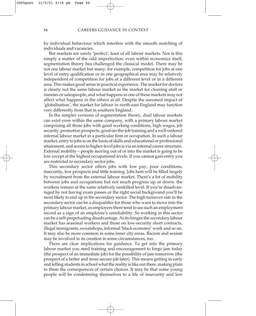by individual behaviour which interfere with the smooth matching of individuals and vacancies.

But markets are rarely 'perfect', least of all labour markets. Nor is this simply a matter of the odd imperfection: even within economics itself, segmentation theory has challenged the classical model. There may be not one labour market but many: for example, competition for jobs at one level of entry qualification or in one geographical area may be relatively independent of competition for jobs at a different level or in a different area. This makes good sense in practical experience. The market for doctors is clearly not the same labour market as the market for cleaning staff or nannies or salespeople, and what happens in one of these markets may not affect what happens in the others at all. Despite the assumed impact of 'globalisation', the market for labour in north-east England may function very differently from that in southern England.

In the simpler versions of segmentation theory, dual labour markets can exist even within the same company, with a primary labour market comprising all those jobs with good working conditions, high wages, job security, promotion prospects, good on-the-job training and a well-ordered internal labour market in a particular firm or occupation. In such a labour market, entry to jobs is on the basis of skills and educational or professional attainment, and access to higher-level jobs is via an internal career structure. External mobility – people moving out of or into the market is going to be low except at the highest occupational levels. If you cannot gain entry you are restricted to secondary sector jobs.

This secondary sector offers jobs with low pay, poor conditions, insecurity, few prospects and little training. Jobs here will be filled largely by recruitment from the external labour market. There's a lot of mobility between jobs and occupations but not much progress up or down: the workers remain at the same relatively unskilled level. If you're disadvantaged by not having exam passes or the right social background you'll be most likely to end up in the secondary sector. The high turnover rate in the secondary sector can be a disqualifier for those who want to move into the primary labour market, as employers there tend to see such an employment record as a sign of an employee's unreliability. So working in this sector can be a self-perpetuating disadvantage. At its fringes the secondary labour market has seasonal workers and those on low-security short contracts, illegal immigrants, sweatshops, informal 'black economy' work and so on. It may also be more common in some inner city areas. Racism and sexism may be involved in its creation in some circumstances, too.

There are clear implications for guidance. To get into the primary labour market you need training and encouragement to forgo jam today (the prospect of an immediate job) for the possibility of jam tomorrow (the prospect of a better and more secure job later). This means getting in early and telling students in school what the reality is like out there, making plain to them the consequences of certain choices. It may be that some young people will be condemning themselves to a life of insecurity and low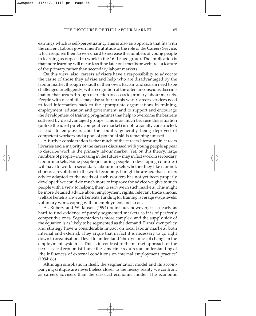earnings which is self-perpetuating. This is also an approach that fits with the current Labour government's attitude to the role of the Careers Service, which requires them to work hard to increase the numbers of young people in learning as opposed to work in the 16–19 age group. The implication is that more learning will mean less time later on benefits or welfare – a feature of the primary rather than secondary labour markets.

On this view, also, careers advisers have a responsibility to advocate the cause of those they advise and help who are disadvantaged by the labour market through no fault of their own. Racism and sexism need to be challenged intelligently, with recognition of the often unconscious discrimination that occurs through restriction of access to primary labour markets. People with disabilities may also suffer in this way. Careers services need to feed information back to the appropriate organisations in training, employment, education and government, and to support and encourage the development of training programmes that help to overcome the barriers suffered by disadvantaged groups. This is as much because this situation (unlike the ideal purely competitive market) is not rationally constructed: it leads to employers and the country generally being deprived of competent workers and a pool of potential skills remaining unused.

A further consideration is that much of the careers literature in careers libraries and a majority of the careers discussed with young people appear to describe work in the primary labour market. Yet, on this theory, large numbers of people – increasing in the future – may in fact work in secondary labour markets. Some people (including people in developing countries) will have to work in secondary labour markets whether they like it or not, short of a revolution in the world economy. It might be argued that careers advice adapted to the needs of such workers has not yet been properly developed: we could do much more to improve the advice we give to such people with a view to helping them to survive in such markets. This might be more detailed advice about employment rights, relevant trade unions, welfare benefits, in-work benefits, funding for training, average wage levels, voluntary work, coping with unemployment and so on.

As Rubery and Wilkinson (1994) point out, however, it is nearly as hard to find evidence of purely segmented markets as it is of perfectly competitive ones. Segmentation is more complex, and the supply side of the equation is as likely to be segmented as the demand. Firms' own policy and strategy have a considerable impact on local labour markets, both internal and external. They argue that in fact it is necessary to go right down to organisational level to understand 'the dynamics of change in the employment system ... This is in contrast to the market approach of the neo-classical economist' but at the same time requires an understanding of 'the influences of external conditions on internal employment practice' (1994: 66).

Although simplistic in itself, the segmentation model and its accompanying critique are nevertheless closer to the messy reality we confront as careers advisers than the classical economic model. The economic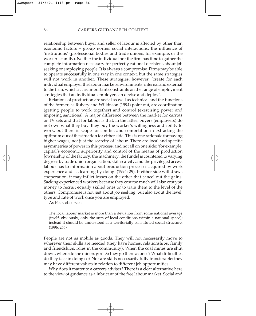relationship between buyer and seller of labour is affected by other than economic factors – group norms, social interactions, the influence of 'institutions' (professional bodies and trade unions, for example, or the worker's family). Neither the individual nor the firm has time to gather the complete information necessary for perfectly rational decisions about job seeking or employing people. It is always a compromise. Firms may be able to operate successfully in one way in one context, but the same strategies will not work in another. These strategies, however, 'create for each individual employer the labour market environments, internal and external to the firm, which act as important constraints on the range of employment strategies that an individual employer can devise and deploy'.

Relations of production are social as well as technical and the functions of the former, as Rubery and Wilkinson (1994) point out, are coordination (getting people to work together) and control (exercising power and imposing sanctions). A major difference between the market for carrots or TV sets and that for labour is that, in the latter, buyers (employers) do not own what they buy: they buy the worker's willingness and ability to work, but there is scope for conflict and competition in extracting the optimum out of the situation for either side. This is one rationale for paying higher wages, not just the scarcity of labour. There are local and specific asymmetries of power in this process, and not all on one side: 'for example, capital's economic superiority and control of the means of production [ownership of the factory, the machinery, the funds] is countered to varying degrees by trade union organisation, skill scarcity, and the privileged access labour has to information about production processes acquired by work experience and... learning-by-doing' (1994: 29). If either side withdraws cooperation, it may inflict losses on the other that cancel out the gains. Sacking experienced workers because they cost too much will also cost you money to recruit equally skilled ones or to train them to the level of the others. Compromise is not just about job seeking, but also about the level, type and rate of work once you are employed.

As Peck observes:

The local labour market is more than a deviation from some national average (itself, obviously, only the sum of local conditions within a national space); instead it should be understood as a territorially constituted social structure. (1996: 266)

People are not as mobile as goods. They will not necessarily move to wherever their skills are needed (they have homes, relationships, family and friendships, roles in the community). When the coal mines are shut down, where do the miners go? Do they go there at once? What difficulties do they face in doing so? Nor are skills necessarily fully transferable: they may have different values in relation to different job opportunities

Why does it matter to a careers adviser? There is a clear alternative here to the view of guidance as a lubricant of the free labour market. Social and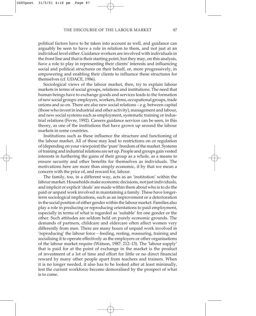political factors have to be taken into account as well, and guidance can arguably be seen to have a role in relation to them, and not just at an individual level either. Guidance workers are involved with individuals in the front line and that is their starting point, but they may, on this analysis, have a role to play in representing their clients' interests and influencing social and political structures on their behalf, or, more progressively, in empowering and enabling their clients to influence these structures for themselves (cf. UDACE, 1986).

Sociological views of the labour market, then, try to explain labour markets in terms of social groups, relations and institutions. The need that human beings have to exchange goods and services leads to the formation of new social groups: employers, workers, firms, occupational groups, trade unions and so on. There are also new social relations – e.g. between capital (those who invest in industrial and other activity), management and labour, and new social systems such as employment, systematic training or industrial relations (Fevre, 1992). Careers guidance services can be seen, in this theory, as one of the institutions that have grown up around the labour markets in some countries.

Institutions such as these influence the structure and functioning of the labour market. All of these may lead to restrictions on or regulation of (depending on your viewpoint) the 'pure' freedom of the market. Systems of training and industrial relations are set up. People and groups gain vested interests in furthering the gains of their group as a whole, as a means to ensure security and other benefits for themselves as individuals. The motivations here are more than simply economic, if by that we mean a concern with the price of, and reward for, labour.

The family, too, in a different way, acts as an 'institution' within the labour market. Households make economic decisions, not just individuals, and implicit or explicit 'deals' are made within them about who is to do the paid or unpaid work involved in maintaining a family. These have longerterm sociological implications, such as an improvement or a deterioration in the social position of either gender within the labour market. Families also play a role in producing or reproducing orientations to paid employment, especially in terms of what is regarded as 'suitable' for one gender or the other. Such attitudes are seldom held on purely economic grounds. The demands of partners, childcare and eldercare often affect women very differently from men. There are many hours of unpaid work involved in 'reproducing' the labour force – feeding, resting, reassuring, training and socialising it to operate effectively as the employers or other organisations of the labour market require (Watson, 1987: 212–13). The 'labour supply' that is paid for at the point of exchange in the market is the product of investment of a lot of time and effort for little or no direct financial reward by many other people apart from teachers and trainers. When it is no longer needed, it also has to be looked after at least minimally, lest the current workforce become demoralised by the prospect of what is to come.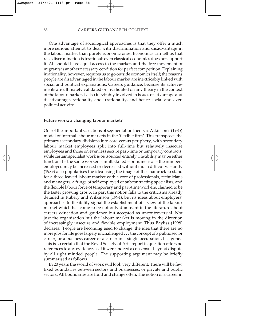One advantage of sociological approaches is that they offer a much more serious attempt to deal with discrimination and disadvantage in the labour market than purely economic ones. Economics can tell us that race discrimination is irrational: even classical economics does not support it. All should have equal access to the market, and the free movement of migrants is another necessary condition for perfect competition. Explaining irrationality, however, requires us to go outside economics itself; the reasons people are disadvantaged in the labour market are inextricably linked with social and political explanations. Careers guidance, because its achievements are ultimately validated or invalidated on any theory in the context of the labour market, is also inevitably involved in issues of advantage and disadvantage, rationality and irrationality, and hence social and even political activity

#### **Future work: a changing labour market?**

One of the important variations of segmentation theory is Atkinson's (1985) model of internal labour markets in the 'flexible firm'. This transposes the primary/secondary divisions into core versus periphery, with secondary labour market employees split into full-time but relatively insecure employees and those on even less secure part-time or temporary contracts, while certain specialist work is outsourced entirely. Flexibility may be either functional – the same worker is multiskilled – or numerical – the numbers employed may be increased or decreased without much difficulty. Handy (1989) also popularises the idea using the image of the shamrock to stand for a three-leaved labour market with a core of professionals, technicians and managers, a fringe of self-employed or subcontracting specialists, and the flexible labour force of temporary and part-time workers, claimed to be the faster growing group. In part this notion falls to the criticisms already detailed in Rubery and Wilkinson (1994), but its ideas about employers' approaches to flexibility signal the establishment of a view of the labour market which has come to be not only dominant in the literature about careers education and guidance but accepted as uncontroversial. Not just the organisation but the labour market is moving in the direction of increasingly insecure and flexible employment. Thus Bayliss (1998) declares: 'People are becoming used to change; the idea that there are no more jobs for life goes largely unchallenged . . . the concept of a public sector career, or a business career or a career in a single occupation, has gone.' This is so certain that the Royal Society of Arts report in question offers no references to any evidence, as if it were indeed a consensus beyond dispute by all right minded people. The supporting argument may be briefly summarised as follows.

In 20 years the world of work will look very different. There will be few fixed boundaries between sectors and businesses, or private and public sectors. All boundaries are fluid and change often. The notion of a career in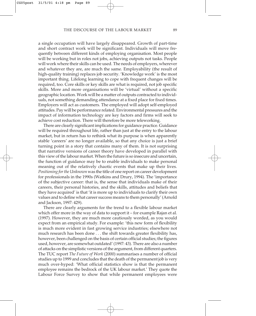a single occupation will have largely disappeared. Growth of part-time and short contract work will be significant. Individuals will move frequently between different kinds of employing organisation. Most people will be working but in roles not jobs, achieving outputs not tasks. People will work where their skills can be used. The needs of employers, wherever and whatever they are, are much the same. Employability (the result of high-quality training) replaces job security. 'Knowledge work' is the most important thing. Lifelong learning to cope with frequent changes will be required, too. Core skills or key skills are what is required, not job specific skills. More and more organisations will be 'virtual' without a specific geographic location. Work will be a matter of outputs contracted to individuals, not something demanding attendance at a fixed place for fixed times. Employers will act as customers. The employed will adopt self-employed attitudes. Pay will be performance related. Environmental pressures and the impact of information technology are key factors and firms will seek to achieve cost reduction. There will therefore be more teleworking.

There are clearly significant implications for guidance practice. Guidance will be required throughout life, rather than just at the entry to the labour market, but in return has to rethink what its purpose is when apparently stable 'careers' are no longer available, so that any choice is just a brief turning point in a story that contains many of them. It is not surprising that narrative versions of career theory have developed in parallel with this view of the labour market. When the future is so insecure and uncertain, the function of guidance may be to enable individuals to make personal meaning out of the relatively chaotic events that make up their lives. *Positioning for the Unknown* was the title of one report on career development for professionals in the 1990s (Watkins and Drury, 1994). The 'importance of the subjective career: that is, the sense that individuals make of their careers, their personal histories, and the skills, attitudes and beliefs that they have acquired' is that 'it is more up to individuals to clarify their own values and to define what career success means to them personally' (Arnold and Jackson, 1997: 429).

There are clearly arguments for the trend to a flexible labour market which offer more in the way of data to support it – for example Rajan et al. (1997). However, they are much more cautiously worded, as you would expect from an empirical study. For example: 'this new form of flexibility is much more evident in fast growing service industries; elsewhere not much research has been done . . . the shift towards greater flexibility has, however, been challenged on the basis of certain official studies; the figures used, however, are somewhat outdated' (1997: 43). There are also a number of attacks on the simplistic versions of the argument, from different quarters. The TUC report *The Future of Work* (2000) summarises a number of official studies up to 1999 and concludes that the death of the permanent job is very much over-hyped: 'What official statistics show is that the permanent employee remains the bedrock of the UK labour market.' They quote the Labour Force Survey to show that while permanent employees were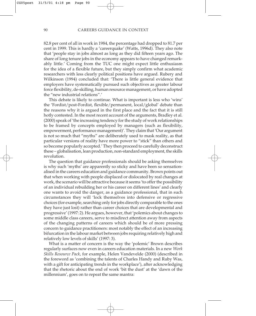82.8 per cent of all in work in 1984, the percentage had dropped to 81.7 per cent in 1999. This is hardly a 'careerquake' (Watts, 1996d). They also note that 'people stay in jobs almost as long as they did fifteen years ago. The share of long tenure jobs in the economy appears to have changed remarkably little.' Coming from the TUC one might expect little enthusiasm for the idea of a flexible future, but they simply confirm what academic researchers with less clearly political positions have argued. Rubery and Wilkinson (1994) concluded that: 'There is little general evidence that employers have systematically pursued such objectives as greater labour force flexibility, de-skilling, human resource management, or have adopted the "new industrial relations".'

This debate is likely to continue. What is important is less who 'wins' the 'Fordist/post-Fordist, flexible/permanent, local/global' debate than the reasons why it is argued in the first place and the fact that it is still hotly contested. In the most recent account of the arguments, Bradley et al. (2000) speak of 'the increasing tendency for the study of work relationships to be framed by concepts employed by managers (such as flexibility, empowerment, performance management)'. They claim that 'Our argument is not so much that "myths" are deliberately used to mask reality, as that particular versions of reality have more power to "stick" than others and so become popularly accepted.' They then proceed to carefully deconstruct these – globalisation, lean production, non-standard employment, the skills revolution.

The question that guidance professionals should be asking themselves is why such 'myths' are apparently so sticky and have been so sensationalised in the careers education and guidance community. Brown points out that when working with people displaced or dislocated by real changes at work, the scenario will be attractive because it seems 'to offer the possibility of an individual rebuilding her or his career on different lines' and clearly one wants to avoid the danger, as a guidance professional, that in such circumstances they will 'lock themselves into defensive or regressive choices (for example, searching only for jobs directly comparable to the ones they have just lost) rather than career choices that are developmental and progressive' (1997: 2). He argues, however, that 'polemics about changes to some middle class careers, serve to misdirect attention away from aspects of the changing patterns of careers which should be of more pressing concern to guidance practitioners: most notably the effect of an increasing bifurcation in the labour market between jobs requiring relatively high and relatively low levels of skills' (1997: 3).

What is a matter of concern is the way the 'polemic' Brown describes regularly surfaces now even in careers education materials. In a new *Work Skills Resource Pack*, for example, Helen Vandevelde (2000) (described in the foreword as 'combining the talents of Charles Handy and Ruby Was, with a gift for anticipating trends in the workplace'), after acknowledging that the rhetoric about the end of work 'bit the dust' at the 'dawn of the millennium', goes on to repeat the same mantra: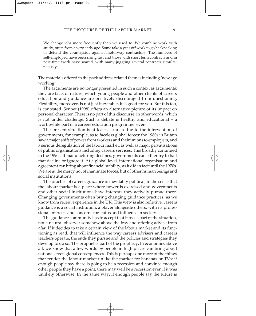We change jobs more frequently than we used to. We combine work with study, often from a very early age. Some take a year off work to go backpacking or defend the countryside against motorway contractors. The numbers of self-employed have been rising fast and those with short term contracts and in part-time work have soared, with many juggling several contracts simultaneously.

The materials offered in the pack address related themes including 'new age working'.

The arguments are no longer presented in such a context as arguments: they are facts of nature, which young people and other clients of careers education and guidance are positively discouraged from questioning. Flexibility, moreover, is not just inevitable, it is good for you. But this too, is contested. Sennet (1998) offers an alternative picture of its impact on personal character. There is no part of this discourse, in other words, which is not under challenge. Such a debate is healthy and educational – a worthwhile part of a careers education programme, even.

The present situation is at least as much due to the intervention of governments, for example, as to faceless global forces: the 1980s in Britain saw a major shift of power from workers and their unions to employers, and a serious deregulation of the labour market, as well as major privatisations of public organisations including careers services. This broadly continued in the 1990s. If manufacturing declines, governments can either try to halt that decline or ignore it. At a global level, international organisation and agreement can bring about financial stability, as it did in fact until the 1970s. We are at the mercy not of inanimate forces, but of other human beings and social institutions.

The practice of careers guidance is inevitably political, in the sense that the labour market is a place where power is exercised and governments and other social institutions have interests they actively pursue there. Changing governments often bring changing guidance practices, as we know from recent experience in the UK. This view is also reflexive: careers guidance is a social institution, a player alongside others, with its professional interests and concerns for status and influence in society.

The guidance community has to accept that it too is part of the situation, not a neutral observer somehow above the fray and offering advice from afar. If it decides to take a certain view of the labour market and its functioning as read, that will influence the way careers advisers and careers teachers operate, the ends they pursue and the policies and strategies they develop to do so. The prophet is part of the prophecy. In economics above all, we know that a few words by people in high places can bring about national, even global consequences. This is perhaps one more of the things that render the labour market unlike the market for bananas or TVs: if enough people say there is going to be a recession and convince enough other people they have a point, there may well be a recession even if it was unlikely otherwise. In the same way, if enough people say the future is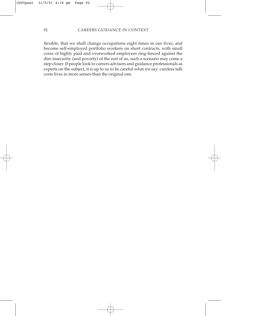flexible, that we shall change occupations eight times in our lives, and become self-employed portfolio workers on short contracts, with small cores of highly paid and overworked employees ring-fenced against the dire insecurity (and poverty) of the rest of us, such a scenario may come a step closer. If people look to careers advisers and guidance professionals as experts on the subject, it is up to us to be careful what we say: careless talk costs lives in more senses than the original one.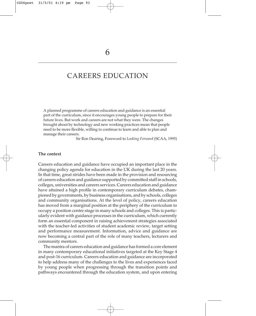## CAREERS EDUCATION

A planned programme of careers education and guidance is an essential part of the curriculum, since it encourages young people to prepare for their future lives. But work and careers are not what they were. The changes brought about by technology and new working practices mean that people need to be more flexible, willing to continue to learn and able to plan and manage their careers.

Sir Ron Dearing, Foreword to *Looking Forward* (SCAA, 1995)

#### **The context**

Careers education and guidance have occupied an important place in the changing policy agenda for education in the UK during the last 20 years. In that time, great strides have been made in the provision and resourcing of careers education and guidance supported by committed staff in schools, colleges, universities and careers services. Careers education and guidance have attained a high profile in contemporary curriculum debates, championed by governments, by business organisations, and by schools, colleges and community organisations. At the level of policy, careers education has moved from a marginal position at the periphery of the curriculum to occupy a position centre stage in many schools and colleges. This is particularly evident with guidance processes in the curriculum, which currently form an essential component in raising achievement strategies associated with the teacher-led activities of student academic review, target setting and performance measurement. Information, advice and guidance are now becoming a central part of the role of many teachers, lecturers and community mentors.

The mantra of careers education and guidance has formed a core element in many contemporary educational initiatives targeted at the Key Stage 4 and post-16 curriculum. Careers education and guidance are incorporated to help address many of the challenges to the lives and experiences faced by young people when progressing through the transition points and pathways encountered through the education system, and upon entering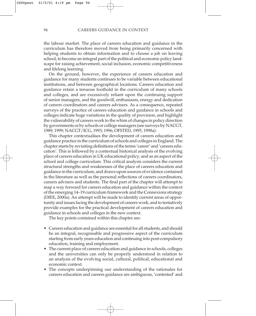the labour market. The place of careers education and guidance in the curriculum has therefore moved from being primarily concerned with helping students to obtain information and to choose a job on leaving school, to become an integral part of the political and economic policy landscape for raising achievement, social inclusion, economic competitiveness and lifelong learning.

On the ground, however, the experience of careers education and guidance for many students continues to be variable between educational institutions, and between geographical locations. Careers education and guidance retain a tenuous foothold in the curriculum of many schools and colleges, and are excessively reliant upon the continuing support of senior managers, and the goodwill, enthusiasm, energy and dedication of careers coordinators and careers advisers. As a consequence, repeated surveys of the practice of careers education and guidance in schools and colleges indicate huge variations in the quality of provision, and highlight the vulnerability of careers work to the whim of changes in policy direction by governments or by schools or college managers (see surveys by NACGT, 1989; 1999; NACGT/ICG, 1993; 1996; OFSTED, 1995, 1998a).

This chapter contextualises the development of careers education and guidance practice in the curriculum of schools and colleges in England. The chapter starts by revisiting definitions of the terms 'career' and 'careers education'. This is followed by a contextual historical analysis of the evolving place of careers education in UK educational policy, and as an aspect of the school and college curriculum. This critical analysis considers the current structural strengths and weaknesses of the place of careers education and guidance in the curriculum, and draws upon sources of evidence contained in the literature as well as the personal reflections of careers coordinators, careers advisers and students. The final part of the chapter will attempt to map a way forward for careers education and guidance within the context of the emerging 14–19 curriculum framework and the Connexions strategy (DfEE, 2000a). An attempt will be made to identify current areas of opportunity and issues facing the development of careers work, and to tentatively provide examples for the practical development of careers education and guidance in schools and colleges in the new context.

The key points contained within this chapter are:

- Careers education and guidance are essential for all students, and should be an integral, recognisable and progressive aspect of the curriculum starting from early years education and continuing into post-compulsory education, training and employment.
- The current place of careers education and guidance in schools, colleges and the universities can only be properly understood in relation to an analysis of the evolving social, cultural, political, educational and economic context.
- The concepts underpinning our understanding of the rationales for careers education and careers guidance are ambiguous, 'contested' and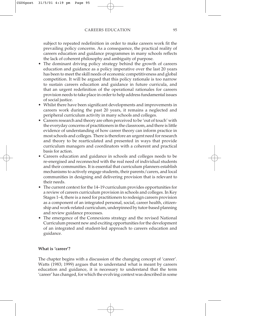subject to repeated redefinition in order to make careers work fit the prevailing policy concerns. As a consequence, the practical reality of careers education and guidance programmes in many schools reflects the lack of coherent philosophy and ambiguity of purpose.

- The dominant driving policy strategy behind the growth of careers education and guidance as a policy imperative over the last 20 years has been to meet the skill needs of economic competitiveness and global competition. It will be argued that this policy rationale is too narrow to sustain careers education and guidance in future curricula, and that an urgent redefinition of the operational rationales for careers provision needs to take place in order to help address fundamental issues of social justice.
- Whilst there have been significant developments and improvements in careers work during the past 20 years, it remains a neglected and peripheral curriculum activity in many schools and colleges.
- Careers research and theory are often perceived to be 'out of touch' with the everyday concerns of practitioners in the classroom, and there is little evidence of understanding of how career theory can inform practice in most schools and colleges. There is therefore an urgent need for research and theory to be rearticulated and presented in ways that provide curriculum managers and coordinators with a coherent and practical basis for action.
- Careers education and guidance in schools and colleges needs to be re-energised and reconnected with the real need of individual students and their communities. It is essential that curriculum planners establish mechanisms to actively engage students, their parents/carers, and local communities in designing and delivering provision that is relevant to their needs.
- The current context for the 14–19 curriculum provides opportunities for a review of careers curriculum provision in schools and colleges. In Key Stages 1–4, there is a need for practitioners to redesign careers provision as a component of an integrated personal, social, career health, citizenship and work-related curriculum, underpinned by tutor-based planning and review guidance processes.
- The emergence of the Connexions strategy and the revised National Curriculum present new and exciting opportunities for the development of an integrated and student-led approach to careers education and guidance.

## **What is 'career'?**

The chapter begins with a discussion of the changing concept of 'career'. Watts (1983; 1999) argues that to understand what is meant by careers education and guidance, it is necessary to understand that the term 'career' has changed, for which the evolving context was described in some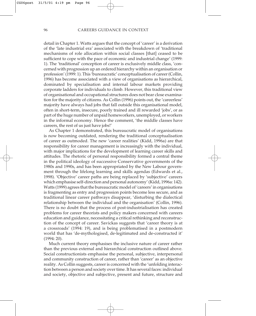detail in Chapter 1. Watts argues that the concept of 'career' is a derivation of the 'late industrial era' associated with the breakdown of 'traditional mechanisms of role allocation within social classes [that] ceased to be sufficient to cope with the pace of economic and industrial change' (1999: 1). The 'traditional' conception of career is exclusively middle class, 'concerned with progression up an ordered hierarchy within an organisation or profession' (1999: 1). This 'bureaucratic' conceptualisation of career (Collin, 1996) has become associated with a view of organisations as hierarchical, dominated by specialisation and internal labour markets providing corporate ladders for individuals to climb. However, this traditional view of organisational and occupational structures does not bear close examination for the majority of citizens. As Collin (1996) points out, the 'careerless' majority have always had jobs that fall outside this organisational model, often in short-term, insecure, poorly trained and ill rewarded 'jobs', or as part of the huge number of unpaid homeworkers, unemployed, or workers in the informal economy. Hence the comment, 'the middle classes have careers, the rest of us just have jobs!'

As Chapter 1 demonstrated, this bureaucratic model of organisations is now becoming outdated, rendering the traditional conceptualisation of career as outmoded. The new 'career realities' (Kidd, 1996a) are that responsibility for career management is increasingly with the individual, with major implications for the development of learning career skills and attitudes. The rhetoric of personal responsibility formed a central theme in the political ideology of successive Conservative governments of the 1980s and 1990s, and has been appropriated by the New Labour government through the lifelong learning and skills agendas (Edwards et al., 1998). 'Objective' career paths are being replaced by 'subjective' careers which emphasise self-direction and personal autonomy' (Kidd, 1996a: 142). Watts (1999) agrees that the bureaucratic model of 'careers' in organisations is fragmenting as entry and progression points become less secure, and as traditional linear career pathways disappear, 'disturbing the dialectical relationship between the individual and the organisation' (Collin, 1996). There is no doubt that the process of post-industrialisation has created problems for career theorists and policy makers concerned with careers education and guidance, necessitating a critical rethinking and reconstruction of the concept of career. Savickas suggests that 'career theory is at a crossroads' (1994: 19), and is being problematised in a postmodern world that has 'de-mythologised, de-legitimated and de-constructed it' (1994: 20).

Much current theory emphasises the inclusive nature of career rather than the previous external and hierarchical construction outlined above. Social constructionists emphasise the personal, subjective, interpersonal and community construction of career, rather than 'career' as an objective reality. As Collin suggests, career is concerned with the 'unfolding interaction between a person and society over time. It has several faces: individual and society, objective and subjective, present and future, structure and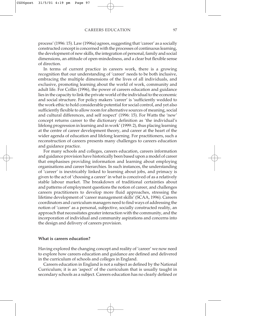process' (1996: 15). Law (1996a) agrees, suggesting that 'career' as a socially constructed concept is concerned with the processes of continuous learning, the development of new skills, the integration of personal, family and social dimensions, an attitude of open-mindedness, and a clear but flexible sense of direction.

In terms of current practice in careers work, there is a growing recognition that our understanding of 'career' needs to be both inclusive, embracing the multiple dimensions of the lives of all individuals, and exclusive, promoting learning about the world of work, community and adult life. For Collin (1996), the power of careers education and guidance lies in the capacity to link the private world of the individual to the economic and social structure. For policy makers 'career' is 'sufficiently wedded to the work ethic to hold considerable potential for social control, and yet also sufficiently flexible to allow room for alternative sources of meaning, social and cultural differences, and self respect' (1996: 15). For Watts the 'new' concept returns career to the dictionary definition as 'the individual's lifelong progression in learning and in work' (1999: 2), thus placing learning at the centre of career development theory, and career at the heart of the wider agenda of education and lifelong learning. For practitioners, such a reconstruction of careers presents many challenges to careers education and guidance practice.

For many schools and colleges, careers education, careers information and guidance provision have historically been based upon a model of career that emphasises providing information and learning about employing organisations and career hierarchies. In such instances, the understanding of 'career' is inextricably linked to learning about jobs, and primacy is given to the act of 'choosing a career' in what is conceived of as a relatively stable labour market. The breakdown of traditional certainties about and patterns of employment questions the notion of career, and challenges careers practitioners to develop more fluid approaches, stressing the lifetime development of 'career management skills' (SCAA, 1996). Careers coordinators and curriculum managers need to find ways of addressing the notion of 'career' as a personal, subjective, socially constructed reality, an approach that necessitates greater interaction with the community, and the incorporation of individual and community aspirations and concerns into the design and delivery of careers provision.

#### **What is careers education?**

Having explored the changing concept and reality of 'career' we now need to explore how careers education and guidance are defined and delivered in the curriculum of schools and colleges in England.

Careers education in England is not a subject as defined by the National Curriculum; it is an 'aspect' of the curriculum that is usually taught in secondary schools as a subject. Careers education has no clearly defined or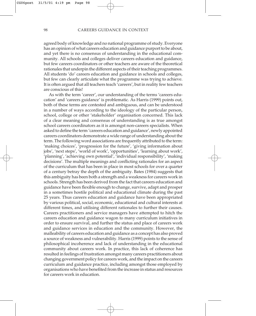agreed body of knowledge and no national programme of study. Everyone has an opinion of what careers education and guidance purport to be about, and yet there is no consensus of understanding in the educational community. All schools and colleges deliver careers education and guidance, but few careers coordinators or other teachers are aware of the theoretical rationales that underpin the different aspects of their teaching programmes. All students 'do' careers education and guidance in schools and colleges, but few can clearly articulate what the programme was trying to achieve. It is often argued that all teachers teach 'careers', but in reality few teachers are conscious of this!

As with the term 'career', our understanding of the terms 'careers education' and 'careers guidance' is problematic. As Harris (1999) points out, both of these terms are contested and ambiguous, and can be understood in a number of ways according to the ideology of the particular person, school, college or other 'stakeholder' organisation concerned. This lack of a clear meaning and consensus of understanding is as true amongst school careers coordinators as it is amongst non-careers specialists. When asked to define the term 'careers education and guidance', newly appointed careers coordinators demonstrate a wide range of understanding about the term. The following word associations are frequently attributed to the term: 'making choices', 'progression for the future', 'giving information about jobs', 'next steps', 'world of work', 'opportunities', 'learning about work', 'planning', 'achieving own potential', 'individual responsibility', 'making decisions'. The multiple meanings and conflicting rationales for an aspect of the curriculum that has been in place in most schools for over a quarter of a century betray the depth of the ambiguity. Bates (1984) suggests that this ambiguity has been both a strength and a weakness for careers work in schools. Strength has been derived from the fact that careers education and guidance have been flexible enough to change, survive, adapt and prosper in a sometimes hostile political and educational climate during the past 25 years. Thus careers education and guidance have been appropriated by various political, social, economic, educational and cultural interests at different times, and utilising different rationales to further their causes. Careers practitioners and service managers have attempted to hitch the careers education and guidance wagon to many curriculum initiatives in order to ensure survival, and further the status and place of careers work and guidance services in education and the community. However, the malleability of careers education and guidance as a concept has also proved a source of weakness and vulnerability. Harris (1999) points to the sense of philosophical incoherence and lack of understanding in the educational community about careers work. In practice, this lack of coherence has resulted in feelings of frustration amongst many careers practitioners about changing government policy for careers work, and the impact on the careers curriculum and guidance practice, including amongst those employed by organisations who have benefited from the increase in status and resources for careers work in education.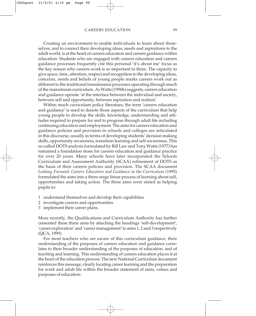Creating an environment to enable individuals to learn about themselves, and to connect their developing ideas, needs and aspirations to the adult world, is at the heart of careers education and careers guidance within education. Students who are engaged with careers education and careers guidance processes frequently cite this personal 'it's about me' focus as the key reason why careers work is so important to them. The capacity to give space, time, attention, respect and recognition to the developing ideas, concerns, needs and beliefs of young people marks careers work out as different to the traditional transmission processes operating through much of the mainstream curriculum. As Watts (1996b) suggests, careers education and guidance operate 'at the interface between the individual and society, between self and opportunity, between aspiration and realism'.

Within much curriculum policy literature, the term 'careers education and guidance' is used to denote those aspects of the curriculum that help young people to develop the skills, knowledge, understanding and attitudes required to prepare for and to progress through adult life including continuing education and employment. The aims for careers education and guidance policies and provision in schools and colleges are articulated in this discourse, usually in terms of developing students' decision making skills, opportunity awareness, transition learning and self-awareness. This so-called DOTS analysis formulated by Bill Law and Tony Watts (1977) has remained a foundation stone for careers education and guidance practice for over 20 years. Many schools have later incorporated the Schools Curriculum and Assessment Authority (SCAA) refinement of DOTS as the basis of their careers policies and provision. The SCAA document *Looking Forward: Careers Education and Guidance in the Curriculum* (1995) formulated the aims into a three-stage linear process of learning about self, opportunities and taking action. The three aims were stated as helping pupils to:

- 1 understand themselves and develop their capabilities
- 2 investigate careers and opportunities
- 3 implement their career plans.

More recently, the Qualifications and Curriculum Authority has further cemented these three aims by attaching the headings 'self-development', 'career exploration' and 'career management' to aims 1, 2 and 3 respectively (QCA, 1999).

For most teachers who are aware of this curriculum guidance, their understanding of the purposes of careers education and guidance correlates to their broader understanding of the purposes of education, and of teaching and learning. This understanding of careers education places it at the heart of the education process. The new National Curriculum document reinforces this message, clearly locating career learning and the preparation for work and adult life within the broader statement of aims, values and purposes of education: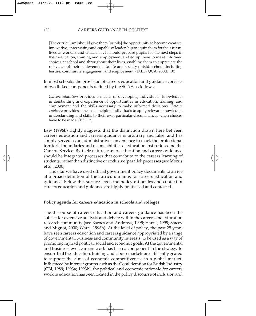[The curriculum] should give them [pupils] the opportunity to become creative, innovative, enterprising and capable of leadership to equip them for their future lives as workers and citizens . . . It should prepare pupils for the next steps in their education, training and employment and equip them to make informed choices at school and throughout their lives, enabling them to appreciate the relevance of their achievements to life and society outside school, including leisure, community engagement and employment. (DfEE/QCA, 2000b: 10)

In most schools, the provision of careers education and guidance consists of two linked components defined by the SCAA as follows:

*Careers education* provides a means of developing individuals' knowledge, understanding and experience of opportunities in education, training, and employment and the skills necessary to make informed decisions. *Careers guidance* provides a means of helping individuals to apply relevant knowledge, understanding and skills to their own particular circumstances when choices have to be made. (1995: 7)

Law (1996b) rightly suggests that the distinction drawn here between careers education and careers guidance is arbitrary and false, and has simply served as an administrative convenience to mark the professional territorial boundaries and responsibilities of education institutions and the Careers Service. By their nature, careers education and careers guidance should be integrated processes that contribute to the careers learning of students, rather than distinctive or exclusive 'parallel' processes (see Morris et al., 2000).

Thus far we have used official government policy documents to arrive at a broad definition of the curriculum aims for careers education and guidance. Below this surface level, the policy rationales and context of careers education and guidance are highly politicised and contested.

### **Policy agenda for careers education in schools and colleges**

The discourse of careers education and careers guidance has been the subject for extensive analysis and debate within the careers and education research community (see Barnes and Andrews, 1995; Harris, 1999; Stacey and Mignot, 2000; Watts, 1996b). At the level of policy, the past 25 years have seen careers education and careers guidance appropriated by a range of governmental, business and community interests, to be used as a way of promoting myriad political, social and economic goals. At the governmental and business level, careers work has been a component in the strategy to ensure that the education, training and labour markets are efficiently geared to support the aims of economic competitiveness in a global market. Influenced by interest groups such as the Confederation for British Industry (CBI, 1989; 1993a; 1993b), the political and economic rationale for careers work in education has been located in the policy discourse of inclusion and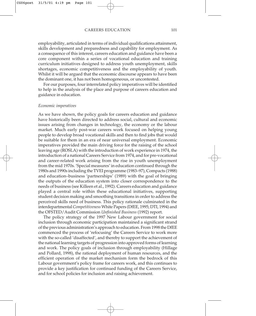employability, articulated in terms of individual qualifications attainment, skills development and preparedness and capability for employment. As a consequence of this interest, careers education and guidance have been a core component within a series of vocational education and training curriculum initiatives designed to address youth unemployment, skills shortages, economic competitiveness and the employability of youth. Whilst it will be argued that the economic discourse appears to have been the dominant one, it has not been homogeneous, or uncontested.

For our purposes, four interrelated policy imperatives will be identified to help in the analysis of the place and purpose of careers education and guidance in education.

#### *Economic imperatives*

As we have shown, the policy goals for careers education and guidance have historically been directed to address social, cultural and economic issues arising from changes in technology, the economy or the labour market. Much early post-war careers work focused on helping young people to develop broad vocational skills and then to find jobs that would be suitable for them in an era of near universal employment. Economic imperatives provided the main driving force for the raising of the school leaving age (ROSLA) with the introduction of work experience in 1974, the introduction of a national Careers Service from 1974, and for pre-vocational and career-related work arising from the rise in youth unemployment from the mid 1970s. 'Special measures' in education continued through the 1980s and 1990s including the TVEI programme (1983–97), Compacts (1988) and education–business 'partnerships' (1989) with the goal of bringing the outputs of the education system into closer correspondence to the needs of business (see Killeen et al., 1992). Careers education and guidance played a central role within these educational initiatives, supporting student decision making and smoothing transitions in order to address the perceived skills need of business. This policy rationale culminated in the interdepartmental *Competitiveness* White Papers (DfEE, 1995; DTI, 1994) and the OFSTED/Audit Commission *Unfinished Business* (1992) report.

The policy strategy of the 1997 New Labour government for social inclusion through economic participation maintained a significant strand of the previous administration's approach to education. From 1998 the DfEE commenced the process of 'refocusing' the Careers Service to work more with the so-called 'disaffected', and thereby to support the achievement of the national learning targets of progression into approved forms of learning and work. The policy goals of inclusion through employability (Hillage and Pollard, 1998), the rational deployment of human resources, and the efficient operation of the market mechanism form the bedrock of this Labour government's policy frame for careers work, and this continues to provide a key justification for continued funding of the Careers Service, and for school policies for inclusion and raising achievement.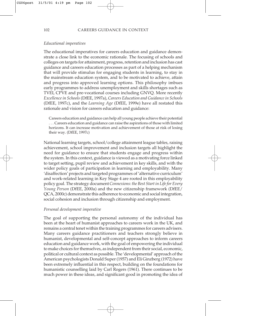## *Educational imperatives*

The educational imperatives for careers education and guidance demonstrate a close link to the economic rationale. The focusing of schools and colleges on targets for attainment, progress, retention and inclusion has cast guidance and careers education processes as part of a helping mechanism that will provide stimulus for engaging students in learning, to stay in the mainstream education system, and to be motivated to achieve, attain and progress into approved learning options. This philosophy imbues early programmes to address unemployment and skills shortages such as TVEI, CPVE and pre-vocational courses including GNVQ. More recently *Excellence in Schools* (DfEE, 1997a), *Careers Education and Guidance in Schools* (DfEE, 1997c), and the *Learning Age* (DfEE, 1999e) have all restated this rationale and vision for careers education and guidance:

Careers education and guidance can help all young people achieve their potential . . . Careers education and guidance can raise the aspirations of those with limited horizons. It can increase motivation and achievement of those at risk of losing their way. (DfEE, 1997c)

National learning targets, school/college attainment league tables, raising achievement, school improvement and inclusion targets all highlight the need for guidance to ensure that students engage and progress within the system. In this context, guidance is viewed as a motivating force linked to target setting, pupil review and achievement in key skills, and with the wider policy goals of participation in learning and employability. Many 'disaffection' projects and targeted programmes of 'alternative curriculum' and work-related learning in Key Stage 4 are rooted in this employability policy goal. The strategy document *Connexions: the Best Start in Life for Every Young Person* (DfEE, 2000a) and the new citizenship framework (DfEE/ QCA, 2000c) demonstrate this adherence to economic and social integration, social cohesion and inclusion through citizenship and employment.

## *Personal development imperative*

The goal of supporting the personal autonomy of the individual has been at the heart of humanist approaches to careers work in the UK, and remains a central tenet within the training programmes for careers advisers. Many careers guidance practitioners and teachers strongly believe in humanist, developmental and self-concept approaches to inform careers education and guidance work, with the goal of empowering the individual to make choices for themselves, as independent from their social, economic, political or cultural context as possible. The 'developmental' approach of the American psychologists Donald Super (1957) and Eli Ginzberg (1972) have been extremely influential in this respect, building on the foundations for humanistic counselling laid by Carl Rogers (1961). There continues to be much power in these ideas, and significant good in promoting the idea of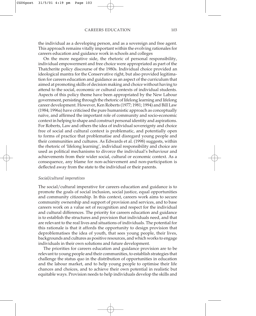the individual as a developing person, and as a sovereign and free agent. This approach remains vitally important within the evolving rationales for careers education and guidance work in schools and colleges

On the more negative side, the rhetoric of personal responsibility, individual empowerment and free choice were appropriated as part of the Thatcherite policy discourse of the 1980s. Individual choice provided an ideological mantra for the Conservative right, but also provided legitimation for careers education and guidance as an aspect of the curriculum that aimed at promoting skills of decision making and choice without having to attend to the social, economic or cultural contexts of individual students. Aspects of this policy theme have been appropriated by the New Labour government, persisting through the rhetoric of lifelong learning and lifelong career development. However, Ken Roberts (1977; 1981; 1994) and Bill Law (1984; 1996a) have criticised the pure humanistic approach as conceptually naïve, and affirmed the important role of community and socio-economic context in helping to shape and construct personal identity and aspirations. For Roberts, Law and others the idea of individual sovereignty and choice free of social and cultural context is problematic, and potentially open to forms of practice that problematise and disregard young people and their communities and cultures. As Edwards et al. (1998) suggests, within the rhetoric of 'lifelong learning', individual responsibility and choice are used as political mechanisms to divorce the individual's behaviour and achievements from their wider social, cultural or economic context. As a consequence, any blame for non-achievement and non-participation is deflected away from the state to the individual or their parents.

#### *Social/cultural imperatives*

The social/cultural imperative for careers education and guidance is to promote the goals of social inclusion, social justice, equal opportunities and community citizenship. In this context, careers work aims to secure community ownership and support of provision and services, and to base careers work on a value set of recognition and respect for the individual and cultural differences. The priority for careers education and guidance is to establish the structures and provision that individuals need, and that are relevant to the real lives and situations of individuals. The potential for this rationale is that it affords the opportunity to design provision that deproblematises the idea of youth, that sees young people, their lives, backgrounds and cultures as positive resources, and which works to engage individuals in their own solutions and future development.

The priorities for careers education and guidance provision are to be relevant to young people and their communities, to establish strategies that challenge the status quo in the distribution of opportunities in education and the labour market, and to help young people to optimise their life chances and choices, and to achieve their own potential in realistic but equitable ways. Provision needs to help individuals develop the skills and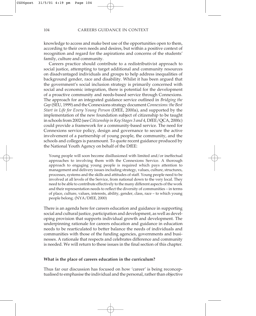knowledge to access and make best use of the opportunities open to them, according to their own needs and desires, but within a positive context of recognition and regard for the aspirations and concerns of the students' family, culture and community.

Careers practice should contribute to a redistributivist approach to social justice, attempting to target additional and community resources on disadvantaged individuals and groups to help address inequalities of background gender, race and disability. Whilst it has been argued that the government's social inclusion strategy is primarily concerned with social and economic integration, there is potential for the development of a proactive community and needs-based service through Connexions. The approach for an integrated guidance service outlined in *Bridging the Gap* (SEU, 1999) and the Connexions strategy document *Connexions: the Best Start in Life for Every Young Person* (DfEE, 2000a), and supported by the implementation of the new foundation subject of citizenship to be taught in schools from 2002 (see *Citizenship in Key Stages 3 and 4*, DfEE/QCA, 2000c) could provide a framework for a community-based service. The need for Connexions service policy, design and governance to secure the active involvement of a partnership of young people, the community, and the schools and colleges is paramount. To quote recent guidance produced by the National Youth Agency on behalf of the DfEE:

Young people will soon become disillusioned with limited and/or ineffectual approaches to involving them with the Connexions Service. A thorough approach to engaging young people is required which pays attention to management and delivery issues including strategy, values, culture, structures, processes, systems and the skills and attitudes of staff. Young people need to be involved at all levels of the Service, from national down to the very local. They need to be able to contribute effectively to the many different aspects of the work and their representation needs to reflect the diversity of communities – in terms of place, culture, values, interests, ability, gender, class, race – to which young people belong. (NYA/DfEE, 2000)

There is an agenda here for careers education and guidance in supporting social and cultural justice, participation and development, as well as developing provision that supports individual growth and development. The underpinning rationale for careers education and guidance in education needs to be rearticulated to better balance the needs of individuals and communities with those of the funding agencies, governments and businesses. A rationale that respects and celebrates difference and community is needed. We will return to these issues in the final section of this chapter.

## **What is the place of careers education in the curriculum?**

Thus far our discussion has focused on how 'career' is being reconceptualised to emphasise the individual and the personal, rather than objective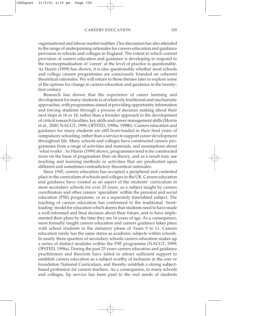organisational and labour market realities. Our discussion has also attended to the range of underpinning rationales for careers education and guidance provision in schools and colleges in England. The extent to which current provision of careers education and guidance is developing to respond to the reconceptualisation of 'career' at the level of practice is questionable. As Harris (1999) has shown, it is also questionable whether most schools and college careers programmes are consciously founded on coherent theoretical rationales. We will return to these themes later to explore some of the options for change in careers education and guidance in the twentyfirst century.

Research has shown that the experience of career learning and development for many students is of relatively traditional and mechanistic approaches, with programmes aimed at providing opportunity information and forcing students through a process of decision making about their next steps at 16 or 18, rather than a broader approach to the development of critical research faculties, key skills and career management skills (Morris et al., 2000; NACGT, 1999; OFSTED, 1998a; 1998b). Careers education and guidance for many students are still front-loaded in their final years of compulsory schooling, rather than a service to support career development throughout life. Many schools and colleges have constructed careers programmes from a range of activities and materials, and assumptions about 'what works'. As Harris (1999) shows, programmes tend to be constructed more on the basis of pragmatism than on theory, and as a result may use teaching and learning methods or activities that are predicated upon different and sometimes contradictory theoretical rationales.

Since 1945, careers education has occupied a peripheral and contested place in the curriculum of schools and colleges in the UK. Careers education and guidance have existed as an aspect of the students' curriculum in most secondary schools for over 25 years, as a subject taught by careers coordinators and other careers 'specialists' within the personal and social education (PSE) programme, or as a separately timetabled subject. The teaching of careers education has conformed to the traditional 'frontloading' model for education which deems that students need to have made a well-informed and final decision about their future, and to have implemented their plans by the time they are 16 years of age. As a consequence, most formally taught careers education and careers guidance takes place with school students in the statutory phase of Years 9 to 11. Careers education rarely has the same status as academic subjects within schools. In nearly three-quarters of secondary schools careers education makes up a series of distinct modules within the PSE programme (NACGT, 1999; OFSTED, 1998a). During the past 25 years careers education and guidance practitioners and theorists have failed to attract sufficient support to establish careers education as a subject worthy of inclusion in the core or foundation National Curriculum, and thereby establish a strong subjectbased profession for careers teachers. As a consequence, in many schools and colleges, lip service has been paid to the real needs of students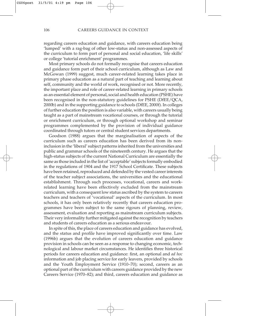regarding careers education and guidance, with careers education being 'lumped' with a rag-bag of other low-status and non-assessed aspects of the curriculum to form part of personal and social education, 'life skills' or college 'tutorial enrichment' programmes.

Most primary schools do not formally recognise that careers education and guidance form part of their school curriculum, although as Law and McGowan (1999) suggest, much career-related learning takes place in primary phase education as a natural part of teaching and learning about self, community and the world of work, recognised or not. More recently, the important place and role of career-related learning in primary schools as an essential element of personal, social and health education (PSHE) have been recognised in the non-statutory guidelines for PSHE (DfEE/QCA, 2000b) and in the supporting guidance to schools (DfEE, 2000f). In colleges of further education the position is also variable, with careers usually being taught as a part of mainstream vocational courses, or through the tutorial or enrichment curriculum, or through optional workshop and seminar programmes complemented by the provision of individual guidance coordinated through tutors or central student services departments.

Goodson (1988) argues that the marginalisation of aspects of the curriculum such as careers education has been derived from its noninclusion in the 'liberal' subject patterns inherited from the universities and public and grammar schools of the nineteenth century. He argues that the high-status subjects of the current National Curriculum are essentially the same as those included in the list of 'acceptable' subjects formally embodied in the regulations of 1904 and the 1917 School Certificate. These subjects have been retained, reproduced and defended by the vested career interests of the teacher subject associations, the universities and the educational establishment. Through such processes, vocational, careers and workrelated learning have been effectively excluded from the mainstream curriculum, with a consequent low status ascribed by the system to careers teachers and teachers of 'vocational' aspects of the curriculum. In most schools, it has only been relatively recently that careers education programmes have been subject to the same rigours of planning, review, assessment, evaluation and reporting as mainstream curriculum subjects. Their very informality further mitigated against the recognition by teachers and students of careers education as a serious endeavour.

In spite of this, the place of careers education and guidance has evolved, and the status and profile have improved significantly over time. Law (1996b) argues that the evolution of careers education and guidance provision in schools can be seen as a response to changing economic, technological and labour market circumstances. He identifies three historical periods for careers education and guidance: first, an optional and *ad hoc* information and job placing service for early leavers, provided by schools and the Youth Employment Service (1910–70); second, careers as an optional part of the curriculum with careers guidance provided by the new Careers Service (1970–82); and third, careers education and guidance as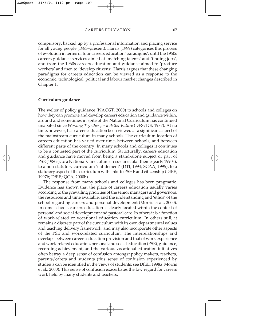compulsory, backed up by a professional information and placing service for all young people (1983–present). Harris (1999) categorises this process of evolution in terms of four careers education 'paradigms': until the 1950s careers guidance services aimed at 'matching talents' and 'finding jobs', and from the 1960s careers education and guidance aimed to 'produce workers' and then to 'develop citizens'. Harris argues that these changing paradigms for careers education can be viewed as a response to the economic, technological, political and labour market changes described in Chapter 1.

## **Curriculum guidance**

The welter of policy guidance (NACGT, 2000) to schools and colleges on how they can promote and develop careers education and guidance within, around and sometimes in spite of the National Curriculum has continued unabated since *Working Together for a Better Future* (DES/DE, 1987). At no time, however, has careers education been viewed as a significant aspect of the mainstream curriculum in many schools. The curriculum location of careers education has varied over time, between schools, and between different parts of the country. In many schools and colleges it continues to be a contested part of the curriculum. Structurally, careers education and guidance have moved from being a stand-alone subject or part of PSE (1980s), to a National Curriculum cross-curricular theme (early 1990s), to a non-statutory curriculum 'entitlement' (DTI, 1994; SCAA, 1995), to a statutory aspect of the curriculum with links to PSHE and citizenship (DfEE, 1997b; DfEE/QCA, 2000b).

The response from many schools and colleges has been pragmatic. Evidence has shown that the place of careers education usually varies according to the prevailing priorities of the senior managers and governors, the resources and time available, and the understanding and 'ethos' of the school regarding careers and personal development (Morris et al., 2000). In some schools careers education is clearly located within the context of personal and social development and pastoral care. In others it is a function of work-related or vocational education curriculum. In others still, it remains a discrete part of the curriculum with its own departmental values and teaching delivery framework, and may also incorporate other aspects of the PSE and work-related curriculum. The interrelationships and overlaps between careers education provision and that of work experience and work-related education, personal and social education (PSE), guidance, recording achievement, and the various vocational education initiatives often betray a deep sense of confusion amongst policy makers, teachers, parents/carers and students (this sense of confusion experienced by students can be identified in the views of students: see DfEE, 1998a; Morris et al., 2000). This sense of confusion exacerbates the low regard for careers work held by many students and teachers.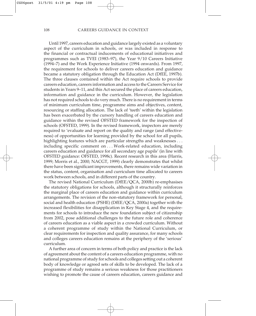Until 1997, careers education and guidance largely existed as a voluntary aspect of the curriculum in schools, or was included in response to the financial or contractual inducements of educational initiatives and programmes such as TVEI (1983–97), the Year 9/10 Careers Initiative (1994–7) and the Work Experience Initiative (1994 onwards). From 1997, the requirement for schools to deliver careers education and guidance became a statutory obligation through the Education Act (DfEE, 1997b). The three clauses contained within the Act require schools to provide careers education, careers information and access to the Careers Service for students in Years 9–11, and this Act secured the place of careers education, information and guidance in the curriculum. However, the legislation has not required schools to do very much. There is no requirement in terms of minimum curriculum time, programme aims and objectives, content, resourcing or staffing allocation. The lack of 'teeth' within the legislation has been exacerbated by the cursory handling of careers education and guidance within the revised OFSTED framework for the inspection of schools (OFSTED, 1999). In the revised framework, inspectors are merely required to 'evaluate and report on the quality and range (and effectiveness) of opportunities for learning provided by the school for all pupils, highlighting features which are particular strengths and weaknesses ... including specific comment on... Work-related education, including careers education and guidance for all secondary age pupils' (in line with OFSTED guidance: OFSTED, 1998c). Recent research in this area (Harris, 1999; Morris et al., 2000; NACGT, 1999) clearly demonstrates that whilst there have been significant improvements, there remains wide variation in the status, content, organisation and curriculum time allocated to careers work between schools, and in different parts of the country.

The revised National Curriculum (DfEE/QCA, 2000b) re-emphasises the statutory obligations for schools, although it structurally reinforces the marginal place of careers education and guidance within curriculum arrangements. The revision of the non-statutory framework for personal, social and health education (PSHE) (DfEE/QCA, 2000a) together with the increased flexibilities for disapplication in Key Stage 4, and the requirements for schools to introduce the new foundation subject of citizenship from 2002, pose additional challenges to the future role and coherence of careers education as a viable aspect in a crowded curriculum. Without a coherent programme of study within the National Curriculum, or clear requirements for inspection and quality assurance, for many schools and colleges careers education remains at the periphery of the 'serious' curriculum.

A further area of concern in terms of both policy and practice is the lack of agreement about the content of a careers education programme, with no national programme of study for schools and colleges setting out a coherent body of knowledge or agreed sets of skills to be developed. The lack of a programme of study remains a serious weakness for those practitioners wishing to promote the cause of careers education, careers guidance and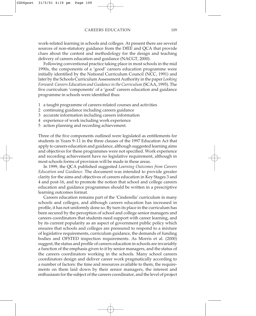work-related learning in schools and colleges. At present there are several sources of non-statutory guidance from the DfEE and QCA that provide clues about the content and methodology for the design and teaching delivery of careers education and guidance (NACGT, 2000).

Following conventional practice taking place in most schools in the mid 1990s, the components of a 'good' careers education programme were initially identified by the National Curriculum Council (NCC, 1991) and later by the Schools Curriculum Assessment Authority in the paper *Looking Forward: Careers Education and Guidance in the Curriculum* (SCAA, 1995). The five curriculum 'components' of a 'good' careers education and guidance programme in schools were identified thus:

- 1 a taught programme of careers-related courses and activities
- 2 continuing guidance including careers guidance
- 3 accurate information including careers information
- 4 experience of work including work experience
- 5 action planning and recording achievement.

Three of the five components outlined were legislated as entitlements for students in Years 9–11 in the three clauses of the 1997 Education Act that apply to careers education and guidance, although suggested learning aims and objectives for these programmes were not specified. Work experience and recording achievement have no legislative requirement, although in most schools forms of provision will be made in these areas.

In 1999, the QCA published suggested *Learning Outcomes from Careers Education and Guidance*. The document was intended to provide greater clarity for the aims and objectives of careers education in Key Stages 3 and 4 and post-16, and to promote the notion that school and college careers education and guidance programmes should be written in a prescriptive learning outcomes format.

Careers education remains part of the 'Cinderella' curriculum in many schools and colleges, and although careers education has increased in profile, it has not uniformly done so. By turn its place in the curriculum has been secured by the perception of school and college senior managers and careers coordinators that students need support with career learning, and by its current popularity as an aspect of government public policy which ensures that schools and colleges are pressured to respond to a mixture of legislative requirements, curriculum guidance, the demands of funding bodies and OFSTED inspection requirements. As Morris et al. (2000) suggest, the status and profile of careers education in schools are invariably a function of the emphasis given to it by senior managers, and the status of the careers coordinators working in the schools. Many school careers coordinators design and deliver career work pragmatically according to a number of factors: the time and resources available to them, the requirements on them laid down by their senior managers, the interest and enthusiasm for the subject of the careers coordinator, and the level of project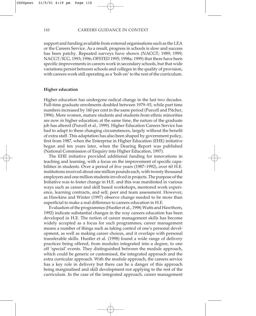support and funding available from external organisations such as the LEA or the Careers Service. As a result, progress in schools is slow and success has been patchy. Repeated surveys have shown (NACGT; 1989; 1999; NACGT/ICG, 1993; 1996; OFSTED 1995; 1998a; 1999) that there have been specific improvements in careers work in secondary schools, but that wide variations persist between schools and colleges in the quality of provision, with careers work still operating as a 'bolt-on' to the rest of the curriculum.

#### **Higher education**

Higher education has undergone radical change in the last two decades. Full-time graduate enrolments doubled between 1979–93, while part time numbers increased by 160 per cent in the same period (Purcell and Pitcher, 1996). More women, mature students and students from ethnic minorities are now in higher education; at the same time, the nature of the graduate job has altered (Purcell et al., 1999). Higher Education Careers Service has had to adapt to these changing circumstances, largely without the benefit of extra staff. This adaptation has also been shaped by government policy, first from 1987, when the Enterprise in Higher Education (EHE) initiative began and ten years later, when the Dearing Report was published (National Commission of Enquiry into Higher Education, 1997).

The EHE initiative provided additional funding for innovations in teaching and learning, with a focus on the improvement of specific capabilities in students. Over a period of five years (1987–1992), over 60 H.E. institutions received about one million pounds each, with twenty thousand employers and one million students involved in projects. The purpose of the Initiative was to foster change in H.E. and this was manifested in various ways such as career and skill based workshops, mentored work experience, learning contracts, and self, peer and team assessment. However, as Hawkins and Winter (1997) observe change needed to be more than superficial to make a real difference to careers education in H.E.

Evaluation of the programmes (Hustler et al., 1998; Watts and Hawthorn, 1992) indicate substantial changes in the way careers education has been developed in H.E. The notion of career management skills has become widely accepted as a focus for such programmes; career management means a number of things such as taking control of one's personal development, as well as making career choices, and it overlaps with personal transferable skills. Hustler et al. (1998) found a wide range of delivery practices being offered, from modules integrated into a degree, to one off 'special' events. They distinguished between the module approach, which could be generic or customised, the integrated approach and the extra curricular approach. With the module approach, the careers service has a key role in delivery but there can be a danger of this approach being marginalised and skill development not applying to the rest of the curriculum. In the case of the integrated approach, career management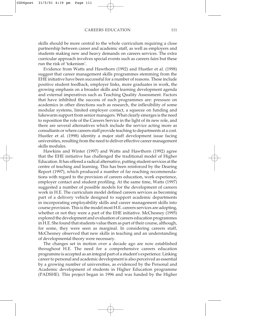skills should be more central to the whole curriculum requiring a close partnership between career and academic staff, as well as employers and students making new and heavy demands on careers services. The extra curricular approach involves special events such as careers fairs but these run the risk of 'tokenism'.

Evidence from Watts and Hawthorn (1992) and Hustler et al. (1998) suggest that career management skills programmes stemming from the EHE initiative have been successful for a number of reasons. These include positive student feedback, employer links, more graduates in work, the growing emphasis on a broader skills and learning development agenda and external imperatives such as Teaching Quality Assessment. Factors that have inhibited the success of such programmes are: pressure on academics in other directions such as research, the inflexibility of some modular systems, limited employer contact, a squeeze on funding and lukewarm support from senior managers. What clearly emerges is the need to reposition the role of the Careers Service in the light of its new role, and there are several alternatives which include the service acting more as consultants or where careers staff provide teaching to departments at a cost. Hustler et al. (1998) identity a major staff development issue facing universities, resulting from the need to deliver effective career management skills modules.

Hawkins and Winter (1997) and Watts and Hawthorn (1992) agree that the EHE initiative has challenged the traditional model of Higher Education. It has offered a radical alternative, putting student services at the centre of teaching and learning. This has been reinforced by the Dearing Report (1997), which produced a number of far reaching recommendations with regard to the provision of careers education, work experience, employer contact and student profiling. At the same time, Watts (1997) suggested a number of possible models for the development of careers work in H.E. The curriculum model defined careers services as becoming part of a delivery vehicle designed to support academic departments in incorporating employability skills and career management skills into course provision. This is the model most H.E. careers services are adopting, whether or not they were a part of the EHE initiative. McChesney (1995) explored the development and evaluation of careers education programmes in H.E. She found that students value them as part of their course, although, for some, they were seen as marginal. In considering careers staff, McChesney observed that new skills in teaching and an understanding of developmental theory were necessary.

The changes set in motion over a decade ago are now established throughout H.E. The need for a comprehensive careers education programme is accepted as an integral part of a student's experience. Linking career to personal and academic development is also perceived as essential by a growing number of universities, as evidenced by the Personal and Academic development of students in Higher Education programme (PADSHE). This project began in 1996 and was funded by the Higher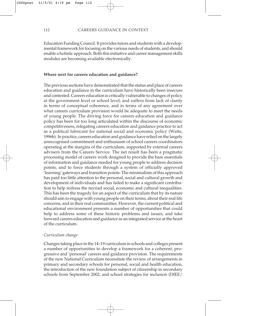Education Funding Council. It provides tutors and students with a developmental framework for focusing on the various needs of students, and should enable a holistic approach. Both this initiative and career management skills modules are becoming available electronically.

## **Where next for careers education and guidance?**

The previous sections have demonstrated that the status and place of careers education and guidance in the curriculum have historically been insecure and contested. Careers education is critically vulnerable to changes of policy at the government level or school level, and suffers from lack of clarity in terms of conceptual coherence, and in terms of any agreement over what careers curriculum provision would be adequate to meet the needs of young people. The driving force for careers education and guidance policy has been for too long articulated within the discourse of economic competitiveness, relegating careers education and guidance practice to act as a political lubricant for national social and economic policy (Watts, 1996b). In practice, careers education and guidance have relied on the largely unrecognised commitment and enthusiasm of school careers coordinators operating at the margins of the curriculum, supported by external careers advisers from the Careers Service. The net result has been a pragmatic processing model of careers work designed to provide the bare essentials of information and guidance needed for young people to address decision points, and to force students through a system of officially approved 'learning' gateways and transition points. The minimalism of this approach has paid too little attention to the personal, social and cultural growth and development of individuals and has failed to make a significant contribution to help redress the myriad social, economic and cultural inequalities. This has been the tragedy for an aspect of the curriculum that by its nature should aim to engage with young people on their terms, about their real life concerns, and in their real communities. However, the current political and educational environment presents a number of opportunities that could help to address some of these historic problems and issues, and take forward careers education and guidance as an integrated service at the heart of the curriculum.

## *Curriculum change*

Changes taking place in the 14–19 curriculum in schools and colleges present a number of opportunities to develop a framework for a coherent, progressive and 'personal' careers and guidance provision. The requirements of the new National Curriculum necessitate the review of arrangements in primary and secondary schools for personal, social and health education, the introduction of the new foundation subject of citizenship in secondary schools from September 2002, and school strategies for inclusion (DfEE/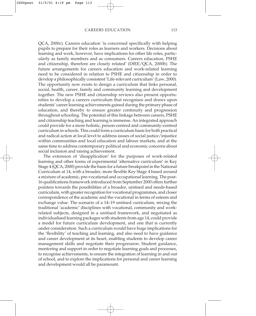QCA, 2000c). Careers education 'is concerned specifically with helping pupils to prepare for their roles as learners and workers. Decisions about learning and work, however, have implications for other life roles, particularly as family members and as consumers. Careers education, PSHE and citizenship, therefore are closely related' (DfEE/QCA, 2000b). The future arrangements for careers education and work-related learning need to be considered in relation to PSHE and citizenship in order to develop a philosophically consistent 'Life-relevant curriculum' (Law, 2000). The opportunity now exists to design a curriculum that links personal, social, health, career, family and community learning and development together. The new PSHE and citizenship reviews also present opportunities to develop a careers curriculum that recognises and draws upon students' career learning achievements gained during the primary phase of education, and thereby to ensure greater continuity and progression throughout schooling. The potential of this linkage between careers, PSHE and citizenship teaching and learning is immense. An integrated approach could provide for a more holistic, person-centred and community-centred curriculum in schools. This could form a curriculum basis for both practical and radical action at local level to address issues of social justice/injustice within communities and local education and labour markets, and at the same time to address contemporary political and economic concerns about social inclusion and raising achievement.

The extension of 'disapplication' for the purposes of work-related learning and other forms of experimental 'alternative curriculum' in Key Stage 4 (QCA, 2000) provide the basis for a future breakpoint in the National Curriculum at 14, with a broader, more flexible Key Stage 4 based around a mixture of academic, pre-vocational and occupational learning. The post-16 qualifications framework introduced from September 2000 offers further pointers towards the possibilities of a broader, unitised and needs-based curriculum, with greater recognition for vocational programmes, and closer correspondence of the academic and the vocational in terms of esteem and exchange value. The scenario of a 14–19 unitised curriculum, mixing the traditional 'academic' disciplines with vocational, community and workrelated subjects, designed in a unitised framework, and negotiated as individualised learning packages with students from age 14, could provide a model for future curriculum development, and one that is currently under consideration. Such a curriculum would have huge implications for the 'flexibility' of teaching and learning, and also need to have guidance and career development at its heart, enabling students to develop career management skills and negotiate their progression. Student guidance, mentoring and support in order to negotiate learning goals and processes, to recognise achievements, to ensure the integration of learning in and out of school, and to explore the implications for personal and career learning and development would all be paramount.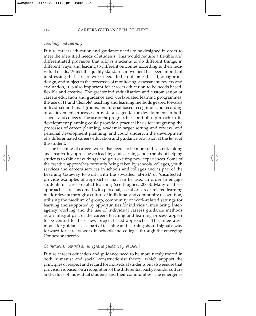## *Teaching and learning*

Future careers education and guidance needs to be designed in order to meet the identified needs of students. This would require a flexible and differentiated provision that allows students to do different things, in different ways, and leading to different outcomes according to their individual needs. Whilst the quality standards movement has been important in stressing that careers work needs to be outcomes based, of rigorous design, and subject to the processes of monitoring, assessment, review and evaluation, it is also important for careers education to be needs based, flexible and creative. The greater individualisation and customisation of careers education and guidance and work-related learning programmes, the use of IT and 'flexible' teaching and learning methods geared towards individuals and small groups, and tutorial-based recognition and recording of achievement processes provide an agenda for development in both schools and colleges. The use of the progress files 'portfolio approach' to life development planning could provide a practical basis for integrating the processes of career planning, academic target setting and review, and personal development planning, and could underpin the development of a differentiated careers education and guidance provision at the level of the student.

The teaching of careers work also needs to be more radical, risk-taking and creative in approaches to teaching and learning, and to be about helping students to think new things and gain exciting new experiences. Some of the creative approaches currently being taken by schools, colleges, youth services and careers services in schools and colleges and as part of the Learning Gateway to work with the so-called 'at-risk' or 'disaffected' provide examples of approaches that can be used in order to engage students in career-related learning (see Hughes, 2000). Many of these approaches are concerned with personal, social or career-related learning made relevant through a culture of individual and community recognition, utilising the medium of group, community or work-related settings for learning and supported by opportunities for individual mentoring. Interagency working and the use of individual careers guidance methods as an integral part of the careers teaching and learning process appear to be central to these new project-based approaches. This integrative model for guidance as a part of teaching and learning should signal a way forward for careers work in schools and colleges through the emerging Connexions service.

## *Connexions: towards an integrated guidance provision?*

Future careers education and guidance need to be more firmly rooted in both humanist and social constructionist theory, which support the principles of respect and regard for individual students but also ensure that provision is based on a recognition of the differential backgrounds, culture and values of individual students and their communities. The emergence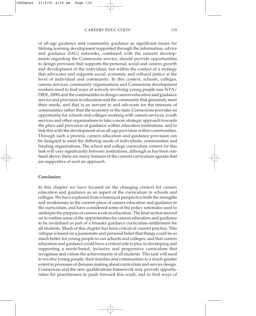of all-age guidance and community guidance as significant issues for lifelong learning development supported through the information, advice and guidance (IAG) networks, combined with the nascent developments regarding the Connexions service, should provide opportunities to design provision that supports the personal, social and careers growth and development of the individual, but within the context of a strategy that advocates and supports social, economic and cultural justice at the level of individual and community. In this context, schools, colleges, careers services, community organisations and Connexions development workers need to find ways of actively involving young people (see NYA/ DfEE, 2000) and the communities to design careers education and guidance service and provision in education and the community that genuinely meet their needs, and that is an servant to and advocate for the interests of communities rather than the economy or the state. Connexions provides an opportunity for schools and colleges working with careers services, youth services and other organisations to take a more strategic approach towards the place and provision of guidance within education institutions, and to link this with the development of an all-age provision within communities. Through such a process, careers education and guidance provision can be designed to meet the differing needs of individuals, communities and funding organisations. The school and college curriculum context for this task will vary significantly between institutions, although as has been outlined above, there are many features of the current curriculum agenda that are supportive of such an approach.

## **Conclusion**

In this chapter we have focused on the changing context for careers education and guidance as an aspect of the curriculum in schools and colleges. We have explored from a historical perspective both the strengths and weaknesses in the current place of careers education and guidance in the curriculum, and have considered some of the policy rationales used to underpin the purpose of careers work in education. The final section moved on to outline some of the opportunities for careers education and guidance to be revitalised as part of a broader guidance curriculum entitlement for all students. Much of this chapter has been critical of current practice. This critique is based on a passionate and personal belief that things could be so much better for young people in our schools and colleges, and that careers education and guidance could have a critical role to play in developing and supporting a needs-based, inclusive and progressive curriculum that recognises and values the achievements of all students. This task will need to involve young people, their families and communities to a much greater extent in processes of decision making about curriculum and service design. Connexions and the new qualifications framework may provide opportunities for practitioners to push forward this work, and to find ways of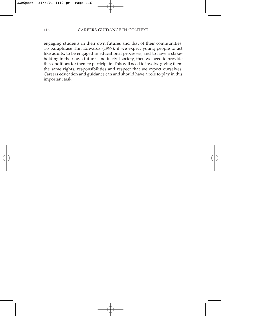engaging students in their own futures and that of their communities. To paraphrase Tim Edwards (1997), if we expect young people to act like adults, to be engaged in educational processes, and to have a stakeholding in their own futures and in civil society, then we need to provide the conditions for them to participate. This will need to involve giving them the same rights, responsibilities and respect that we expect ourselves. Careers education and guidance can and should have a role to play in this important task.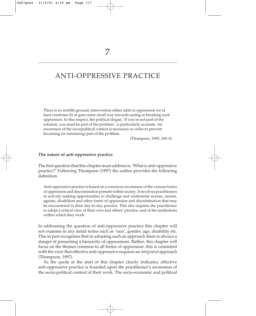# ANTI-OPPRESSIVE PRACTICE

There is no middle ground; intervention either adds to oppression (or at least condones it) or goes some small way towards easing or breaking such oppression. In this respect, the political slogan, 'If you're not part of the solution, you must be part of the problem', is particularly accurate. An awareness of the sociopolitical context is necessary in order to prevent becoming (or remaining) part of the problem.

(Thompson, 1992: 169–0)

## **The nature of anti-oppressive practice**

The first question that this chapter must address is: 'What is anti-oppressive practice?' Following Thompson (1997) the author provides the following definition:

Anti-oppressive practice is based on a conscious awareness of the various forms of oppression and discrimination present within society. It involves practitioners in actively seeking opportunities to challenge and undermine sexism, racism, ageism, disabilism and other forms of oppression and discrimination that may be encountered in their day-to-day practice. This also requires the practitioner to adopt a critical view of their own and others' practice, and of the institutions within which they work.

In addressing the question of anti-oppressive practice this chapter will not examine in any detail terms such as 'race', gender, age, disability etc. This in part recognises that in adopting such an approach there is always a danger of presenting a hierarchy of oppressions. Rather, this chapter will focus on the themes common to all forms of oppression: this is consistent with the view that effective anti-oppressive requires an *integrated* approach (Thompson, 1997).

As the quote at the start of this chapter clearly indicates, effective anti-oppressive practice is founded upon the practitioner's awareness of the socio-political context of their work. The socio-economic and political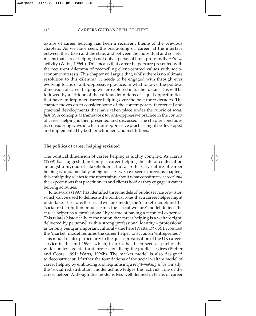nature of career helping has been a recurrent theme of the previous chapters. As we have seen, the positioning of 'career' at the interface between the citizen and the state, and between the individual and society, means that career helping is not only a personal but a profoundly *political* activity (Watts, 1996b). This means that career helpers are presented with the recurrent dilemma of reconciling client-centred values with socioeconomic interests. This chapter will argue that, whilst there is no ultimate resolution to this dilemma, it needs to be engaged with through ever evolving forms of anti-oppressive practice. In what follows, the political dimension of career helping will be explored in further detail. This will be followed by a critique of the various definitions of 'equal opportunities' that have underpinned career helping over the past three decades. The chapter moves on to consider some of the contemporary theoretical and practical developments that have taken place under the rubric of *social justice*. A conceptual framework for anti-oppressive practice in the context of career helping is then presented and discussed. The chapter concludes by considering ways in which anti-oppressive practice might be developed and implemented by both practitioners and institutions.

#### **The politics of career helping revisited**

The political dimension of career helping is highly complex. As Harris (1999) has suggested, not only is career helping the site of contestation amongst a myriad of 'stakeholders', but also the very nature of career helping is fundamentally ambiguous. As we have seen in previous chapters, this ambiguity relates to the uncertainty about what constitutes 'career' *and* the expectations that practitioners and clients hold as they engage in career helping activities.

R. Edwards (1997) has identified three models of public service provision which can be used to delineate the political roles that a career helper might undertake. These are: the 'social welfare' model; the 'market' model; and the 'social redistribution' model. First, the 'social welfare' model defines the career helper as a 'professional' by virtue of having a technical expertise. This relates historically to the notion that career helping is a welfare right, delivered by personnel with a strong professional identity – professional autonomy being an important cultural value here (Watts, 1996b). In contrast the 'market' model requires the career helper to act as an 'entrepreneur'. This model relates particularly to the quasi-privatisation of the UK careers service in the mid 1990s which, in turn, has been seen as part of the wider policy agenda for deprofessionalising the public services (Pfeffer and Coote, 1991; Watts, 1996b). The market model is also designed to deconstruct still further the foundations of the social welfare model of career helping by embracing and legitimising a *profit-making ethos*. Finally, the 'social redistribution' model acknowledges the 'activist' role of the career helper. Although this model is less well defined in terms of career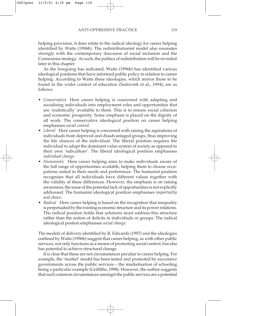helping provision, it does relate to the radical ideology for career helping identified by Watts (1996b). The redistributionist model also resonates strongly with the contemporary discourse of social inclusion and the Connexions strategy. As such, the politics of redistribution will be revisited later in this chapter.

As the foregoing has indicated, Watts (1996b) has identified various ideological positions that have informed public policy in relation to career helping. According to Watts these ideologies, which mirror those to be found in the wider context of education (Sadovnik et al., 1994), are as follows:

- *Conservative* Here career helping is concerned with adapting and socialising individuals into employment roles and opportunities that are 'realistically' available to them. This is to ensure social cohesion and economic prosperity. Some emphasis is placed on the dignity of all work. The conservative ideological position on career helping emphasises *social control.*
- *Liberal* Here career helping is concerned with raising the aspirations of individuals from deprived and disadvantaged groups, thus improving the life chances of the individual. The liberal position requires the individual to adopt the dominant value system of society as opposed to their own 'subculture'. The liberal ideological position emphasises *individual change*.
- *Humanistic* Here career helping aims to make individuals aware of the full range of opportunities available, helping them to choose occupations suited to their needs and preferences. The humanist position recognises that all individuals have different values together with the validity of these differences. However, the emphasis is on raising awareness; the issue of the potential lack of opportunities is not explicitly addressed. The humanist ideological position emphasises *impartiality and choice*.
- *Radical* Here career helping is based on the recognition that inequality is perpetuated by the existing economic structure and its power relations. The radical position holds that solutions must address this structure rather than the notion of deficits in individuals or groups. The radical ideological postion emphasises *social change*.

The models of delivery identified by R. Edwards (1997) and the ideologies outlined by Watts (1996b) suggest that career helping, as with other public services, not only functions as a means of promoting social control, but also has potential to achieve structural change.

It is clear that these are not circumstances peculiar to career helping. For example, the 'market' model has been tested and promoted by successive governments across the public services – the marketisation of schooling being a particular example (Griffiths, 1998). However, the author suggests that such common circumstances amongst the public services are a potential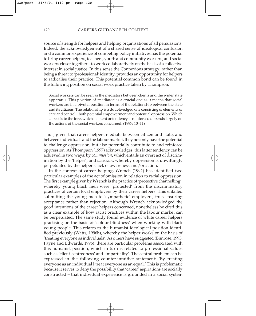source of strength for helpers and helping organisations of all persuasions. Indeed, the acknowledgement of a shared sense of ideological confusion and a common experience of competing policy initiatives has the potential to bring career helpers, teachers, youth and community workers, and social workers closer together – to work collaboratively on the basis of a collective interest in social justice. In this sense the Connexions strategy, rather than being a threat to 'professional' identity, provides an opportunity for helpers to radicalise their practice. This potential common bond can be found in the following position on social work practice taken by Thompson:

Social workers can be seen as the mediators between clients and the wider state apparatus. This position of 'mediator' is a crucial one as it means that social workers are in a pivotal position in terms of the relationship between the state and its citizens. The relationship is a double-edged one consisting of elements of care and control – both potential empowerment and potential oppression. Which aspect is to the fore, which element or tendency is reinforced depends largely on the actions of the social workers concerned. (1997: 10–11)

Thus, given that career helpers mediate between citizen and state, and between individuals and the labour market, they not only have the potential to challenge oppression, but also potentially contribute to and reinforce oppression. As Thompson (1997) acknowledges, this latter tendency can be achieved in two ways: by *commission*, which entails an overt act of discrimination by the 'helper'; and *omission*, whereby oppression is unwittingly perpetuated by the helper's lack of awareness and/or action.

In the context of career helping, Wrench (1992) has identified two particular examples of the act of omission in relation to racial oppression. The first example given by Wrench is the practice of 'protective channelling', whereby young black men were 'protected' from the discriminatory practices of certain local employers by their career helpers. This entailed submitting the young men to 'sympathetic' employers, thus ensuring acceptance rather than rejection. Although Wrench acknowledged the good intentions of the career helpers concerned, nonetheless he cited this as a clear example of how racist practices within the labour market can be perpetuated. The same study found evidence of white career helpers practising on the basis of 'colour-blindness' when working with black young people. This relates to the humanist ideological position identified previously (Watts, 1996b), whereby the helper works on the basis of 'treating everyone as individuals'. As others have suggested (Bimrose, 1993; Payne and Edwards, 1996), there are particular problems associated with this humanist position, which in turn is related to professional values such as 'client-centredness' and 'impartiality'. The central problem can be expressed in the following counter-intuitive statement: 'By treating everyone as an individual I treat everyone as an equal.' This is problematic because it serves to deny the possibility that 'career' aspirations are socially constructed – that individual experience is grounded in a social system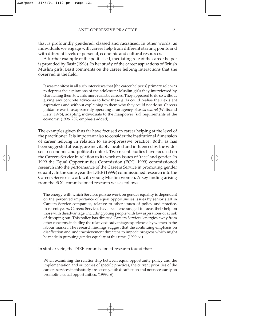that is profoundly gendered, classed and racialised. In other words, as individuals we engage with career help from different starting points and with different levels of personal, economic and cultural resources.

A further example of the politicised, mediating role of the career helper is provided by Basit (1996). In her study of the career aspirations of British Muslim girls, Basit comments on the career helping interactions that she observed in the field:

It was manifest in all such interviews that [the career helper's] primary role was to depress the aspirations of the adolescent Muslim girls they interviewed by channelling them towards more realistic careers. They appeared to do so without giving any concrete advice as to how these girls could realise their existent aspirations and without explaining to them why they could not do so. Careers guidance was thus apparently operating as an agency of *social control* (Watts and Herr, 1976), adapting individuals to the manpower [*sic*] requirements of the economy. (1996: 237, emphasis added)

The examples given thus far have focused on career helping at the level of the practitioner. It is important also to consider the institutional dimension of career helping in relation to anti-oppressive practice. Both, as has been suggested already, are inevitably located and influenced by the wider socio-economic and political context. Two recent studies have focused on the Careers Service in relation to its work on issues of 'race' and gender. In 1999 the Equal Opportunities Commission (EOC, 1999) commissioned research into the performance of the Careers Service in promoting gender equality. In the same year the DfEE (1999c) commissioned research into the Careers Service's work with young Muslim women. A key finding arising from the EOC-commissioned research was as follows:

The energy with which Services pursue work on gender equality is dependent on the perceived importance of equal opportunities issues by senior staff in Careers Service companies, relative to other issues of policy and practice. In recent years, Careers Services have been encouraged to focus their help on those with disadvantage, including young people with low aspirations or at risk of dropping out. This policy has directed Careers Services' energies away from other concerns, including the relative disadvantage experienced by women in the labour market. The research findings suggest that the continuing emphasis on disaffection and underachievement threatens to impede progress which might be made in pursuing gender equality at this time. (1999: vi)

In similar vein, the DfEE-commissioned research found that:

When examining the relationship between equal opportunity policy and the implementation and outcomes of specific practices, the current priorities of the careers services in this study are set on youth disaffection and not necessarily on promoting equal opportunities. (1999c: 6)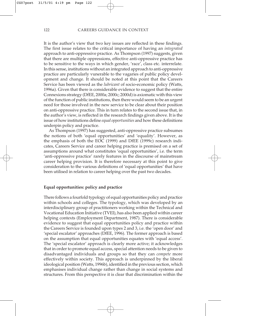It is the author's view that two key issues are reflected in these findings. The first issue relates to the critical importance of having an *integrated* approach to anti-oppressive practice. As Thompson (1997) suggests, given that there are multiple oppressions, effective anti-oppressive practice has to be sensitive to the ways in which gender, 'race', class etc. interrelate. In this sense, institutions without an integrated approach to anti-oppressive practice are particularly vunerable to the vagaries of public policy development and change. It should be noted at this point that the Careers Service has been viewed as the *lubricant* of socio-economic policy (Watts, 1996a). Given that there is considerable evidence to suggest that the entire Connexions strategy (DfEE, 2000a; 2000c; 2000d) is axiomatic with this view of the function of public institutions, then there would seem to be an urgent need for those involved in the new service to be clear about their position on anti-oppressive practice. This in turn relates to the second issue that, in the author's view, is reflected in the research findings given above. It is the issue of how institutions define *equal opportunities* and how these definitions underpin policy and practice.

As Thompson (1997) has suggested, anti-oppressive practice subsumes the notions of both 'equal opportunities' and 'equality'. However, as the emphasis of both the EOC (1999) and DfEE (1999c) research indicates, Careers Service and career helping practice is premised on a set of assumptions around what constitutes 'equal opportunities', i.e. the term 'anti-oppressive practice' rarely features in the discourse of mainstream career helping provision. It is therefore necessary at this point to give consideration to the various definitions of 'equal opportunities' that have been utilised in relation to career helping over the past two decades.

## **Equal opportunities: policy and practice**

There follows a fourfold typology of equal opportunities policy and practice within schools and colleges. The typology, which was developed by an interdisciplinary group of practitioners working within the Technical and Vocational Education Initiative (TVEI), has also been applied within career helping contexts (Employment Department, 1987). There is considerable evidence to suggest that equal opportunities policy and practice within the Careers Service is founded upon types 2 and 3, i.e. the 'open door' and 'special escalator' approaches (DfEE, 1996). The former approach is based on the assumption that equal opportunities equates with 'equal access'. The 'special escalator' approach is clearly more active; it acknowledges that in order to promote equal access, special attention needs to be given to disadvantaged individuals and groups so that they can *compete* more effectively within society. This approach is underpinned by the liberal ideological position (Watts, 1996b), identified in the previous section, which emphasises individual change rather than change in social systems and structures. From this perspective it is clear that discrimination within the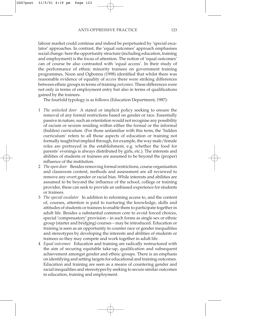labour market could continue and indeed be perpetuated by 'special escalator' approaches. In contrast, the 'equal outcomes' approach emphasises social change: here the opportunity structure (including education, training and employment) is the focus of attention. The notion of 'equal outcomes' can of course be also contrasted with 'equal access'. In their study of the performance of ethnic minority trainees on government training programmes, Noon and Ogbonna (1998) identified that whilst there was reasonable evidence of equality of *access* there were striking differences between ethnic groups in terms of training *outcomes*. These differences were not only in terms of employment entry but also in terms of qualifications gained by the trainees.

The fourfold typology is as follows (Education Department, 1987):

- 1 *The unlocked door* A stated or implicit policy seeking to ensure the removal of any formal restrictions based on gender or race. Essentially passive in nature, such an orientation would not recognise any possibility of racism or sexism residing within either the formal or the informal (hidden) curriculum. (For those unfamiliar with this term, the 'hidden curriculum' refers to all those aspects of education or training not formally taught but implied through, for example, the way male/female roles are portrayed in the establishment, e.g. whether the food for parents' evenings is always distributed by girls, etc.). The interests and abilities of students or trainees are assumed to be beyond the (proper) influence of the institution.
- 2 *The open door* Besides removing formal restrictions, course organisation and classroom content, methods and assessment are all reviewed to remove any overt gender or racial bias. While interests and abilities are assumed to be beyond the influence of the school, college or training provider, these can seek to provide an unbiased experience for students or trainees.
- 3 *The special escalator* In addition to reforming access to, and the content of, courses, attention is paid to nurturing the knowledge, skills and attitudes of students or trainees to enable them to participate together in adult life. Besides a substantial common core to avoid forced choices, special 'compensatory' provision – in such forms as single sex or ethnic group (starter and bridging) courses – may be introduced. Education or training is seen as an opportunity to counter race or gender inequalities and stereotypes by developing the interests and abilities of students or trainees so they may compete and work together in adult life.
- 4 *Equal outcomes* Education and training are radically restructured with the aim of securing equitable take-up, qualification and subsequent achievement amongst gender and ethnic groups. There is an emphasis on identifying and setting targets for educational and training outcomes. Education and training are seen as a means of countering gender and racial inequalities and stereotypes by seeking to secure similar outcomes in education, training and employment.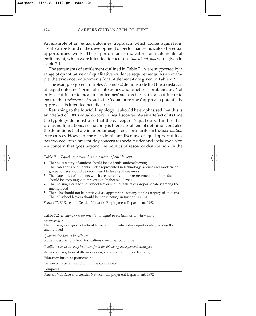An example of an 'equal outcomes' approach, which comes again from TVEI, can be found in the development of performance indicators for equal opportunities work. These performance indicators or statements of entitlement, which were intended to focus on *student outcomes*, are given in Table 7.1

The statements of entitlement outlined in Table 7.1 were supported by a range of quantitative and qualitative evidence requirements. As an example, the evidence requirements for Entitlement 4 are given in Table 7.2.

The examples given in Tables 7.1 and 7.2 demonstrate that the translation of 'equal outcomes' principles into policy and practice is problematic. Not only is it difficult to measure 'outcomes' such as these, it is also difficult to ensure their *relevance*. As such, the 'equal outcomes' approach potentially oppresses its intended beneficiaries.

Returning to the fourfold typology, it should be emphasised that this is an artefact of 1980s equal opportunities discourse. As an artefact of its time the typology demonstrates that the concept of 'equal opportunities' has profound limitations, i.e. not only is there a problem of definition, but also the definitions that are in popular usage focus primarily on the *distribution* of resources. However, the once dominant discourse of equal opportunities has evolved into a present-day concern for social justice and social exclusion – a concern that goes beyond the politics of resource distribution. In the

Table 7.1 *Equal opportunities statements of entitlement*

- 1 That no category of student should be evidently underachieving
- 2 That categories of students under-represented in technology, science and modern language courses should be encouraged to take up those areas
- 3 That categories of students which are currently under-represented in higher education should be encouraged to progress to higher skill levels
- 4 That no single category of school leaver should feature disproportionately among the unemployed
- 5 That jobs should not be perceived as 'appropriate' for any single category of students
- 6 That all school leavers should be participating in further training

*Source*: TVEI Race and Gender Network, Employment Department, 1992

*Entitlement 4*

That no single category of school leaver should feature disproportionately among the unemployed

*Quantitative data to be collected*

Student destinations from institutions over a period of time

*Qualitative evidence may be drawn from the following management strategies*

Access courses, basic skills workshops, accreditation of prior learning

Education business partnerships

Liaison with parents and within the community

**Compacts** 

*Source*: TVEI Race and Gender Network, Employment Department, 1992

Table 7.2 *Evidence requirements for equal opportunities entitlement 4*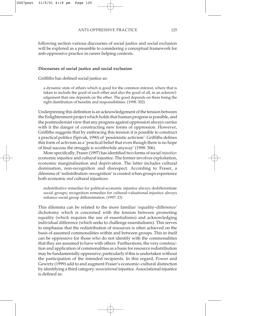following section various discourses of social justice and social exclusion will be explored as a preamble to considering a conceptual framework for anti-oppressive practice in career helping contexts.

## **Discourses of social justice and social exclusion**

Griffiths has defined social justice as:

a dynamic state of affairs which is good for the common interest, where that is taken to include the good of each other and also the good of all, in an acknowledgement that one depends on the other. The good depends on there being the right distribution of benefits and responsibilities. (1998: 302)

Underpinning this definition is an acknowledgement of the tension between the Enlightenment project which holds that human progress is possible, and the postmodernist view that any progress against oppression always carries with it the danger of constructing new forms of oppression. However, Griffiths suggests that by embracing this tension it is possible to construct a practical politics (Spivak, 1990) of 'pessimistic activism'. Griffiths defines this form of activism as a 'practical belief that even though there is no hope of final success the struggle is worthwhile anyway' (1998: 306).

More specifically, Fraser (1997) has identified two forms of social *injustice*: economic injustice and cultural injustice. The former involves exploitation, economic marginalisation and deprivation. The latter includes cultural domination, non-recognition and disrespect. According to Fraser, a dilemma of 'redistribution–recognition' is created when groups experience both economic *and* cultural injustices:

redistributive remedies for political-economic injustice always dedifferentiate social groups; recognition remedies for cultural-valuational injustice always enhance social group differentiation. (1997: 23)

This dilemma can be related to the more familiar 'equality–difference' dichotomy which is concerned with the tension between promoting equality (which requires the use of essentialisms) and acknowledging individual difference (which seeks to challenge essentialisms). This serves to emphasise that the redistribution of resources is often achieved on the basis of assumed commonalities within and between groups. This in itself can be oppressive for those who do not identify with the commonalities that they are assumed to have with others. Furthermore, the very construction and application of commonalities as a basis for resource redistribution may be fundamentally oppressive, particularly if this is undertaken without the participation of the intended recipients. In this regard, Power and Gewirtz (1999) add to and augment Fraser's economic–cultural distinction by identifying a third category: *associational* injustice. Associational injustice is defined as: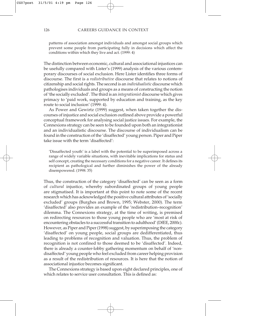patterns of association amongst individuals and amongst social groups which prevent some people from participating fully in decisions which affect the conditions within which they live and act. (1999: 4)

The distinction between economic, cultural and associational injustices can be usefully compared with Lister's (1999) analysis of the various contemporary discourses of social exclusion. Here Lister identifies three forms of discourse. The first is a *redistributive* discourse that relates to notions of citizenship and social rights. The second is an *individualistic* discourse which pathologises individuals and groups as a means of constructing the notion of 'the socially excluded'. The third is an *integrationist* discourse which gives primacy to 'paid work, supported by education and training, as the key route to social inclusion' (1999: 4).

As Power and Gewirtz (1999) suggest, when taken together the discourses of injustice and social exclusion outlined above provide a powerful conceptual framework for analysing social justice issues. For example, the Connexions strategy can be seen to be founded upon both an integrationist and an individualistic discourse. The discourse of individualism can be found in the construction of the 'disaffected' young person. Piper and Piper take issue with the term 'disaffected':

'Dissaffected youth' is a label with the potential to be superimposed across a range of widely variable situations, with inevitable implications for status and self concept, creating the necessary conditions for a negative career. It defines its recipient as pathological and further diminishes the power of the already disempowered. (1998: 35)

Thus, the construction of the category 'disaffected' can be seen as a form of *cultural* injustice, whereby subordinated groups of young people are stigmatised. It is important at this point to note some of the recent research which has acknowledged the positive cultural attributes of 'socially excluded' groups (Burghes and Brown, 1995; Webster, 2000). The term 'disaffected' also provides an example of the 'redistribution–recognition' dilemma. The Connexions strategy, at the time of writing, is premised on redirecting resources to those young people who are 'most at risk of encountering obstacles to a successful transition to adulthood' (DfEE, 2000c). However, as Piper and Piper (1998) suggest, by superimposing the category 'disaffected' on young people, social groups are dedifferentiated, thus leading to problems of recognition and valuation. Thus, the problem of recognition is not confined to those deemed to be 'disaffected'. Indeed, there is already a counter-lobby gathering momentum on behalf of 'nondisaffected' young people who feel excluded from career helping provision as a result of the redistribution of resources. It is here that the notion of associational injustice becomes significant.

The Connexions strategy is based upon eight declared principles, one of which relates to service user consultation. This is defined as: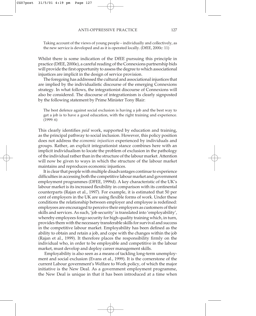Taking account of the views of young people – individually and collectively, as the new service is developed and as it is operated locally. (DfEE, 2000c: 11)

Whilst there is some indication of the DfEE pursuing this principle in practice (DfEE, 2000e), a careful reading of the Connexions partnership bids will provide the first opportunity to assess the degree to which associational injustices are implicit in the design of service provision.

The foregoing has addressed the cultural and associational injustices that are implied by the individualistic discourse of the emerging Connexions strategy. In what follows, the integrationist discourse of Connexions will also be considered. The discourse of integrationism is clearly signposted by the following statement by Prime Minister Tony Blair:

The best defence against social exclusion is having a job and the best way to get a job is to have a good education, with the right training and experience. (1999: 6)

This clearly identifies *paid* work, supported by education and training, as the principal pathway to social inclusion. However, this policy position does not address the *economic injustices* experienced by individuals and groups. Rather, an explicit integrationist stance combines here with an implicit individualism to locate the problem of exclusion in the pathology of the individual rather than in the structure of the labour market. Attention will now be given to ways in which the structure of the labour market maintains and reproduces economic injustices.

It is clear that people with multiple disadvantages continue to experience difficulties in accessing both the competitive labour market and government employment programmes (DFEE, 1999d). A key characteristic of the UK's labour market is its increased flexibility in comparison with its continental counterparts (Rajan et al., 1997). For example, it is estimated that 50 per cent of employers in the UK are using flexible forms of work. Under these conditions the relationship between employer and employee is redefined: employees are encouraged to perceive their employers as customers of their skills and services. As such, 'job security' is translated into 'employability', whereby employees forgo security for high-quality training which, in turn, provides them with the necessary transferable skills for survival and success in the competitive labour market. Employability has been defined as the ability to obtain and retain a job, and cope with the changes within the job (Rajan et al., 1999). It therefore places the responsibility firmly on the individual who, in order to be employable and competitive in the labour market, must develop and deploy career management skills.

Employability is also seen as a means of tackling long-term unemployment and social exclusion (Evans et al., 1999). It is the cornerstone of the current Labour government's Welfare to Work policy, of which the major initiative is the New Deal. As a government employment programme, the New Deal is unique in that it has been introduced at a time when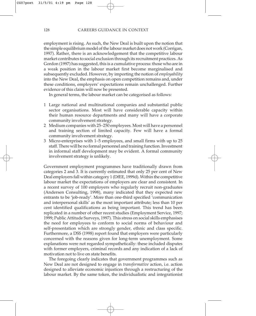employment is rising. As such, the New Deal is built upon the notion that the simple equilibrium model of the labour market does not work (Corrigan, 1997). Rather, there is an acknowledgement that the competitive labour market contributes to social exclusion through its recruitment practices. As Gordon (1997) has suggested, this is a cumulative process: those who are in a weak position in the labour market first become marginalised and subsequently excluded. However, by importing the notion of *employability* into the New Deal, the emphasis on open competition remains and, under these conditions, employers' expectations remain unchallenged. Further evidence of this claim will now be presented.

In general terms, the labour market can be categorised as follows:

- 1 Large national and multinational companies and substantial public sector organisations. Most will have considerable capacity within their human resource departments and many will have a corporate community involvement strategy.
- 2 Medium companies with 25–250 employees. Most will have a personnel and training section of limited capacity. Few will have a formal community involvement strategy.
- 3 Micro-enterprises with 1–5 employees, and small firms with up to 25 staff. There will be no formal personnel and training function. Investment in informal staff development may be evident. A formal community involvement strategy is unlikely.

Government employment programmes have traditionally drawn from categories 2 and 3. It is currently estimated that only 25 per cent of New Deal employers fall within category 1 (DfEE, 1999d). Within the competitive labour market the expectations of employers are clear and consistent. In a recent survey of 100 employers who regularly recruit non-graduates (Andersen Consulting, 1998), many indicated that they expected new entrants to be 'job-ready'. More than one-third specified 'communication and interpersonal skills' as the most important attribute; less than 10 per cent identified qualifications as being important. This trend has been replicated in a number of other recent studies (Employment Service, 1997; 1999; Public Attitude Surveys, 1997). This stress on social skills emphasises the need for employees to conform to social norms of behaviour and self-presentation which are strongly gender, ethnic and class specific. Furthermore, a DSS (1998) report found that employers were particularly concerned with the reasons given for long-term unemployment. Some explanations were not regarded sympathetically: these included disputes with former employers, criminal records and any indication of a lack of motivation not to live on state benefits.

The foregoing clearly indicates that government programmes such as New Deal are not designed to engage in *transformative* action, i.e. action designed to alleviate economic injustices through a restructuring of the labour market. By the same token, the individualistic and integrationist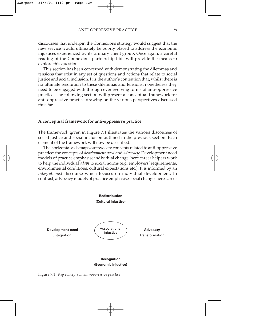discourses that underpin the Connexions strategy would suggest that the new service would ultimately be poorly placed to address the economic injustices experienced by its primary client group. Once again, a careful reading of the Connexions partnership bids will provide the means to explore this question.

This section has been concerned with demonstrating the dilemmas and tensions that exist in any set of questions and actions that relate to social justice and social inclusion. It is the author's contention that, whilst there is no ultimate resolution to these dilemmas and tensions, nonetheless they need to be engaged with through ever evolving forms of anti-oppressive practice. The following section will present a conceptual framework for anti-oppressive practice drawing on the various perspectives discussed thus far.

## **A conceptual framework for anti-oppressive practice**

The framework given in Figure 7.1 illustrates the various discourses of social justice and social inclusion outlined in the previous section. Each element of the framework will now be described.

The horizontal axis maps out two key concepts related to anti-oppressive practice: the concepts of *development need* and *advocacy*: Development need models of practice emphasise individual change: here career helpers work to help the individual *adapt* to social norms (e.g. employers' requirements, environmental conditions, cultural expectations etc.). It is informed by an *integrationist* discourse which focuses on individual development. In contrast, advocacy models of practice emphasise social change: here career



Figure 7.1 *Key concepts in anti-oppressive practice*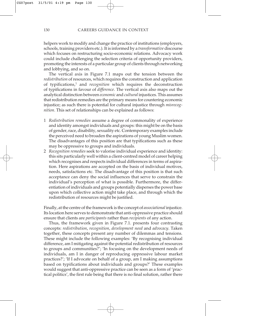helpers work to modify and change the practice of institutions (employers, schools, training providers etc.). It is informed by a *transformative* discourse which focuses on restructuring socio-economic relations. Advocacy work could include challenging the selection criteria of opportunity providers, promoting the interests of a particular group of clients through networking and lobbying, and so on.

The vertical axis in Figure 7.1 maps out the tension between the *redistribution* of resources, which requires the construction and application of typifications,1 and *recognition* which requires the deconstruction of typifications in favour of *difference*. The vertical axis also maps out the analytical distinction between *economic* and *cultural* injustices. This assumes that redistribution remedies are the primary means for countering economic injustice; as such there is potential for cultural injustice through *misrecognition*. This set of relationships can be explained as follows:

- 1 *Redistribution remedies* assume a degree of commonality of experience and identity amongst individuals and groups: this might be on the basis of gender, race, disability, sexuality etc. Contemporary examples include the perceived need to broaden the aspirations of young Muslim women. The disadvantages of this position are that typifications such as these may be oppressive to groups and individuals.
- 2 *Recognition remedies* seek to valorise individual experience and identity: this sits particularly well within a client-centred model of career helping which recognises and respects individual differences in terms of aspiration. Here aspirations are accepted on the basis of individual motives, needs, satisfactions etc. The disadvantage of this position is that such acceptance can deny the social influences that serve to constrain the individual's perception of what is possible. Furthermore, the differentiation of individuals and groups potentially disperses the power base upon which collective action might take place, and through which the redistribution of resources might be justified.

Finally, at the centre of the framework is the concept of *associational* injustice. Its location here serves to demonstrate that anti-oppressive practice should ensure that clients are *participants* rather than *recipients* of any action.

Thus, the framework given in Figure 7.1. presents four contrasting concepts: *redistribution*, *recognition*, *development need* and *advocacy*. Taken together, these concepts present any number of dilemmas and tensions. These might include the following examples: 'By recognising individual difference, am I mitigating against the potential redistribution of resources to groups and communities?'; 'In focusing on the development needs of individuals, am I in danger of reproducing oppressive labour market practices?'; 'If I advocate on behalf of a group, am I making assumptions based on typifications about individuals and groups?' These examples would suggest that anti-oppressive practice can be seen as a form of 'practical politics', the first rule being that there is no final solution, rather there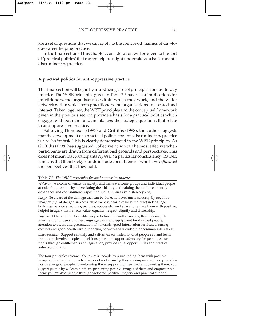are a set of questions that we can apply to the complex dynamics of day-today career helping practice.

In the final section of this chapter, consideration will be given to the sort of 'practical politics' that career helpers might undertake as a basis for antidiscriminatory practice.

## **A practical politics for anti-oppressive practice**

This final section will begin by introducing a set of principles for day-to-day practice. The WISE principles given in Table 7.3 have clear implications for practitioners, the organisations within which they work, and the wider network within which both practitioners and organisations are located and interact. Taken together, the WISE principles and the conceptual framework given in the previous section provide a basis for a practical politics which engages with both the fundamental *and* the strategic questions that relate to anti-oppressive practice.

Following Thompson (1997) and Griffiths (1998), the author suggests that the development of a practical politics for anti-discriminatory practice is a *collective* task. This is clearly demonstrated in the WISE principles. As Griffiths (1998) has suggested, collective action can be most effective when participants are drawn from different backgrounds and perspectives. This does not mean that participants *represent* a particular constituency. Rather, it means that their backgrounds include constituencies who have *influenced* the perspectives that they hold.

## Table 7.3 *The WISE principles for anti-oppressive practice*

*Welcome* Welcome diversity in society, and make welcome groups and individual people at risk of oppression, by appreciating their history and valuing their culture, identity, experience and contribution; respect individuality and avoid stereotyping.

*Image* Be aware of the damage that can be done, however unconsciously, by negative imagery (e.g. of danger, sickness, childlikeness, worthlessness, ridicule) in language, buildings, service structures, pictures, notices etc., and strive to replace them with positive, helpful imagery that reflects value, equality, respect, dignity and citizenship.

*Support* Offer support to enable people to function well in society; this may include interpreting for users of other languages, aids and equipment for disabled people, attention to access and presentation of materials, good information services, ensuring comfort and good health care, supporting networks of friendship or common interest etc.

*Empowerment* Support self-help and self-advocacy; listen to what people say and learn from them; involve people in decisions; give and support advocacy for people; ensure rights through entitlements and legislation; provide equal opportunities and practice anti-discrimination.

The four principles interact. You *welcome* people by surrounding them with positive imagery, offering them practical support and ensuring they are empowered; you provide a positive *image* of people by welcoming them, supporting them and empowering them; you *support* people by welcoming them, presenting positive images of them and empowering them; you *empower* people through welcome, positive imagery and practical support.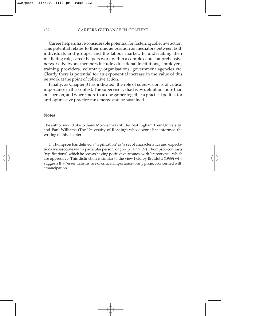Career helpers have considerable potential for fostering collective action. This potential relates to their unique position as mediators between both individuals and groups, and the labour market. In undertaking their mediating role, career helpers work within a complex and comprehensive network. Network members include educational institutions, employers, training providers, voluntary organisations, government agencies etc. Clearly there is potential for an exponential increase in the value of this network at the point of collective action.

Finally, as Chapter 3 has indicated, the role of supervision is of critical importance in this context. The supervisory diad is by definition more than one person, and where more than one gather together a practical politics for anti-oppressive practice can emerge and be sustained.

## **Notes**

The author would like to thank Morwenna Griffiths (Nottingham Trent University) and Paul Williams (The University of Reading) whose work has informed the writing of this chapter.

1 Thompson has defined a 'typification' as 'a set of characteristics and expectations we associate with a particular person, or group' (1997: 27). Thompson contrasts 'typifications', which he sees as having positive outcomes, with 'stereotypes' which are oppressive. This distinction is similar to the view held by Braidotti (1989) who suggests that 'essentialisms' are of critical importance to any project concerned with emancipation.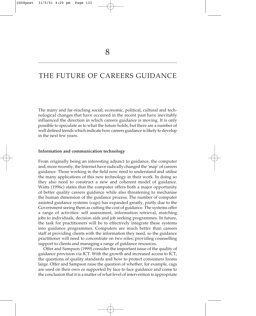## THE FUTURE OF CAREERS GUIDANCE

The many and far-reaching social, economic, political, cultural and technological changes that have occurred in the recent past have inevitably influenced the direction in which careers guidance is moving. It is only possible to speculate as to what the future holds, but there are a number of well defined trends which indicate how careers guidance is likely to develop in the next few years.

#### **Information and communication technology**

From originally being an interesting adjunct to guidance, the computer and, more recently, the Internet have radically changed the 'map' of careers guidance. Those working in the field now need to understand and utilise the many applications of this new technology in their work. In doing so they also need to construct a new and coherent model of guidance. Watts (1996c) states that the computer offers both a major opportunity of better quality careers guidance while also threatening to mechanise the human dimension of the guidance process. The number of computer assisted guidance systems (cags) has expanded greatly, partly due to the Government seeing them as cutting the cost of guidance. The systems offer a range of activities: self assessment, information retrieval, matching jobs to individuals, decision aids and job seeking programmes. In future, the task for practitioners will be to effectively integrate these systems into guidance programmes. Computers are much better than careers staff at providing clients with the information they need, so the guidance practitioner will need to concentrate on two roles; providing counselling support to clients and managing a range of guidance resources.

Offer and Sampson (1999) consider the important issue of the quality of guidance provision via ICT. With the growth and increased access to ICT, the questions of quality standards and how to protect consumers looms large. Offer and Sampson raise the question of whether, for example, cags are used on their own or supported by face to face guidance and come to the conclusion that it is a matter of what level of intervention is appropriate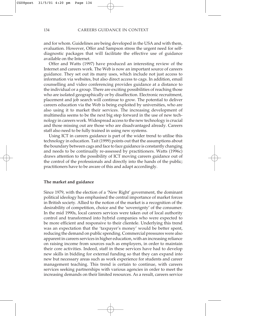and for whom. Guidelines are being developed in the USA and with them, evaluation. However, Offer and Sampson stress the urgent need for selfdiagnostic packages that will facilitate the effective use of guidance available on the Internet.

Offer and Watts (1997) have produced an interesting review of the Internet and careers work. The Web is now an important source of careers guidance. They set out its many uses, which include not just access to information via websites, but also direct access to cags. In addition, email counselling and video conferencing provides guidance at a distance to the individual or a group. There are exciting possibilities of reaching those who are isolated geographically or by disaffection. Electronic recruitment, placement and job search will continue to grow. The potential to deliver careers education via the Web is being exploited by universities, who are also using it to market their services. The increasing development of multimedia seems to be the next big step forward in the use of new technology in careers work. Widespread access to the new technology is crucial and those missing out are those who are disadvantaged already. Careers staff also need to be fully trained in using new systems.

Using ICT in careers guidance is part of the wider trend to utilise this technology in education. Tait (1999) points out that the assumptions about the boundary between cags and face to face guidance is constantly changing and needs to be continually re-assessed by practitioners. Watts (1996c) draws attention to the possibility of ICT moving careers guidance out of the control of the professionals and directly into the hands of the public; practitioners have to be aware of this and adapt accordingly.

## **The market and guidance**

Since 1979, with the election of a 'New Right' government, the dominant political ideology has emphasised the central importance of market forces in British society. Allied to the notion of the market is a recognition of the desirability of competition, choice and the 'sovereignty' of the consumer. In the mid 1990s, local careers services were taken out of local authority control and transformed into hybrid companies who were expected to be more efficient and responsive to their clientele. Underlying this trend was an expectation that the 'taxpayer's money' would be better spent, reducing the demand on public spending. Commercial pressures were also apparent in careers services in higher education, with an increasing reliance on raising income from sources such as employers, in order to maintain their core activities. Indeed, staff in these services have had to develop new skills in bidding for external funding so that they can expand into new but necessary areas such as work experience for students and career management teaching. This trend is certain to continue, with careers services seeking partnerships with various agencies in order to meet the increasing demands on their limited resources. As a result, careers service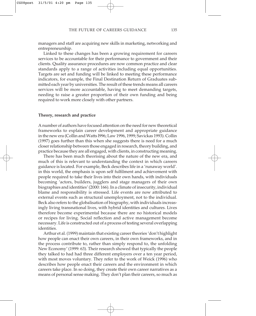managers and staff are acquiring new skills in marketing, networking and entrepreneurship.

Linked to these changes has been a growing requirement for careers services to be accountable for their performance to government and their clients. Quality assurance procedures are now common practice and clear standards apply to a range of activities including equal opportunities. Targets are set and funding will be linked to meeting these performance indicators, for example, the Final Destination Return of Graduates submitted each year by universities. The result of these trends means all careers services will be more accountable, having to meet demanding targets, needing to raise a greater proportion of their own funding and being required to work more closely with other partners.

## **Theory, research and practice**

A number of authors have focused attention on the need for new theoretical frameworks to explain career development and appropriate guidance in the new era (Collin and Watts l996; Law 1996, 1999; Savickas 1993). Collin (1997) goes further than this when she suggests there is need for a much closer relationship between those engaged in research, theory building, and practice because they are all engaged, with clients, in constructing meaning.

There has been much theorising about the nature of the new era, and much of this is relevant to understanding the context in which careers guidance is located. For example, Beck describes life in a 'runaway world'. in this world, the emphasis is upon self fulfilment and achievement with people required to take their lives into their own hands, with individuals becoming 'actors, builders, jugglers and stage managers of their own biographies and identities' (2000: 166). In a climate of insecurity, individual blame and responsibility is stressed. Life events are now attributed to external events such as structural unemployment, not to the individual. Beck also refers to the globalisation of biography, with individuals increasingly living transnational lives, with hybrid identities and cultures. Lives therefore become experimental because there are no historical models or recipes for living. Social reflection and active management become necessary. Life is constructed out of a process of testing several overlapping identities.

Arthur et al. (1999) maintain that existing career theories 'don't highlight how people can enact their own careers, in their own frameworks, and in the process contribute to, rather than simply respond to, the unfolding New Economy' (1999: 63). Their research showed that typically the people they talked to had had three different employers over a ten year period, with most moves voluntary. They refer to the work of Weick (1996) who describes how people enact their careers and the environment in which careers take place. In so doing, they create their own career narratives as a means of personal sense making. They don't plan their careers, so much as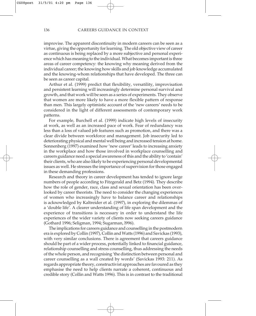improvise. The apparent discontinuity in modern careers can be seen as a virtue, giving the opportunity for learning. The old objective view of career as continuous is being replaced by a more subjective and personal experience which has meaning to the individual. What becomes important is three areas of career competency: the knowing why meaning derived from the individual career; the knowing how skills and job knowledge accumulated and the knowing-whom relationships that have developed. The three can be seen as career capital.

Arthur et al. (1999) predict that flexibility, versatility, improvisation and persistent learning will increasingly determine personal survival and growth, and that work will be seen as a series of experiments. They observe that women are more likely to have a more flexible pattern of response than men. This largely optimistic account of the 'new careers' needs to be considered in the light of different assessments of contemporary work patterns.

For example, Burchell et al. (1999) indicate high levels of insecurity at work, as well as an increased pace of work. Fear of redundancy was less than a loss of valued job features such as promotion, and there was a clear divide between workforce and management. Job insecurity led to deteriorating physical and mental well being and increased tension at home. Sonnenberg (1997) examined how 'new career' leads to increasing anxiety in the workplace and how those involved in workplace counselling and careers guidance need a special awareness of this and the ability to 'contain' their clients, who are also likely to be experiencing personal developmental issues as well. He stresses the importance of supervision for those engaged in these demanding professions.

Research and theory in career development has tended to ignore large numbers of people according to Fitzgerald and Betz (1994). They describe how the role of gender, race, class and sexual orientation has been overlooked by career theorists. The need to consider the changing experiences of women who increasingly have to balance career and relationships is acknowledged by Kaltreider et al. (1997), in exploring the dilemmas of a 'double life'. A clearer understanding of life span development and the experience of transitions is necessary in order to understand the life experiences of the wider variety of clients now seeking careers guidance (Gothard 1996; Seligman, 1994; Sugarman, l996).

The implications for careers guidance and counselling in the postmodern era is explored by Collin (1997), Collin and Watts (1996) and Savickas (1993), with very similar conclusions. There is agreement that careers guidance should be part of a wider process, potentially linked to financial guidance, relationship counselling and stress counselling, thus addressing the needs of the whole person, and recognising 'the distinction between personal and career counselling as a wall created by words' (Savickas 1993: 211). As regards appropriate theory, constructivist approaches are favoured as they emphasise the need to help clients narrate a coherent, continuous and credible story (Collin and Watts 1996). This is in contrast to the traditional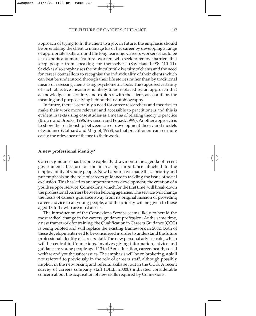approach of trying to fit the client to a job; in future, the emphasis should be on enabling the client to manage his or her career by developing a range of appropriate skills around life long learning. Careers workers should be less experts and more 'cultural workers who seek to remove barriers that keep people from speaking for themselves' (Savickas 1993: 210–11). Savickas also emphasises the multicultural diversity of clients and the need for career counsellors to recognise the individuality of their clients which can best be understood through their life stories rather than by traditional means of assessing clients using psychometric tools. The supposed certainty of such objective measures is likely to be replaced by an approach that acknowledges uncertainty and explores with the client, as co-author, the meaning and purpose lying behind their autobiography.

In future, there is certainly a need for career researchers and theorists to make their work more relevant and accessible to practitioners and this is evident in texts using case studies as a means of relating theory to practice (Brown and Brooks, 1996, Swanson and Fouad, 1999). Another approach is to show the relationship between career development theory and models of guidance (Gothard and Mignot, 1999), so that practitioners can see more easily the relevance of theory to their work.

#### **A new professional identity?**

Careers guidance has become explicitly drawn onto the agenda of recent governments because of the increasing importance attached to the employability of young people. New Labour have made this a priority and put emphasis on the role of careers guidance in tackling the issue of social exclusion. This has led to an important new development, the creation of a youth support service, Connexions, which for the first time, will break down the professional barriers between helping agencies. The service will change the focus of careers guidance away from its original mission of providing careers advice to all young people, and the priority will be given to those aged 13 to 19 who are most at risk.

The introduction of the Connexions Service seems likely to herald the most radical change in the careers guidance profession. At the same time, a new framework for training, the Qualification in Careers Guidance (QCG) is being piloted and will replace the existing framework in 2002. Both of these developments need to be considered in order to understand the future professional identity of careers staff. The new personal adviser role, which will be central in Connexions, involves giving information, advice and guidance to young people aged 13 to 19 on education, career, health, social welfare and youth justice issues. The emphasis will be on brokering, a skill not referred to previously in the role of careers staff, although possibly implicit in the networking and referral skills set out in the QCG. A recent survey of careers company staff (DfEE, 2000b) indicated considerable concern about the acquisition of new skills required by Connexions.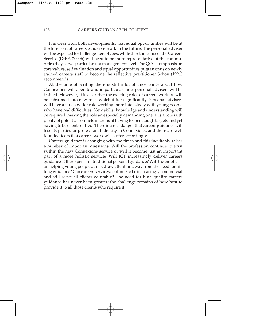It is clear from both developments, that equal opportunities will be at the forefront of careers guidance work in the future. The personal adviser will be expected to challenge stereotypes; while the ethnic mix of the Careers Service (DfEE, 2000b) will need to be more representative of the communities they serve, particularly at management level. The QCG's emphasis on core values, self evaluation and equal opportunities puts an onus on newly trained careers staff to become the reflective practitioner Schon (1991) recommends.

At the time of writing there is still a lot of uncertainty about how Connexions will operate and in particular, how personal advisers will be trained. However, it is clear that the existing roles of careers workers will be subsumed into new roles which differ significantly. Personal advisers will have a much wider role working more intensively with young people who have real difficulties. New skills, knowledge and understanding will be required, making the role an especially demanding one. It is a role with plenty of potential conflicts in terms of having to meet tough targets and yet having to be client centred. There is a real danger that careers guidance will lose its particular professional identity in Connexions, and there are well founded fears that careers work will suffer accordingly.

Careers guidance is changing with the times and this inevitably raises a number of important questions. Will the profession continue to exist within the new Connexions service or will it become just an important part of a more holistic service? Will ICT increasingly deliver careers guidance at the expense of traditional personal guidance? Will the emphasis on helping young people at risk draw attention away from the need for life long guidance? Can careers services continue to be increasingly commercial and still serve all clients equitably? The need for high quality careers guidance has never been greater; the challenge remains of how best to provide it to all those clients who require it.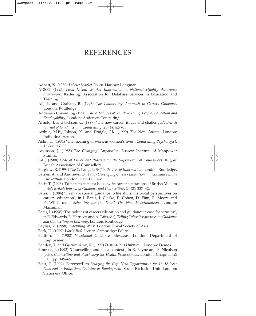## **REFERENCES**

Adnett, N. (1989) *Labour Market Policy*. Harlow: Longman.

- ADSET (1995) *Local Labour Market Information: a National Quality Assurance Framework*. Kettering: Association for Database Services in Education and Training.
- Ali, L. and Graham, B. (1996) *The Counselling Approach to Careers Guidance*. London: Routledge.
- Andersen Consulting (1998) *The Attributes of Youth Young People, Education and Employability*. London: Andersen Consulting.
- Arnold, J. and Jackson, C. (1997) 'The new career: issues and challenges', *British Journal of Guidance and Counselling*, 25 (4): 427–33.
- Arthur, M.B., Inkson, K. and Pringle, J.K. (1999) *The New Careers*. London: Individual Action.
- Astin, H. (1984) 'The meaning of work in women's lives', *Counselling Psychologist*, 12 (4): 117–33.
- Atkinson, J. (1985) *The Changing Corporation*. Sussex: Institute of Manpower Studies.
- BAC (1988) *Code of Ethics and Practice for the Supervision of Counsellors*. Rugby: British Association of Counsellors.
- Barglow, R. (1994) *The Crisis of the Self in the Age of Information*. London: Routledge.
- Barnes, A. and Andrews, D. (1995) *Developing Careers Education and Guidance in the Curriculum*. London: David Fulton.
- Basit, T. (1996) 'I'd hate to be just a housewife: career aspirations of British Muslim girls', *British Journal of Guidance and Counselling*, 24 (2): 227–42.
- Bates, I. (1984) 'From vocational guidance to life skills: historical perspectives on careers education', in I. Bates, J. Clarke, P. Cohen, D. Finn, R. Moore and P. Willis (eds) *Schooling for the Dole? The New Vocationalism*. London: Macmillan.
- Bates, I. (1998) 'The politics of careers education and guidance: a case for scrutiny', in R. Edwards, R. Harrison and A. Tait (eds), *Telling Tales: Perspectives on Guidance and Counselling in Learning*. London, Routledge.
- Bayliss, V. (1998) *Redefining Work*. London: Royal Society of Arts.
- Beck, U. (1999) *World Risk Society*. Cambridge: Polity.
- Bedford, T. (1982) *Vocational Guidance Interviews*. London: Department of Employment.
- Bentley, T. and Gurumurthy, R. (1999) *Destinations Unknown*. London: Demos.
- Bimrose, J. (1993) 'Counselling and social context', in R. Bayne and P. Nicolson (eds), *Counselling and Psychology for Health Professionals*. London: Chapman & Hall. pp. 149–65.
- Blair, T. (1999) 'Foreword' to *Bridging the Gap: New Opportunities for 16–18 Year Olds Not in Education, Training or Employment*. Social Exclusion Unit. London: Stationery Office.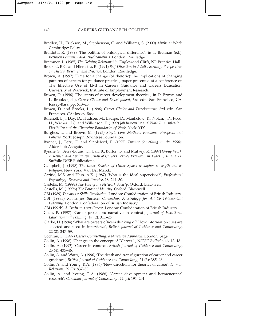- Bradley, H., Erickson, M., Stephenson, C. and Williams, S. (2000) *Myths at Work*. Cambridge: Polity.
- Braidotti, R. (1989) 'The politics of ontological difference', in T. Brennan (ed.), *Between Feminism and Psychoanalysis*. London: Routledge.

Brammer, L. (1985) *The Helping Relationship*. Englewood Cliffs, NJ: Prentice-Hall.

- Brockett, R.G. and Hiemstra, R. (1991) *Self-Direction in Adult Learning: Perspectives on Theory, Research and Practice*. London: Routledge.
- Brown, A. (1997) 'Time for a change (of rhetoric): the implications of changing patterns of careers for guidance practice', paper presented at a conference on The Effective Use of LMI in Careers Guidance and Careers Education, University of Warwick, Institute of Employment Research.
- Brown, D. (1996) 'The status of career development theories', in D. Brown and L. Brooks (eds), *Career Choice and Development*, 3rd edn. San Francisco, CA: Jossey-Bass. pp. 513–25.
- Brown, D. and Brooks, L. (1996) *Career Choice and Development*, 3rd edn. San Francisco, CA: Jossey-Bass.
- Burchell, B.J., Day, D., Hudson, M., Ladipe, D., Mankelow, R., Nolan, J.P., Reed, H., Wichert, I.C. and Wilkinson, F. (1999) *Job Insecurity and Work Intensification: Flexibility and the Changing Boundaries of Work*. York: YPS.
- Burghes, L. and Brown, M. (1995) *Single Lone Mothers: Problems, Prospects and Policies*. York: Joseph Rowntree Foundation.
- Bynner, J., Ferri, E. and Stapleford, P. (1997) *Twenty Something in the 1990s*. Aldershot: Ashgate.
- Bysshe, S., Berry-Lound, D., Ball, B., Bufton, B. and Mulvey, R. (1997) *Group Work: A Review and Evaluative Study of Careers Service Provision in Years 9, 10 and 11*. Suffolk: DfEE Publications.
- Campbell, J. (1998) *The Inner Reaches of Outer Space: Metaphor as Myth and as Religion*. New York: Van Der Marck.
- Carifio, M.S. and Hess, A.K. (1987) 'Who is the ideal supervisor?', *Professional Psychology: Research and Practice*, 18: 244–50.
- Castells, M. (1999a) *The Rise of the Network Society*. Oxford: Blackwell.
- Castells, M. (1999b) *The Power of Identity*. Oxford: Blackwell.
- CBI (1989) *Towards a Skills Revolution*. London: Confederation of British Industry.
- CBI (1993a) *Routes for Success: Careership. A Strategy for All 16–19-Year-Old Learning*. London: Confederation of British Industry.
- CBI (1993b) *A Credit to Your Career*. London: Confederation of British Industry.
- Chen, P. (1997) 'Career projection: narrative in context', *Journal of Vocational Education and Training*, 49 (2): 311–26.
- Clarke, H. (1994) 'What are careers officers thinking of? How information cues are selected and used in interviews', *British Journal of Guidance and Counselling*, 22 (2): 247–59.
- Cochran, L. (1997) *Career Counselling: a Narrative Approach*. London: Sage.
- Collin, A. (1996) 'Changes in the concept of "Career"', *NICEC Bulletin*, 46: 13–18.
- Collin. A. (1997) 'Career in context', *British Journal of Guidance and Counselling*, 25 (4): 435–46.
- Collin, A. and Watts, A. (1996) 'The death and transfiguration of career and career guidance', *British Journal of Guidance and Counselling*, 24 (3): 385–98.
- Collin, A. and Young, R.A. (1986) 'New directions for theories of career', *Human Relations*, 39 (9): 837–53.
- Collin, A. and Young, R.A. (1988) 'Career development and hermeneutical research', *Canadian Journal of Counselling*, 22 (4): 191–201.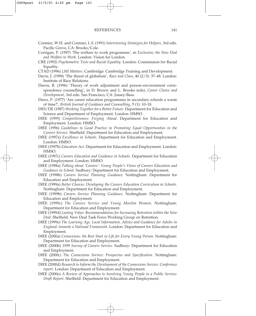- Cormier, W.H. and Cormier, L.S. (1991) *Interviewing Strategies for Helpers*, 3rd edn. Pacific Grove, CA: Brooks/Cole.
- Corrigan, P. (1997) 'The welfare to work programme', in *Exclusion, the New Deal and Welfare to Work*. London: Vision for London.
- CRE (1992) *Psychometric Tests and Racial Equality*. London: Commission for Racial Equality.
- CTAD (1996) *LMI Matters*. Cambridge: Cambridge Training and Development.
- Davis, J. (1998) 'The threat of globalism', *Race and Class*, 40 (2/3): 37–48. London: Institute of Race Relations.
- Dawis, R. (1996) 'Theory of work adjustment and person–environment correspondence counselling', in D. Brown and L. Brooks (eds), *Career Choice and Development*, 3rd edn. San Francisco, CA: Jossey-Bass.
- Daws, P. (1977) 'Are career education programmes in secondary schools a waste of time?', *British Journal of Guidance and Counselling*, 5 (1): 10–18.
- DES/DE (1987) *Working Together for a Better Future*. Department for Education and Science and Department of Employment. London: HMSO.
- DfEE (1995) *Competitiveness: Forging Ahead*. Department for Education and Employment. London: HMSO.
- DfEE (1996) *Guidelines to Good Practice in Promoting Equal Opportunities in the Careers Service*. Sheffield: Department for Education and Employment.
- DfEE (1997a) *Excellence in Schools*. Department for Education and Employment. London: HMSO.
- DfEE (1997b) *Education Act*. Department for Education and Employment. London: HMSO.
- DfEE (1997c) *Careers Education and Guidance in Schools*. Department for Education and Employment. London: HMSO.
- DfEE (1998a) *Talking about 'Careers': Young People's Views of Careers Education and Guidance in School*. Sudbury: Department for Education and Employment.
- DfEE (1998b) *Careers Service Planning Guidance*. Nottingham: Department for Education and Employment.
- DfEE (1999a) *Better Choices: Developing the Careers Education Curriculum in Schools*. Nottingham: Department for Education and Employment.
- DfEE (1999b) *Careers Service Planning Guidance*. Nottingham: Department for Education and Employment.
- DfEE (1999c) *The Careers Service and Young Muslim Women*. Nottingham: Department for Education and Employment.
- DfEE (1999d) *Lasting Value: Recommendations for Increasing Retention within the New Deal*. Sheffield: New Deal Task Force Working Group on Retention.
- DfEE (1999e) *The Learning Age. Local Information, Advice and Guidance for Adults in England: towards a National Framework*. London: Department for Education and Employment.
- DfEE (2000a) *Connexions: the Best Start in Life for Every Young Person*. Nottingham: Department for Education and Employment.
- DfEE (2000b) *1999 Survey of Careers Service*. Sudbury: Department for Education and Employment.
- DfEE (2000c) *The Connexions Service: Prospectus and Specification*. Nottingham: Department for Education and Employment.
- DfEE (2000d) *Research to Inform the Development of the Connexions Service. Conference report*. London: Department of Education and Employment.
- DfEE (2000e) *A Review of Approaches to Involving Young People in a Public Service: Draft Report*. Sheffield: Department for Education and Employment.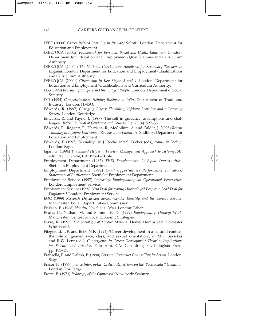- DfEE (2000f) *Career-Related Learning in Primary Schools*. London: Department for Education and Employment.
- DfEE/QCA (2000a) *Framework for Personal, Social and Health Education*. London: Department for Education and Employment/Qualifications and Curriculum Authority.
- DfEE/QCA (2000b) *The National Curriculum: Handbook for Secondary Teachers in England*. London: Department for Education and Employment/Qualifications and Curriculum Authority.
- DfEE/QCA (2000c) *Citizenship in Key Stages 3 and 4*. London: Department for Education and Employment/Qualifications and Curriculum Authority.
- DSS (1998) *Recruiting Long-Term Unemployed People*. London: Department of Social Security.
- DTI (1994) *Competitiveness: Helping Business to Win*. Department of Trade and Industry. London: HMSO.
- Edwards, R. (1997) *Changing Places: Flexibility, Lifelong Learning and a Learning Society*. London: Routledge.
- Edwards, R. and Payne, J. (1997) 'The self in guidance: assumptions and challenges', *British Journal of Guidance and Counselling*, 25 (4): 527–38.
- Edwards, R., Raggatt, P., Harrison, R., McCollum, A. and Calder, J. (1998) *Recent Thinking in Lifelong Learning: a Review of the Literature*. Sudbury: Department for Education and Employment.
- Edwards, T. (1997) 'Sexuality', in J. Roche and S. Tucker (eds), *Youth in Society*. London: Sage.
- Egan, G. (1994) *The Skilled Helper: a Problem Management Approach to Helping*, 5th edn. Pacific Grove, CA: Brooks/Cole.
- Employment Department (1987) *TVEI Developments 2: Equal Opportunities*. Sheffield: Employment Department.
- Employment Department (1992) *Equal Opportunities Performance Indicators/ Statements of Entitlement*. Sheffield: Employment Department.
- Employment Service (1997) *Increasing Employability: an Operational Perspective*. London: Employment Service.
- Employment Service (1999) *New Deal for Young Unemployed People: a Good Deal for Employers?* London: Employment Service.
- EOC (1999) *Research Discussion Series: Gender Equality and the Careers Service*. Manchester: Equal Opportunities Commission.
- Erikson, E. (1968) *Identity, Youth and Crisis*. London: Faber.
- Evans, C., Nathan, M. and Simmonds, D. (1999) *Employability Through Work*. Manchester: Centre for Local Economic Strategies.
- Fevre, R. (1992) *The Sociology of Labour Markets*. Hemel Hempstead: Harvester Wheatsheaf.
- Fitzgerald, L.F. and Betz, N.E. (1994) 'Career development in a cultural context: the role of gender, race, class, and sexual orientation', in M.L. Savickas and R.W. Lent (eds), *Convergence in Career Development Theories: Implications for Science and Practice*. Palo Alto, CA: Consulting Psychologists Press. pp. 103–17.
- Fransella, F. and Dalton, P. (1990) *Personal Construct Counselling in Action*. London: Sage.
- Fraser, N. (1997) *Justice Interruptus: Critical Reflections on the 'Postsocialist' Condition* London: Routledge.
- Freire, P. (1973) *Pedagogy of the Oppressed*. New York: Seabury.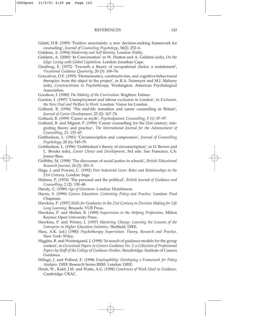## REFERENCES 143

- Gelatt, H.B. (1989) 'Positive uncertainty: a new decision-making framework for counseling', *Journal of Counseling Psychology*, 36(2): 252–6.
- Giddens, A. (1994) *Modernity and Self Identity*. London: Polity.
- Giddens, A. (2000) 'In Conversation' in W. Hutton and A. Giddens (eds), *On the Edge: Living with Global Capitalism*. London: Jonathan Cape.
- Ginzberg, E. (1972) 'Towards a theory of occupational choice: a restatement', *Vocational Guidance Quarterly*, 20 (3): 169–76.
- Goncalves, O.F. (1995) 'Hermeneutics, constructivism, and cognitive-behavioural therapies: from the object to the project', in R.A. Neimeyer and M.J. Mahony (eds), *Constructivism in Psychotherapy*. Washington: American Psychological Association.
- Goodson, I. (1988) *The Making of the Curriculum*. Brighton: Falmer.
- Gordon, I. (1997) 'Unemployment and labour exclusion in London', in *Exclusion, the New Deal and Welfare to Work*. London: Vision for London.
- Gothard, B. (1996) 'The mid-life transition and career counselling in Britain', *Journal of Career Development*, 23 (2): 167–74.
- Gothard, B. (1999) 'Career as myth', *Psychodynamic Counselling*, 5 (1): 87–97.
- Gothard, B. and Mignot, P. (1999) 'Career counselling for the 21st century: integrating theory and practice', *The International Journal for the Advancement of Counselling*, 21: 153–67.
- Gottfredson, L. (1981) 'Circumscription and compromise', *Journal of Counselling Psychology*, 28 (6): 545–79.
- Gottfredson, L. (1996) 'Gottfredson's theory of circumscription', in D. Brown and L. Brooks (eds), *Career Choice and Development*, 3rd edn. San Francisco, CA: Jossey-Bass.
- Griffiths, M. (1998) 'The discourses of social justice in schools', *British Educational Research Journal*, 24 (3): 301–5.
- Hage, J. and Powers, C. (1992) *Post Industrial Lives: Roles and Relationships in the 21st Century*. London: Sage.
- Halmos, P. (1974) 'The personal and the political', *British Journal of Guidance and Counselling*, 2 (2): 130–48.
- Handy, C. (1989) *Age of Unreason*. London: Hutchinson.
- Harris, S. (1999) *Careers Education: Contesting Policy and Practice*. London: Paul Chapman.
- Hawkins, P. (1997) *Skills for Graduates in the 21st Century in Decision Making for Life Long Learning*. Brussels: VUB Press.
- Hawkins, P. and Shohet, R. (1989) *Supervision in the Helping Professions*. Milton Keynes: Open University Press.
- Hawkins, P. and Winter, J. (1997) *Mastering Change: Learning the Lessons of the Enterprise in Higher Education Initiative*. Sheffield: DfEE.
- Hess, A.K. (ed.) (1980) *Psychotherapy Supervision: Theory, Research and Practice*. New York: Wiley.
- Higgins, R. and Westergaard, J. (1998) 'In search of guidance models for the group context', in *Occasional Papers in Careers Guidance No. 2: a Collection of Professional Papers by Staff of the College of Guidance Studies*. Stourbridge: Institute of Careers Guidance.
- Hillage, J. and Pollard, E. (1998) *Employability: Developing a Framework for Policy Analysis*. DfEE Research Series RR85. London: DfEE.
- Hirsh, W., Kidd, J.M. and Watts, A.G. (1998) *Constructs of Work Used in Guidance*. Cambridge: CRAC.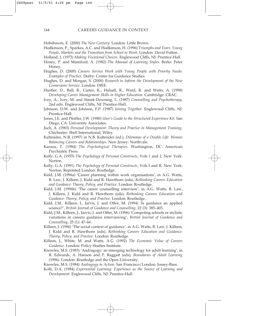Hobsbawm, E. (2000) *The New Century*. London: Little Brown.

- Hodkinson, P., Sparkes, A.C. and Hodkinson, H. (1996) *Triumphs and Tears: Young People, Markets and the Transition from School to Work*. London: David Fulton.
- Holland, J. (1973) *Making Vocational Choices*. Englewood Cliffs, NJ: Prentice-Hall.
- Honey, P. and Mumford, A. (1982) *The Manual of Learning Styles*. Berks: Peter Honey.
- Hughes, D. (2000) *Careers Service Work with Young People with Priority Needs: Examples of Practice*. Derby: Centre for Guidance Studies.
- Hughes, D. and Morgan, S. (2000) *Research to Inform the Development of the New Connexions Service*. London: DfEE.
- Hustler, D., Ball, B., Carter, K., Halsall, R., Ward, R. and Watts, A. (1998) *Developing Career Management Skills in Higher Education*. Cambridge: CRAC.
- Ivey, A., Ivey, M. and Simek-Downing, L. (1987) *Counselling and Psychotherapy*, 2nd edn. Englewood Cliffs, NJ: Prentice-Hall.
- Johnson, D.W. and Johnson, F.P. (1987) *Joining Together*. Englewood Cliffs, NJ: Prentice-Hall.
- Jones, J.E. and Pfeiffer, J.W. (1980) *User's Guide to the Structured Experience Kit*. San Diego, CA: University Associates.
- Juch, A. (1983) *Personal Development: Theory and Practice in Management Training*. Chichester: Shell International, Wiley.
- Kaltreider, N.B. (1997) in N.B. Kaltreider (ed.), *Dilemmas of a Double Life: Women Balancing Careers and Relationships*. New Jersey: Northvale.
- Karasu, T. (1984) *The Psychological Therapies*. Washington, DC: American Psychiatric Press.
- Kelly, G.A. (1955) *The Psychology of Personal Constructs*, Vols 1 and 2. New York: Norton.
- Kelly, G.A. (1991) *The Psychology of Personal Constructs*, Vols I and II. New York: Norton. Reprinted London: Routledge.
- Kidd, J.M. (1996a) 'Career planning within work organisations', in A.G. Watts, B. Law, J. Killeen, J. Kidd and R. Hawthorn (eds), *Rethinking Careers Education and Guidance: Theory, Policy, and Practice*. London: Routledge.
- Kidd, J.M. (1996b) 'The career counselling interview', in A.G. Watts, B. Law, J. Killeen, J. Kidd and R. Hawthorn (eds), *Rethinking Careers Education and Guidance: Theory, Policy, and Practice*. London: Routledge.
- Kidd, J.M., Killeen, J., Jarvis, J. and Offer, M. (1994) 'Is guidance an applied science?', *British Journal of Guidance and Counselling*, 22 (3): 385–403.
- Kidd, J.M., Killeen, J., Jarvis, J. and Offer, M. (1996) 'Competing schools or stylistic variations in careers guidance interviewing', *British Journal of Guidance and Counselling*, 25 (1): 47–66.
- Killeen, J. (1996) 'The social context of guidance', in A.G. Watts, B. Law, J. Killeen, J. Kidd and R. Hawthorn (eds), *Rethinking Careers Education and Guidance: Theory, Policy, and Practice*. London: Routledge.
- Killeen, J., White, M. and Watts, A.G. (1992) *The Economic Value of Careers Guidance*. London: Policy Studies Institute.
- Knowles, M.S. (1983) 'Andragogy: an emerging technology for adult learning', in R. Edwards, A. Hanson and P. Raggatt (eds), *Boundaries of Adult Learning* (1996). London: Routledge and the Open University.

Knowles, M.S. (1984) *Andragogy in Action*. San Francisco/London: Jossey-Bass.

Kolb, D.A. (1984) *Experiential Learning: Experience as the Source of Learning and Development*. Englewood Cliffs, NJ: Prentice-Hall.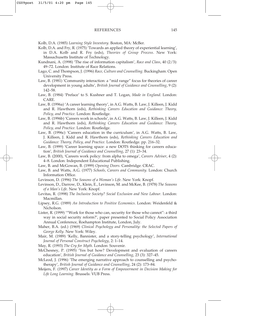Kolb, D.A. (1985) *Learning Style Inventory*. Boston, MA: McBer.

- Kolb, D.A. and Fry, R. (1975) 'Towards an applied theory of experiential learning', in D.A. Kolb and R. Fry (eds), *Theories of Group Process*. New York: Massachusetts Institute of Technology.
- Kundnani, A. (1998) 'The rise of information capitalism', *Race and Class*, 40 (2/3): 49–72. London: Institute of Race Relations.
- Lago, C. and Thompson, J. (1996) *Race, Culture and Counselling*. Buckingham: Open University Press.
- Law, B. (1981) 'Community interaction: a "mid range" focus for theories of career development in young adults', *British Journal of Guidance and Counselling*, 9 (2): 142–58.
- Law, B. (1984) 'Preface' to S. Kushner and T. Logan, *Made in England*. London: CARE.
- Law, B. (1996a) 'A career learning theory', in A.G. Watts, B. Law, J. Killeen, J. Kidd and R. Hawthorn (eds), *Rethinking Careers Education and Guidance: Theory, Policy, and Practice*. London: Routledge.
- Law, B. (1996b) 'Careers work in schools', in A.G. Watts, B. Law, J. Killeen, J. Kidd and R. Hawthorn (eds), *Rethinking Careers Education and Guidance: Theory, Policy, and Practice*. London: Routledge.
- Law, B. (1996c) 'Careers education in the curriculum', in A.G. Watts, B. Law, J. Killeen, J. Kidd and R. Hawthorn (eds), *Rethinking Careers Education and Guidance: Theory, Policy, and Practice*. London: Routledge. pp. 216–32.
- Law, B. (1999) 'Career learning space: a new DOTS thinking for careers education', *British Journal of Guidance and Counselling*, 27 (1): 23–34.
- Law, B. (2000), 'Careers work policy: from alpha to omega', *Careers Adviser*, 4 (2): 4–8. London: Independent Educational Publishing.
- Law, B. and McGowan, B. (1999) *Opening Doors*. Cambridge: CRAC.
- Law, B. and Watts, A.G. (1977) *Schools, Careers and Community*. London: Church Information Office.
- Levinson, D. (1996) *The Seasons of a Woman's Life*. New York: Knopf.
- Levinson, D., Darrow, D., Klein, E., Levinson, M. and McKee, B. (1978) *The Seasons of a Man's Life*. New York: Knopf.
- Levitas, R. (1998) *The Inclusive Society? Social Exclusion and New Labour*. London: Macmillan.
- Lipsey, R.G. (1989) *An Introduction to Positive Economics*. London: Weidenfeld & Nicholson.
- Lister, R. (1999) '"Work for those who can, security for those who cannot": a third way in social security reform?', paper presented to Social Policy Association Annual Conference, Roehampton Institute, London, July.
- Maher, B.A. (ed.) (1969) *Clinical Psychology and Personality: the Selected Papers of George Kelly*. New York: Wiley.
- Mair, M. (1989) 'Kelly, Bannister, and a story-telling psychology', *International Journal of Personal Construct Psychology*, 2: 1–14.
- May, R. (1993) *The Cry for Myth*. London: Souvenir.
- McChesney, P. (1995) 'Yes but how? Development and evaluation of careers education', *British Journal of Guidance and Counselling*, 23 (3): 327–45.
- McLeod, J. (1996) 'The emerging narrative approach to counselling and psychotherapy', *British Journal of Guidance and Counselling*, 24 (2): 173–84.
- Meijers, F. (1997) *Career Identity as a Form of Empowerment in Decision Making for Life Long Learning*. Brussels: VUB Press.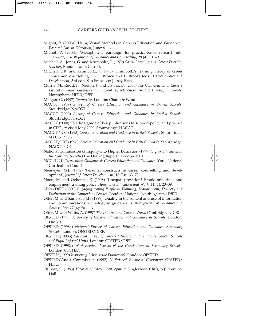- Mignot, P. (2000a) 'Using Visual Methods in Careers Education and Guidance', *Pastoral Care in Education*, June: 8–16.
- Mignot, P. (2000b) 'Metaphor: a paradigm for practice-based research into "career"', *British Journal of Guidance and Counselling*, 28 (4): 515–31.
- Mitchell, A., Jones, G. and Krumboltz, J. (1979) *Social Learning and Career Decision Making*. Rhode Island: Carroll.
- Mitchell, L.K. and Krumboltz, J. (1996) 'Krumboltz's learning theory of career choice and counselling', in D. Brown and L. Brooks (eds), *Career Choice and Development*, 3rd edn. San Francisco: Jossey-Bass.
- Morris, M., Rudd, P., Nelson, J. and Davies, D. (2000) *The Contribution of Careers Education and Guidance to School Effectiveness in 'Partnership' Schools*. Nottingham: NFER/DfEE.
- Mulgan, G. (1997) *Connexity*. London: Chatto & Windus.
- NACGT (1989) *Survey of Careers Education and Guidance in British Schools*. Stourbridge: NACGT.
- NACGT (1999) *Survey of Careers Education and Guidance in British Schools*. Stourbridge: NACGT.
- NACGT (2000) 'Reading guide of key publications to support policy and practice in CEG', revised May 2000. Stourbridge: NACGT.
- NACGT/ICG (1993) *Careers Education and Guidance in British Schools*. Stourbridge: NACGT/ICG.
- NACGT/ICG (1996) *Careers Education and Guidance in British Schools*. Stourbridge: NACGT/ICG.
- National Commission of Inquiry into Higher Education (1997) *Higher Education in the Learning Society* (The Dearing Report). London: NCIHE.
- NCC (1991) *Curriculum Guidance 6: Careers Education and Guidance*. York: National Curriculum Council.
- Neimeyer, G.J. (1992) 'Personal constructs in career counselling and development', *Journal of Career Development*, 18 (3): 163–73.
- Noon, M. and Ogbonna, E. (1998) 'Unequal provision? Ethnic minorities and employment training policy', *Journal of Education and Work*, 11 (1): 23–39.
- NYA/DfEE (2000) *Engaging Young People in Planning, Management, Delivery and Evaluation of the Connexions Service*. London: National Youth Agency/DfEE.
- Offer, M. and Sampson, J.P. (1999) 'Quality in the content and use of information and communications technology in guidance', *British Journal of Guidance and Counselling*, 27 (4): 501–16.
- Offer, M. and Watts, A. (1997) *The Internet and Careers Work*. Cambridge: NICEC.
- OFSTED (1995) *A Survey of Careers Education and Guidance in Schools*. London: HMSO.
- OFSTED (1998a) *National Survey of Careers Education and Guidance: Secondary Schools*. London: OFSTED/DfEE.
- OFSTED (1998b) *National Survey of Careers Education and Guidance: Special Schools and Pupil Referral Units*. London: OFSTED/DfEE.
- OFSTED (1998c) *Work-Related Aspects of the Curriculum in Secondary Schools*. London: OFSTED.
- OFSTED (1999) *Inspecting Schools: the Framework*. London: OFSTED.
- OFSTED/Audit Commission (1992) *Unfinished Business*. Coventry: OFSTED/ FEFC.
- Osipow, S. (1983) *Theories of Career Development*. Englewood Cliffs, NJ: Prentice-Hall.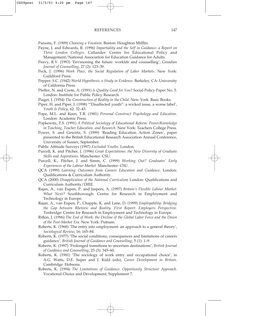Parsons, F. (1909) *Choosing a Vocation*. Boston: Houghton Mifflin.

- Payne, J. and Edwards, R. (1996) *Impartiality and the Self in Guidance: a Report on Three London Colleges*. Callander: Centre for Educational Policy and Management/National Association for Education Guidance for Adults.
- Peavy, R.V. (1993) 'Envisioning the future: worklife and counselling', *Canadian Journal of Counselling*, 27 (2): 123–39.
- Peck, J. (1996) *Work Place, the Social Regulation of Labor Markets*. New York: Guildford Press.
- Pepper, S.C. (1942) *World Hypothesis: a Study in Evidence*. Berkeley, CA: University of California Press.
- Pfeffer, N. and Coote, A. (1991) *Is Quality Good for You?* Social Policy Paper No. 5. London: Institute for Public Policy Research.
- Piaget, J. (1954) *The Construction of Reality in the Child*. New York: Basic Books.
- Piper, H. and Piper, J. (1998) '"Disaffected youth": a wicked issue, a worse label', *Youth & Policy*, 62: 32–43.
- Pope, M.L. and Keen, T.R. (1981) *Personal Construct Psychology and Education*. London: Academic Press.
- Popkewitz, T.S. (1991) *A Political Sociology of Educational Reform: Power/Knowledge in Teaching, Teacher Education, and Research*. New York: Teachers College Press.
- Power, S. and Gewirtz, S. (1999) 'Reading Education Action Zones', paper presented to the British Educational Research Association Annual Conference, University of Sussex, September.
- Public Attitude Surveys (1997) *Excluded Youths*. London.
- Purcell, K. and Pitcher, J. (1996) *Great Expectations: the New Diversity of Graduate Skills and Aspirations*. Manchester: CSU.
- Purcell, K., Pitcher, J. and Simm, C. (1999) *Working Out? Graduates' Early Experiences of the Labour Market*. Manchester: CSU.
- QCA (1999) *Learning Outcomes from Careers Education and Guidance*. London: Qualifications & Curriculum Authority.
- QCA (2000) *Disapplication of the National Curriculum* London: Qualifications and Curriculum Authority/DfEE.
- Rajan, A., van Eupen, P. and Jaspers, A. (1997) *Britain's Flexible Labour Market: What Next?* Southborough: Centre for Research in Employment and Technology in Europe.
- Rajan, A., van Eupen, P., Chapple, K. and Lane, D. (1999) *Employability: Bridging the Gap between Rhetoric and Reality. First Report: Employers Perspective*. Tonbridge: Centre for Research in Employment and Technology in Europe.
- Rifkin, J. (1996) *The End of Work: the Decline of the Global Labor Force and the Dawn of the Post-Market Era*. New York: Putnam.
- Roberts, K. (1968) 'The entry into employment: an approach to a general theory', *Sociological Review*, 16: 165–84.
- Roberts, K. (1977) 'The social conditions, consequences and limitations of careers guidance', *British Journal of Guidance and Counselling*, 5 (1): 1–9.
- Roberts, K. (1997) 'Prolonged transitions to uncertain destinations', *British Journal of Guidance and Counselling*, 25 (3): 345–60.
- Roberts, K. (1981) 'The sociology of work entry and occupational choice', in A.G. Watts, D.E. Super and J. Kidd (eds), *Career Development in Britain*. Cambridge: Hobsons.
- Roberts, K. (1994) *The Limitations of Guidance: Opportunity Structure Approach*. Vocational Choice and Development, Supplement 7.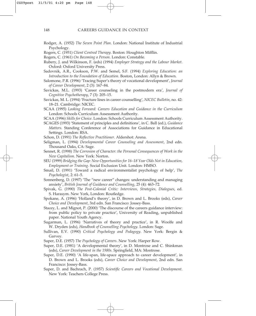- Rodger, A. (1952) *The Seven Point Plan*. London: National Institute of Industrial Psychology.
- Rogers, C. (1951) *Client Centred Therapy*. Boston: Houghton Mifflin.
- Rogers, C. (1961) *On Becoming a Person*. London: Constable.
- Rubery, J. and Wilkinson, F. (eds) (1994) *Employer Strategy and the Labour Market*. Oxford: Oxford University Press.
- Sadovnik, A.R., Cookson, P.W. and Semel, S.F. (1994) *Exploring Education: an Introduction to the Foundation of Education*. Boston, London: Allyn & Brown.
- Salomone, P.R. (1996) 'Tracing Super's theory of vocational development', *Journal of Career Development*, 2 (3): 167–84.
- Savickas, M.L. (1993) 'Career counseling in the postmodern era', *Journal of Cognitive Psychotherapy*, 7 (3): 205–15.
- Savickas, M. L. (1994) 'Fracture lines in career counselling', *NICEC Bulletin*, no. 42: 18–21. Cambridge: NICEC.
- SCAA (1995) *Looking Forward: Careers Education and Guidance in the Curriculum* London: Schools Curriculum Assessment Authority.
- SCAA (1996) *Skills for Choice*. London: Schools Curriculum Assessment Authority.
- SCAGES (1993) 'Statement of principles and definitions', in C. Ball (ed.), *Guidance Matters*. Standing Conference of Associations for Guidance in Educational Settings. London: RSA.
- Schon, D. (1991) *The Reflective Practitioner*. Aldershot: Arena.
- Seligman, L. (1994) *Developmental Career Counseling and Assessment*, 2nd edn. Thousand Oaks, CA: Sage.
- Sennet, R. (1998) *The Corrosion of Character: the Personal Consequences of Work in the New Capitalism*. New York: Norton.
- SEU (1999) *Bridging the Gap: New Opportunities for 16–18 Year Olds Not in Education, Employment or Training*. Social Exclusion Unit. London: HMSO.
- Smail, D. (1991) 'Toward a radical environmentalist psychology of help', *The Psychologist*, 2: 61–5.
- Sonnenberg, D. (1997) 'The "new career" changes: understanding and managing anxiety', *British Journal of Guidance and Counselling*, 25 (4): 463–72.
- Spivak, G. (1990) *The Post-Colonial Critic: Interviews, Strategies, Dialogues*, ed. S. Harasym. New York, London: Routledge.
- Spokane, A. (1996) 'Holland's theory', in D. Brown and L. Brooks (eds), *Career Choice and Development*, 3rd edn. San Francisco: Jossey-Bass.
- Stacey, L. and Mignot, P. (2000) 'The discourse of the careers guidance interview: from public policy to private practice', University of Reading, unpublished paper. National Youth Agency.
- Sugarman, L. (1996) 'Narratives of theory and practice', in R. Woolfe and W. Dryden (eds), *Handbook of Counselling Psychology*. London: Sage.
- Sullivan, E.V. (1990) *Critical Psychology and Pedagogy*. New York: Bergin & Garvey.
- Super, D.E. (1957) *The Psychology of Careers*. New York: Harper Row.
- Super, D.E. (1981) 'A developmental theory', in D. Montrose and C. Shinkman (eds), *Career Development in the 1980s*. Springfield, MA: Montrose.
- Super, D.E. (1990) 'A life-span, life-space approach to career development', in D. Brown and L. Brooks (eds), *Career Choice and Development*, 2nd edn. San Francisco: Jossey-Bass.
- Super, D. and Bachrach, P. (1957) *Scientific Careers and Vocational Development*. New York: Teachers College Press.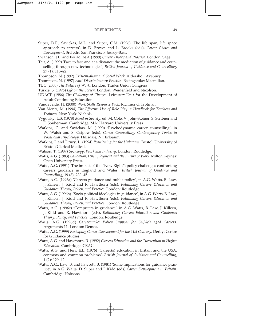- Super, D.E., Savickas, M.L. and Super, C.M. (1996) 'The life span, life space approach to careers', in D. Brown and L. Brooks (eds), *Career Choice and Development*, 3rd edn. San Francisco: Jossey-Bass.
- Swanson, J.L. and Fouad, N.A (1999) *Career Theory and Practice*. London: Sage.
- Tait, A. (1999) 'Face to face and at a distance: the mediation of guidance and counselling through new technologies', *British Journal of Guidance and Counselling*, 27 (1): 113–22.
- Thompson, N. (1992) *Existentialism and Social Work*. Aldershot: Avebury.
- Thompson, N. (1997) *Anti-Discriminatory Practice*. Basingstoke: Macmillan.
- TUC (2000) *The Future of Work*. London: Trades Union Congress.
- Turkle, S. (1996) *Life on the Screen*. London: Weidenfeld and Nicolson.
- UDACE (1986) *The Challenge of Change*. Leicester: Unit for the Development of Adult Continuing Education.
- Vandevelde, H. (2000) *Work Skills Resource Pack*. Richmond: Trotman.
- Van Ments, M. (1994) *The Effective Use of Role Play: a Handbook for Teachers and Trainers*. New York: Nichols.
- Vygotsky, L.S. (1978) *Mind in Society*, ed. M. Cole, V. John-Steiner, S. Scribner and E. Souberman. Cambridge, MA: Harvard University Press.
- Watkins, C. and Savickas, M. (1990) 'Psychodynamic career counselling', in W. Walsh and S. Osipow (eds), *Career Counselling: Contemporary Topics in Vocational Psychology*. Hillsdale, NJ: Erlbaum.
- Watkins, J. and Drury, L. (1994) *Positioning for the Unknown*. Bristol: University of Bristol/Clerical Medical.
- Watson, T. (1987) *Sociology, Work and Industry*. London: Routledge.
- Watts, A.G. (1983) *Education, Unemployment and the Future of Work*. Milton Keynes: Open University Press.
- Watts, A.G. (1991) 'The impact of the "New Right": policy challenges confronting careers guidance in England and Wales', *British Journal of Guidance and Counselling*, 19 (3): 230–45.
- Watts, A.G. (1996a) 'Careers guidance and public policy', in A.G. Watts, B. Law, J. Killeen, J. Kidd and R. Hawthorn (eds), *Rethinking Careers Education and Guidance: Theory, Policy, and Practice*. London: Routledge.
- Watts, A.G. (1996b). 'Socio-political ideologies in guidance', in A.G. Watts, B. Law, J. Killeen, J. Kidd and R. Hawthorn (eds), *Rethinking Careers Education and Guidance: Theory, Policy, and Practice*. London: Routledge.
- Watts, A.G. (1996c) 'Computers in guidance', in A.G. Watts, B. Law, J. Killeen, J. Kidd and R. Hawthorn (eds), *Rethinking Careers Education and Guidance: Theory, Policy, and Practice*. London: Routledge.
- Watts, A.G. (1996d) *Careerquake: Policy Support for Self-Managed Careers*. Arguments 11. London: Demos.
- Watts, A.G. (1999) *Reshaping Career Development for the 21st Century*. Derby: Centre for Guidance Studies.
- Watts, A.G. and Hawthorn, R. (1992) *Careers Education and the Curriculum in Higher Education*. Cambridge: CRAC.
- Watts, A.G. and Herr, E.L. (1976) 'Career(s) education in Britain and the USA: contrasts and common problems', *British Journal of Guidance and Counselling*, 4 (2): 129–42.
- Watts, A.G., Law, B. and Fawcett, B. (1981) 'Some implications for guidance practice', in A.G. Watts, D. Super and J. Kidd (eds) *Career Development in Britain*. Cambridge: Hobsons.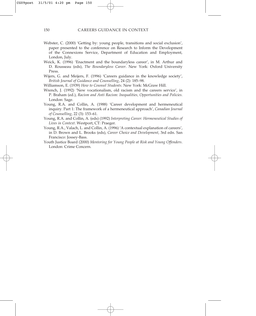- Webster, C. (2000) 'Getting by: young people, transitions and social exclusion', paper presented to the conference on Research to Inform the Development of the Connexions Service, Department of Education and Employment, London, July.
- Weick, K. (1996) 'Enactment and the boundaryless career', in M. Arthur and D. Rousseau (eds), *The Boundaryless Career*. New York: Oxford University Press.
- Wijers, G. and Meijers, F. (1996) 'Careers guidance in the knowledge society', *British Journal of Guidance and Counselling*, 24 (2): 185–98.
- Williamson, E. (1939) *How to Counsel Students*. New York: McGraw Hill.
- Wrench, J. (1992) 'New vocationalism, old racism and the careers service', in P. Braham (ed.), *Racism and Anti Racism: Inequalities, Opportunities and Policies*. London: Sage.
- Young, R.A. and Collin, A. (1988) 'Career development and hermeneutical inquiry. Part 1: The framework of a hermeneutical approach', *Canadian Journal of Counselling*, 22 (3): 153–61.
- Young, R.A. and Collin, A. (eds) (1992) *Interpreting Career: Hermeneutical Studies of Lives in Context*. Westport, CT: Praeger.
- Young, R.A., Valach, L. and Collin, A. (1996) 'A contextual explanation of careers', in D. Brown and L. Brooks (eds), *Career Choice and Development*, 3rd edn. San Francisco: Jossey-Bass.
- Youth Justice Board (2000) *Mentoring for Young People at Risk and Young Offenders*. London: Crime Concern.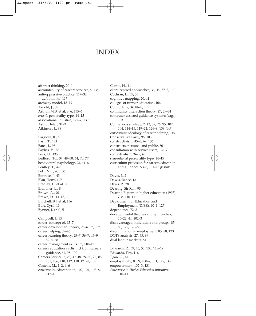## INDEX

abstract thinking, 20–1 accountability of careers services, 8, 135 anti-oppressive practice, 117–32 definition of, 117 archway model, 18–19 Arnold, J., 89 Arthur, M.B. et al, 3, 6, 135–6 *artistic* personality type, 14–15 associational injustice, 125–7, 130 Astin, Helen, 31–3 Atkinson, J., 88 Barglow, R., 6 Basit, T., 121 Bates, I., 98 Bayliss, V., 88 Beck, U., 135 Bedford, Tol, 37, 48–50, 64, 70, 77 behavioural psychology, 23, 44–6 Bentley, T., 4–5 Betz, N.E., 43, 136 Bimrose, J., 43 Blair, Tony, 127 Bradley, H. et al, 90 Brammer, L., 8 Brown, A., 90 Brown, D., 13, 15, 19 Burchell, B.J. et al, 136 Burt, Cyril, 11 Bynner, J. et al, 5 Campbell, J., 35 career, concept of, 95–7 career development theory, 25–6, 97, 137 career helping, 39–46 career learning theory, 25–7, 36–7, 46–9, 52–4, 68 career management skills, 97, 110–12 careers education as distinct from careers guidance, 61, 98–100 Careers Service, 7, 28, 39, 48, 59–60, 76, 85, 101, 106, 110, 112, 118, 121–2, 138 Castells, M., 1–2, 4, 6 citizenship, education in, 102, 104, 107–8, 112–13

Clarke, H., 41 client-centred approaches, 36, 44, 57–8, 130 Cochran, L., 35, 55 cognitive mapping, 20, 41 colleges of further education, 106 Collin, A., 2, 34, 86–7, 135 community interaction theory, 27, 29–31 computer-assisted guidance systems (cags), 133 Connexions strategy, 7, 42, 57, 76, 95, 102, 104, 114–15, 119–22, 126–9, 138, 147 *conservative* ideology of career helping, 119 Conservative Party, 96, 103 constructivism, 45–6, 69, 136 constructs, personal and public, 80 consultation with service users, 126–7 contextualism, 34–5, 46 *conventional* personality type, 14–15 curriculum provision for careers education and guidance, 93–5, 101–15 *passim* Davis, J., 2 Dawis, Renée, 13 Daws, P., 28 Dearing, Sir Ron, 93 Dearing Report on higher education (1997), 7–8, 110–11 Department for Education and Employment (DfEE), 40–1, 127 dependence, 72–3 developmental theories and approaches, 15–22, 44, 102–3 disadvantaged individuals and groups, 85, 88, 122, 126–8 discrimination in employment, 85, 88, 123 DOTS analysis, 27, 65, 99 dual labour markets, 84 Edwards, R., 39, 46, 55, 103, 118–19 Edwards, Tim, 116 Egan, G., 44 employability, 8, 89, 100–2, 111, 127, 147 empowerment, 102–3, 131 *Enterprise in Higher Education* initiative, 110–11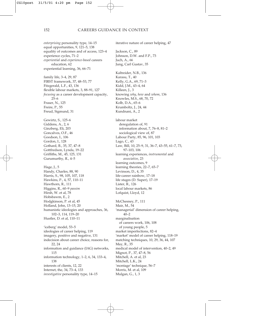equal opportunities, 9, 121–5, 138 equality of outcomes and of access, 123–4 experience cycles, 71–2 *experiential* and *experience-based* careers education, 62 experiential learning, 36, 66–71 family life, 3–4, 29, 87 FIRST framework, 37, 48–53, 77 Fitzgerald, L.F., 43, 136 flexible labour markets, 3, 88–91, 127 *focusing* as a career development capacity, 25–6 Fraser, N., 125 Freire, P., 55 Freud, Sigmund, 31 Gewirtz, S., 125–6 Giddens, A., 2, 6 Ginzberg, Eli, 203 Goncalves, O.F., 46 Goodson, I., 106 Gordon, I., 128 Gothard, B., 35, 37, 47–8 Gottfredson, Lynda, 19–22 Griffiths, M., 45, 125, 131 Gurumurthy, R., 4–5 Hage, J., 5 Handy, Charles, 88, 90 Harris, S., 98, 105, 107, 118 Hawkins, P., 4, 57, 110–11 Hawthorn, R., 111 Higgins, R., 60–9 *passim* Hirsh, W. et al, 78 Hobsbawm, E., 2 Hodgkinson, P. et al, 45 Holland, John, 13–15, 20 humanistic ideologies and approaches, 36, 102–3, 114, 119–20 Hustler, D. et al, 110–11 'iceberg' model, 53–5 ideologies of career helping, 119 imagery, positive and negative, 131 indecision about career choice, reasons for, 22, 24 information and guidance (IAG) networks, 115 information technology, 1–2, 6, 34, 133–4, 138 interests of clients, 12, 22 Internet, the, 34, 73–4, 133 *investigative* personality type, 14–15

iterative nature of career helping, 47 Jackson, C., 89 Johnson, D.W. and F.P., 73 Juch, A., 66 Jung, Carl Gustav, 35 Kaltreider, N.B., 136 Karasu, T., 40 Kelly, G.A., 69, 71–3 Kidd, J.M., 43–4, 64 Killeen, J., 3 knowing *why*, *how* and *whom*, 136 Knowles, M.S., 68, 70, 72 Kolb, D.A., 65–6 Krumboltz, J., 24, 44 Kundnani, A., 2 labour market deregulation of, 91 information about, 7, 76–8, 81–2 sociological view of, 87 Labour Party, 85, 96, 101, 103 Lago, C., 43 Law, Bill, 10, 25–9, 31, 36–7, 43–55, 61–7, 73, 97–103, 106 learning experiences, *instrumental* and *associative*, 23 learning outcomes, 9 learning theories, 22–7, 65–7 Levinson, D., 4, 35 life-career rainbow, 17–18 life stages (D. Super), 17–19 Lister, R., 126 local labour markets, 86 Lofquist, Lloyd, 12 McChesney, P., 111 Mair, M., 54 'managerial' dimension of career helping, 40–2 marginalisation of careers work, 106, 108 of young people, 5 market imperfections, 82–4 'market' model of career helping, 118–19 matching techniques, 10, 29, 36, 44, 107 May, R., 35 medical model of intervention, 40–2, 49 Mignot, P., 37, 47–8, 56 Mitchell, A. et al, 23 Mitchell, L.K., 24 'montage' technique, 56–7 Morris, M. et al, 109 Mulgan, G., 1, 3

*enterprising* personality type, 14–15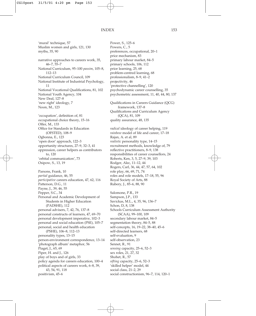'mural' technique, 57 Muslim women and girls, 121, 130 myths, 35, 90 narrative approaches to careers work, 35, 46–7, 55–7 National Curriculum, 95–100 *passim*, 105–8, 112–13 National Curriculum Council, 109 National Institute of Industrial Psychology, 11 National Vocational Qualifications, 81, 102 National Youth Agency, 104 New Deal, 127–8 'new right' ideology, 7 Noon, M., 123 'occupation', definition of, 81 occupational choice theory, 15–16 Offer, M., 133 Office for Standards in Education (OFSTED), 108–9 Ogbonna, E., 123 'open door' approach, 122–3 opportunity structures, 27–9, 32–3, 41 oppression, career helpers as contributors to, 120 'orbital communication', 73 Osipow, S., 13, 19 Parsons, Frank, 10 *partial* guidance, 46, 55 *participative* careers education, 47, 62, 116 Patterson, D.G., 11 Payne, J., 39, 46, 55 Pepper, S.C., 34 Personal and Academic Development of Students in Higher Education (PADSHE), 112 personal advisers, 7, 42, 76, 137–8 personal constructs of learners, 47, 69–70 personal development imperative, 102–3 personal and social education (PSE), 105–7 personal, social and health education (PSHE), 106–8, 112–13 personality types, 13–15 person-environment correspondence, 13–14 'photograph album' metaphor, 56 Piaget, J., 65, 69 Piper, H. and J., 126 play of boys and of girls, 33 policy agenda for careers education, 100–4 political aspects of careers work, 6–8, 39, 43, 54, 91, 118 positivism, 45–6

Power, S., 125–6 Powers, C., 5 preferences, occupational, 20–1 price mechanism, 83 primary labour market, 84–5 primary schools, 106, 112 prior learning, 25, 68 problem-centred learning, 68 professionalism, 8–9, 41–2 projectivity, 46 'protective channelling', 120 psychodynamic career counselling, 35 psychometric assessment, 11, 40, 44, 80, 137 Qualifications in Careers Guidance (QCG) framework, 137–8 Qualifications and Curriculum Agency (QCA), 81, 109 quality assurance, 48, 135 *radical* ideology of career helping, 119 *rainbow* model of life and career, 17–18 Rajan, A. et al, 89 *realistic* personality type, 14–15 recruitment methods, knowledge of, 79 reflective practitioners, 8–9, 138 responsibilities of career counsellors, 24 Roberts, Ken, 3, 5, 27–9, 39, 103 Rodger, Alec, 11–12, 44 Rogers, Carl, 36, 44, 47, 57, 64, 102 role play, 66, 69, 71, 74 roles and role models, 17–18, 55, 96 Royal Society of Arts, 88 Rubery, J., 85–6, 88, 90 Salomone, P.R., 19 Sampson, J.P., 133 Savickas, M.L., 4, 35, 96, 136–7 Schon, D, 8, 138 Schools Curriculum Assessment Authority (SCAA), 99–100, 109 secondary labour market, 84–5 segmentation theory, 84–5, 88 self-concepts, 16, 19–22, 38–40, 45–6 self-directed learners, 68 self-evaluation, 9 self-observation, 23 Sennet, R., 91 *sensing* capacity, 25–6, 52–3 sex roles, 21, 27, 32 Shohet, R., 57 *sifting* capacity, 25–6, 52–3 'skilled helper' model, 44 social class, 21–2, 29 social constructionism, 96–7, 114, 120–1